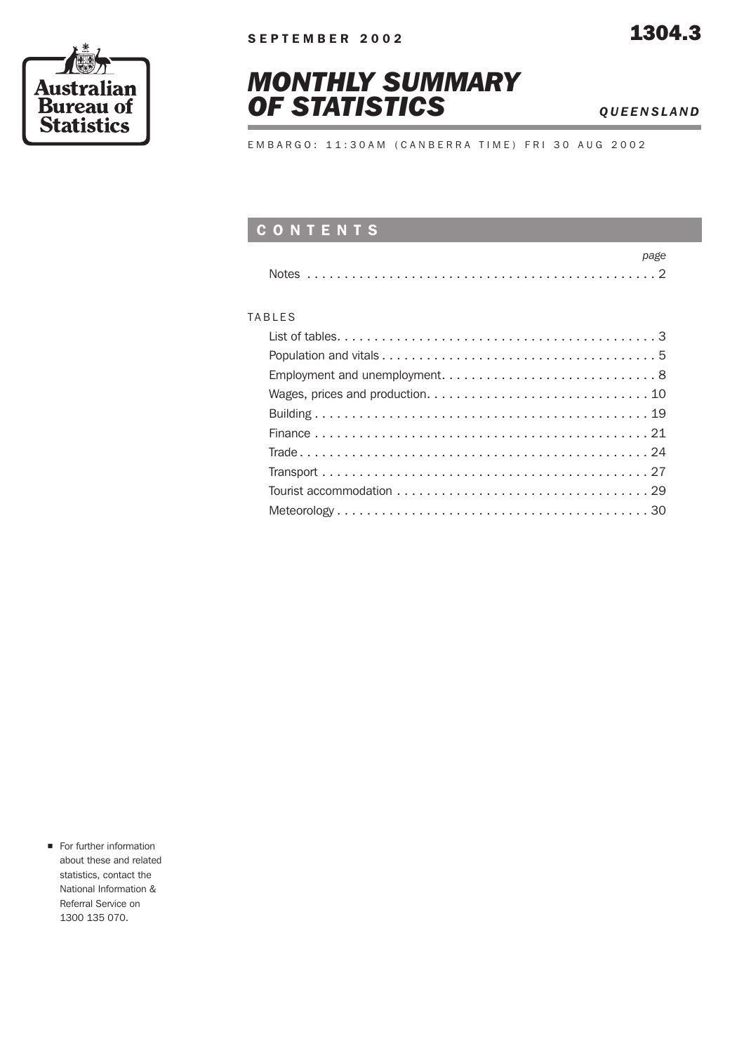



EMBARGO: 11:30AM (CANBERRA TIME) FRI 30 AUG 2002

#### CONTENTS

#### TABLES

For further information about these and related statistics, contact the National Information & Referral Service on 1300 135 070.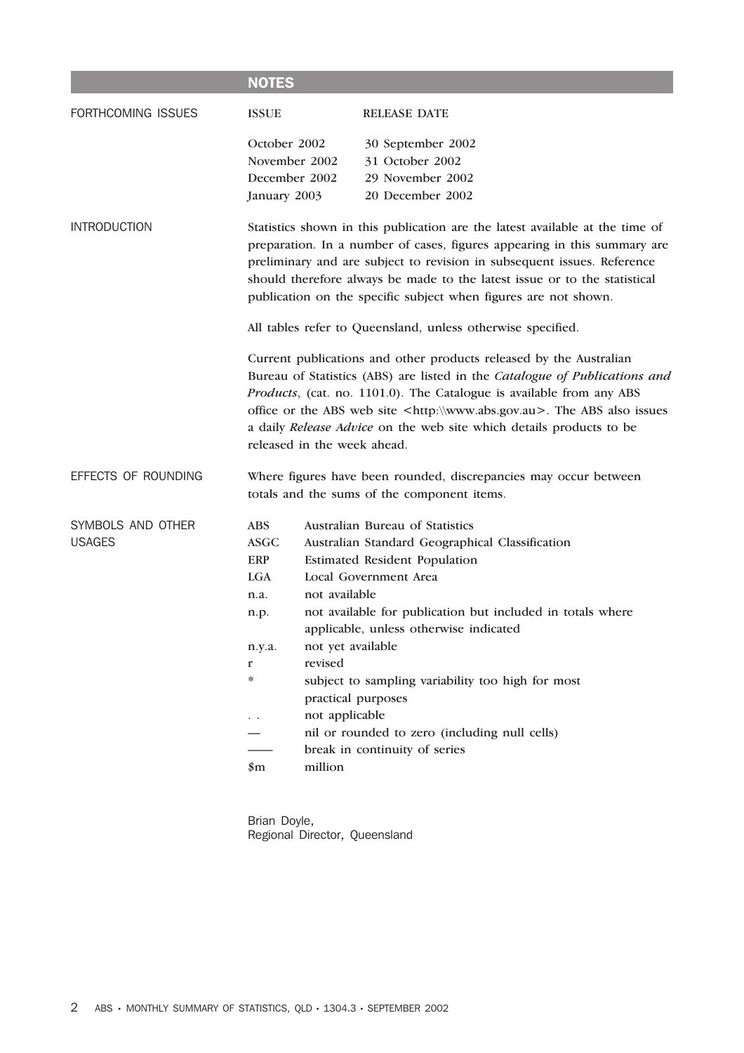|                                    | <b>NOTES</b>                                                                                                    |                                                                                                                                                                                                                                                                                                                                                                                                                       |                                                                                                                                                                                                                                                                                                                                                                                                                          |  |  |  |  |  |  |
|------------------------------------|-----------------------------------------------------------------------------------------------------------------|-----------------------------------------------------------------------------------------------------------------------------------------------------------------------------------------------------------------------------------------------------------------------------------------------------------------------------------------------------------------------------------------------------------------------|--------------------------------------------------------------------------------------------------------------------------------------------------------------------------------------------------------------------------------------------------------------------------------------------------------------------------------------------------------------------------------------------------------------------------|--|--|--|--|--|--|
| FORTHCOMING ISSUES                 | <b>ISSUE</b>                                                                                                    |                                                                                                                                                                                                                                                                                                                                                                                                                       | <b>RELEASE DATE</b>                                                                                                                                                                                                                                                                                                                                                                                                      |  |  |  |  |  |  |
|                                    | October 2002<br>January 2003                                                                                    | November 2002<br>December 2002                                                                                                                                                                                                                                                                                                                                                                                        | 30 September 2002<br>31 October 2002<br>29 November 2002<br>20 December 2002                                                                                                                                                                                                                                                                                                                                             |  |  |  |  |  |  |
| <b>INTRODUCTION</b>                |                                                                                                                 |                                                                                                                                                                                                                                                                                                                                                                                                                       | Statistics shown in this publication are the latest available at the time of<br>preparation. In a number of cases, figures appearing in this summary are<br>preliminary and are subject to revision in subsequent issues. Reference<br>should therefore always be made to the latest issue or to the statistical<br>publication on the specific subject when figures are not shown.                                      |  |  |  |  |  |  |
|                                    |                                                                                                                 | All tables refer to Queensland, unless otherwise specified.                                                                                                                                                                                                                                                                                                                                                           |                                                                                                                                                                                                                                                                                                                                                                                                                          |  |  |  |  |  |  |
|                                    |                                                                                                                 | Current publications and other products released by the Australian<br>Bureau of Statistics (ABS) are listed in the Catalogue of Publications and<br>Products, (cat. no. 1101.0). The Catalogue is available from any ABS<br>office or the ABS web site <http: www.abs.gov.au="">. The ABS also issues<br/>a daily Release Advice on the web site which details products to be<br/>released in the week ahead.</http:> |                                                                                                                                                                                                                                                                                                                                                                                                                          |  |  |  |  |  |  |
| EFFECTS OF ROUNDING                |                                                                                                                 |                                                                                                                                                                                                                                                                                                                                                                                                                       | Where figures have been rounded, discrepancies may occur between<br>totals and the sums of the component items.                                                                                                                                                                                                                                                                                                          |  |  |  |  |  |  |
| SYMBOLS AND OTHER<br><b>USAGES</b> | <b>ABS</b><br><b>ASGC</b><br><b>ERP</b><br><b>LGA</b><br>n.a.<br>n.p.<br>n.y.a.<br>r<br>$\ast$<br>. .<br>$\sin$ | not available<br>not yet available<br>revised<br>not applicable<br>million                                                                                                                                                                                                                                                                                                                                            | Australian Bureau of Statistics<br>Australian Standard Geographical Classification<br><b>Estimated Resident Population</b><br>Local Government Area<br>not available for publication but included in totals where<br>applicable, unless otherwise indicated<br>subject to sampling variability too high for most<br>practical purposes<br>nil or rounded to zero (including null cells)<br>break in continuity of series |  |  |  |  |  |  |
|                                    |                                                                                                                 |                                                                                                                                                                                                                                                                                                                                                                                                                       |                                                                                                                                                                                                                                                                                                                                                                                                                          |  |  |  |  |  |  |

Brian Doyle, Regional Director, Queensland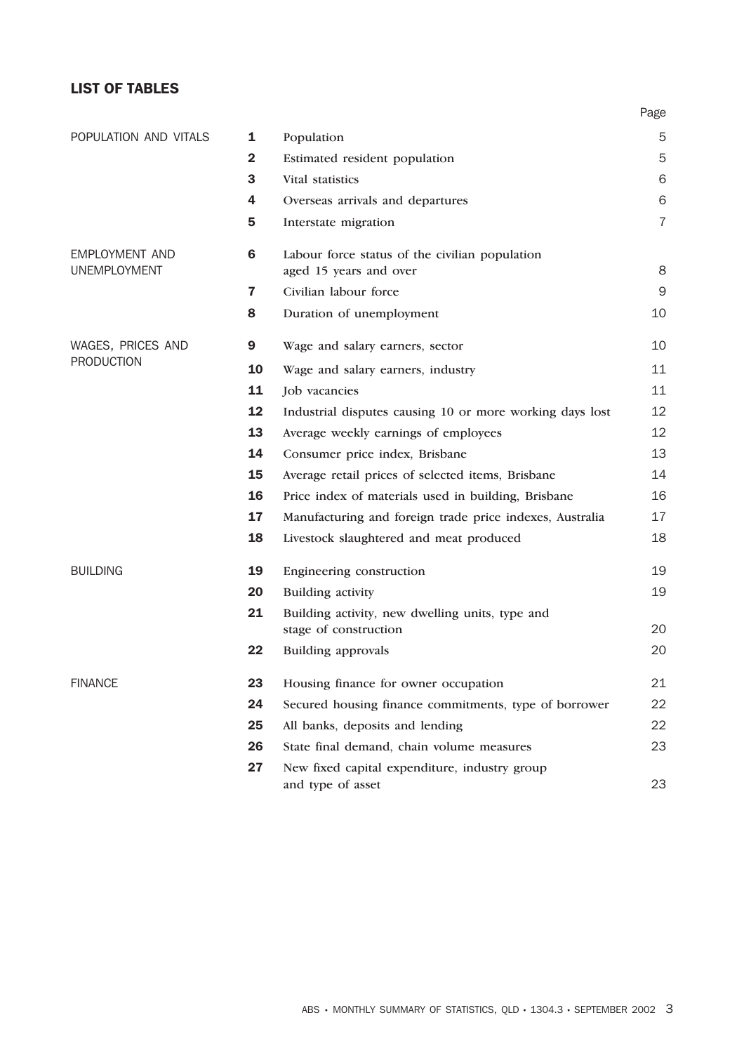#### LIST OF TABLES

|                                              |              |                                                                          | Page           |
|----------------------------------------------|--------------|--------------------------------------------------------------------------|----------------|
| POPULATION AND VITALS                        | 1            | Population                                                               | 5              |
|                                              | $\mathbf{2}$ | Estimated resident population                                            | 5              |
|                                              | 3            | Vital statistics                                                         | 6              |
|                                              | 4            | Overseas arrivals and departures                                         | 6              |
|                                              | 5            | Interstate migration                                                     | $\overline{7}$ |
| <b>EMPLOYMENT AND</b><br><b>UNEMPLOYMENT</b> | 6            | Labour force status of the civilian population<br>aged 15 years and over | 8              |
|                                              | 7            | Civilian labour force                                                    | $\mathsf 9$    |
|                                              | 8            | Duration of unemployment                                                 | 10             |
| WAGES, PRICES AND                            | 9            | Wage and salary earners, sector                                          | 10             |
| <b>PRODUCTION</b>                            | 10           | Wage and salary earners, industry                                        | 11             |
|                                              | 11           | Job vacancies                                                            | 11             |
|                                              | 12           | Industrial disputes causing 10 or more working days lost                 | 12             |
|                                              | 13           | Average weekly earnings of employees                                     | 12             |
|                                              | 14           | Consumer price index, Brisbane                                           | 13             |
|                                              | 15           | Average retail prices of selected items, Brisbane                        | 14             |
|                                              | 16           | Price index of materials used in building, Brisbane                      | 16             |
|                                              | 17           | Manufacturing and foreign trade price indexes, Australia                 | 17             |
|                                              | 18           | Livestock slaughtered and meat produced                                  | 18             |
| <b>BUILDING</b>                              | 19           | Engineering construction                                                 | 19             |
|                                              | 20           | Building activity                                                        | 19             |
|                                              | 21           | Building activity, new dwelling units, type and<br>stage of construction | 20             |
|                                              | 22           | <b>Building approvals</b>                                                | 20             |
| <b>FINANCE</b>                               | 23           | Housing finance for owner occupation                                     | 21             |
|                                              | 24           | Secured housing finance commitments, type of borrower                    | 22             |
|                                              | 25           | All banks, deposits and lending                                          | 22             |
|                                              | 26           | State final demand, chain volume measures                                | 23             |
|                                              | 27           | New fixed capital expenditure, industry group<br>and type of asset       | 23             |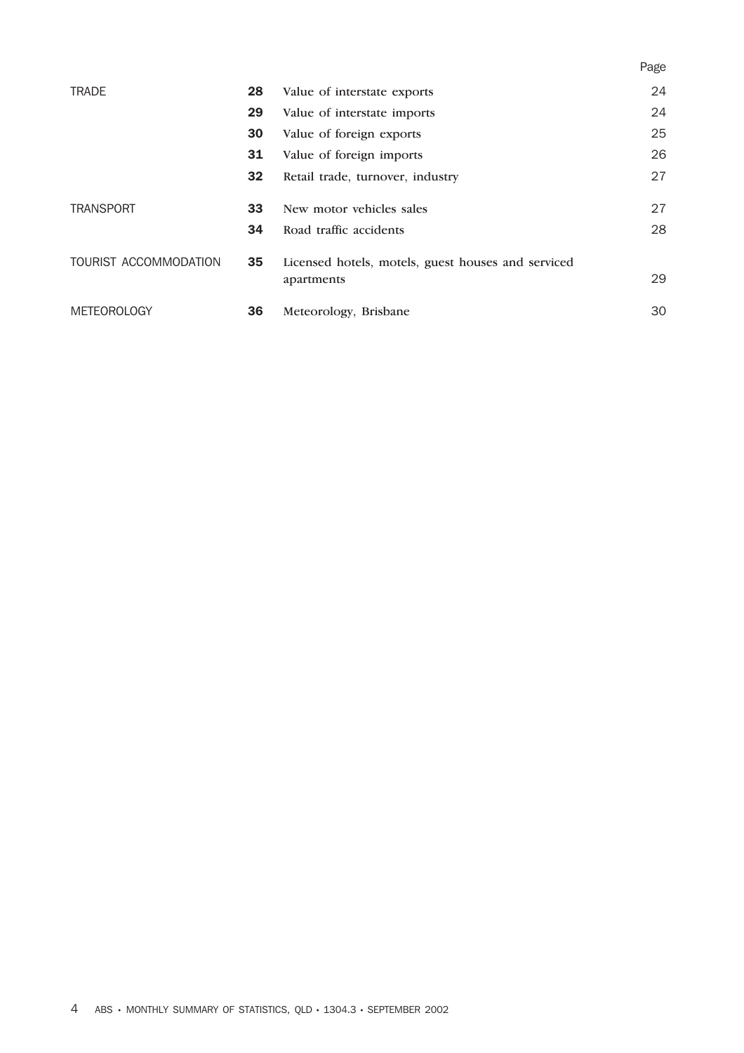|                       |    |                                                    | Page |
|-----------------------|----|----------------------------------------------------|------|
| <b>TRADE</b>          | 28 | Value of interstate exports                        | 24   |
|                       | 29 | Value of interstate imports                        | 24   |
|                       | 30 | Value of foreign exports                           | 25   |
|                       | 31 | Value of foreign imports                           | 26   |
|                       | 32 | Retail trade, turnover, industry                   | 27   |
| <b>TRANSPORT</b>      | 33 | New motor vehicles sales                           | 27   |
|                       | 34 | Road traffic accidents                             | 28   |
| TOURIST ACCOMMODATION | 35 | Licensed hotels, motels, guest houses and serviced | 29   |
|                       |    | apartments                                         |      |
| <b>METEOROLOGY</b>    | 36 | Meteorology, Brisbane                              | 30   |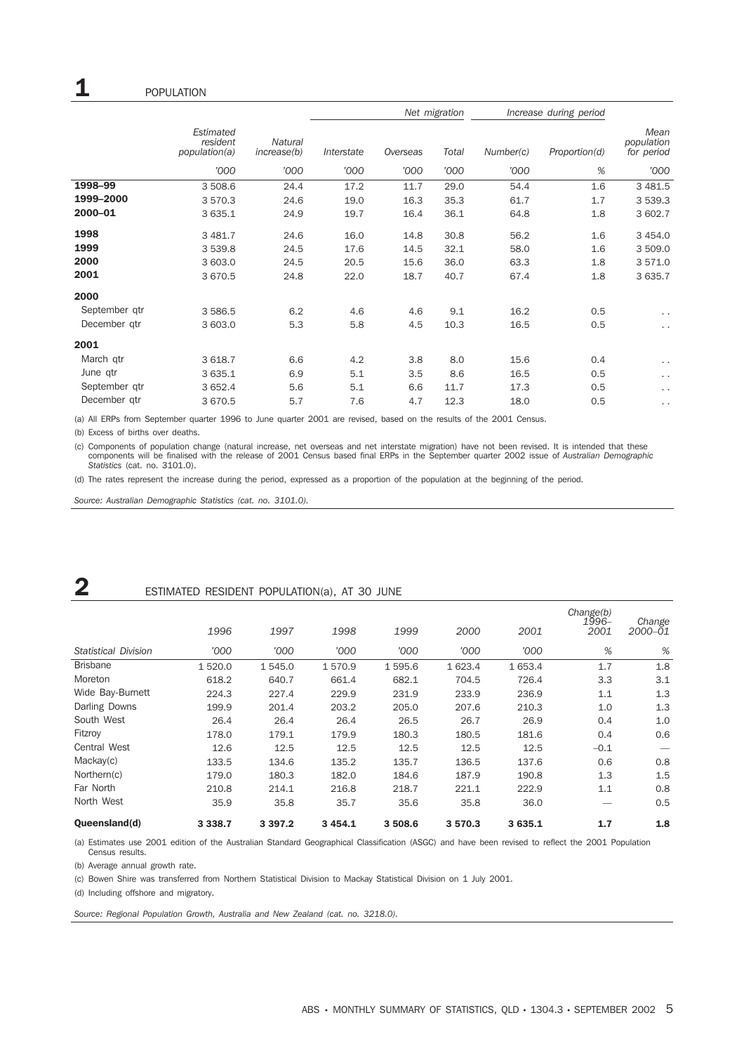|               |                                        |                               |            | Net migration | Increase during period |           |               |                                  |
|---------------|----------------------------------------|-------------------------------|------------|---------------|------------------------|-----------|---------------|----------------------------------|
|               | Estimated<br>resident<br>population(a) | <b>Natural</b><br>increase(b) | Interstate | Overseas      | Total                  | Number(c) | Proportion(d) | Mean<br>population<br>for period |
|               | '000                                   | '000                          | '000       | '000          | '000                   | '000      | %             | '000                             |
| 1998-99       | 3 508.6                                | 24.4                          | 17.2       | 11.7          | 29.0                   | 54.4      | 1.6           | 3 481.5                          |
| 1999-2000     | 3 570.3                                | 24.6                          | 19.0       | 16.3          | 35.3                   | 61.7      | 1.7           | 3 539.3                          |
| 2000-01       | 3 635.1                                | 24.9                          | 19.7       | 16.4          | 36.1                   | 64.8      | 1.8           | 3 602.7                          |
| 1998          | 3 481.7                                | 24.6                          | 16.0       | 14.8          | 30.8                   | 56.2      | 1.6           | 3 4 5 4.0                        |
| 1999          | 3 539.8                                | 24.5                          | 17.6       | 14.5          | 32.1                   | 58.0      | 1.6           | 3 509.0                          |
| 2000          | 3 603.0                                | 24.5                          | 20.5       | 15.6          | 36.0                   | 63.3      | 1.8           | 3 571.0                          |
| 2001          | 3 670.5                                | 24.8                          | 22.0       | 18.7          | 40.7                   | 67.4      | 1.8           | 3 635.7                          |
| 2000          |                                        |                               |            |               |                        |           |               |                                  |
| September qtr | 3 586.5                                | 6.2                           | 4.6        | 4.6           | 9.1                    | 16.2      | 0.5           | $\ddot{\phantom{0}}$             |
| December gtr  | 3 603.0                                | 5.3                           | 5.8        | 4.5           | 10.3                   | 16.5      | 0.5           | $\ddotsc$                        |
| 2001          |                                        |                               |            |               |                        |           |               |                                  |
| March qtr     | 3 618.7                                | 6.6                           | 4.2        | 3.8           | 8.0                    | 15.6      | 0.4           | $\cdot$ .                        |
| June qtr      | 3 635.1                                | 6.9                           | 5.1        | 3.5           | 8.6                    | 16.5      | 0.5           | $\ddot{\phantom{0}}$             |
| September gtr | 3 652.4                                | 5.6                           | 5.1        | 6.6           | 11.7                   | 17.3      | 0.5           | $\ddotsc$                        |
| December qtr  | 3 670.5                                | 5.7                           | 7.6        | 4.7           | 12.3                   | 18.0      | 0.5           | $\cdot$ .                        |

(a) All ERPs from September quarter 1996 to June quarter 2001 are revised, based on the results of the 2001 Census.

(b) Excess of births over deaths.

(c) Components of population change (natural increase, net overseas and net interstate migration) have not been revised. It is intended that these components will be finalised with the release of 2001 Census based final ERPs in the September quarter 2002 issue of *Australian Demographic Statistics* (cat. no. 3101.0).

(d) The rates represent the increase during the period, expressed as a proportion of the population at the beginning of the period.

*Source: Australian Demographic Statistics (cat. no. 3101.0).*

### **2** ESTIMATED RESIDENT POPULATION(a), AT 30 JUNE

| Queensland(d)               | 3 3 3 8.7 | 3 3 9 7 . 2 | 3 4 5 4.1 | 3 508.6 | 3 570.3 | 3 635.1 | 1.7                        | 1.8               |
|-----------------------------|-----------|-------------|-----------|---------|---------|---------|----------------------------|-------------------|
| North West                  | 35.9      | 35.8        | 35.7      | 35.6    | 35.8    | 36.0    |                            | 0.5               |
| Far North                   | 210.8     | 214.1       | 216.8     | 218.7   | 221.1   | 222.9   | 1.1                        | 0.8               |
| Northern(c)                 | 179.0     | 180.3       | 182.0     | 184.6   | 187.9   | 190.8   | 1.3                        | 1.5               |
| Mackav(c)                   | 133.5     | 134.6       | 135.2     | 135.7   | 136.5   | 137.6   | 0.6                        | 0.8               |
| Central West                | 12.6      | 12.5        | 12.5      | 12.5    | 12.5    | 12.5    | $-0.1$                     |                   |
| Fitzroy                     | 178.0     | 179.1       | 179.9     | 180.3   | 180.5   | 181.6   | 0.4                        | 0.6               |
| South West                  | 26.4      | 26.4        | 26.4      | 26.5    | 26.7    | 26.9    | 0.4                        | 1.0               |
| Darling Downs               | 199.9     | 201.4       | 203.2     | 205.0   | 207.6   | 210.3   | 1.0                        | 1.3               |
| Wide Bay-Burnett            | 224.3     | 227.4       | 229.9     | 231.9   | 233.9   | 236.9   | 1.1                        | 1.3               |
| Moreton                     | 618.2     | 640.7       | 661.4     | 682.1   | 704.5   | 726.4   | 3.3                        | 3.1               |
| <b>Brisbane</b>             | 1 520.0   | 1545.0      | 1570.9    | 1 595.6 | 1 623.4 | 1 653.4 | 1.7                        | 1.8               |
| <b>Statistical Division</b> | '000      | '000        | '000      | '000    | '000    | '000    | %                          | %                 |
|                             | 1996      | 1997        | 1998      | 1999    | 2000    | 2001    | Change(b)<br>1996-<br>2001 | Change<br>2000–01 |

(a) Estimates use 2001 edition of the Australian Standard Geographical Classification (ASGC) and have been revised to reflect the 2001 Population Census results.

(b) Average annual growth rate.

(c) Bowen Shire was transferred from Northern Statistical Division to Mackay Statistical Division on 1 July 2001.

(d) Including offshore and migratory.

*Source: Regional Population Growth, Australia and New Zealand (cat. no. 3218.0).*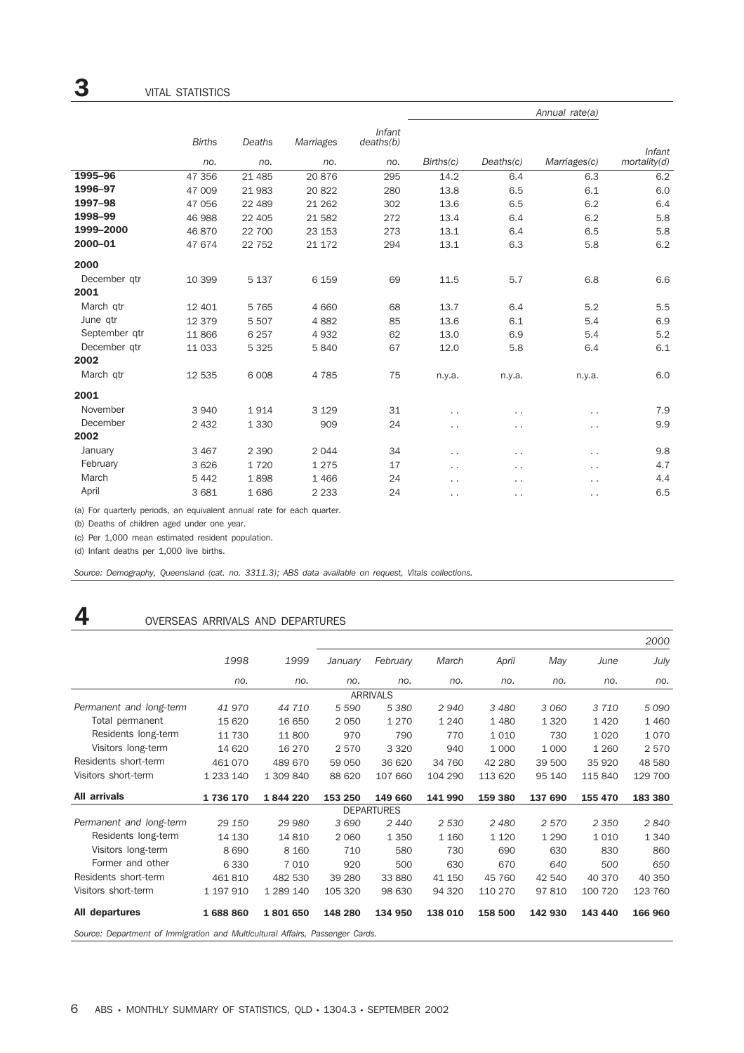|               |          |           |                            |                      |                      | Annual rate(a)       |               |
|---------------|----------|-----------|----------------------------|----------------------|----------------------|----------------------|---------------|
| <b>Births</b> | Deaths   | Marriages | <b>Infant</b><br>deaths(b) |                      |                      |                      | <b>Infant</b> |
| no.           | no.      | no.       | no.                        | Births(c)            | Deaths(c)            | Marriages(c)         | mortality(d)  |
| 47 356        | 21 4 8 5 | 20876     | 295                        | 14.2                 | 6.4                  | 6.3                  | 6.2           |
| 47 009        | 21 983   | 20 822    | 280                        | 13.8                 | 6.5                  | 6.1                  | 6.0           |
| 47 056        | 22 489   | 21 26 2   | 302                        | 13.6                 | 6.5                  | 6.2                  | 6.4           |
| 46 988        | 22 405   | 21 582    | 272                        | 13.4                 | 6.4                  | 6.2                  | 5.8           |
| 46 870        | 22 700   | 23 153    | 273                        | 13.1                 | 6.4                  | 6.5                  | 5.8           |
| 47 674        | 22 752   | 21 172    | 294                        | 13.1                 | 6.3                  | 5.8                  | 6.2           |
|               |          |           |                            |                      |                      |                      |               |
| 10 399        | 5 1 3 7  | 6 1 5 9   | 69                         | 11.5                 | 5.7                  | 6.8                  | 6.6           |
|               |          |           |                            |                      |                      |                      |               |
| 12 401        | 5 7 6 5  | 4 6 6 0   | 68                         | 13.7                 | 6.4                  | 5.2                  | 5.5           |
| 12 379        | 5 5 0 7  | 4882      | 85                         | 13.6                 | 6.1                  | 5.4                  | 6.9           |
| 11866         | 6 2 5 7  | 4 9 3 2   | 62                         | 13.0                 | 6.9                  | 5.4                  | 5.2           |
| 11 033        | 5 3 2 5  | 5840      | 67                         | 12.0                 | 5.8                  | 6.4                  | 6.1           |
|               |          |           |                            |                      |                      |                      |               |
| 12 535        | 6 0 0 8  | 4 7 8 5   | 75                         | n.y.a.               | n.y.a.               | n.y.a.               | 6.0           |
|               |          |           |                            |                      |                      |                      |               |
| 3 9 4 0       | 1914     | 3 1 2 9   | 31                         | $\cdot$ .            | $\ddot{\phantom{0}}$ | $\ddot{\phantom{0}}$ | 7.9           |
| 2 4 3 2       | 1 3 3 0  | 909       | 24                         | $\ddot{\phantom{0}}$ | $\ddot{\phantom{0}}$ | $\ddotsc$            | 9.9           |
|               |          |           |                            |                      |                      |                      |               |
| 3 4 6 7       | 2 3 9 0  | 2 0 4 4   | 34                         | $\cdot$ .            | $\ddot{\phantom{0}}$ | . .                  | 9.8           |
| 3626          | 1720     | 1 2 7 5   | 17                         | $\ddot{\phantom{0}}$ | $\ddot{\phantom{0}}$ | $\ddotsc$            | 4.7           |
| 5 4 4 2       | 1898     | 1 4 6 6   | 24                         | $\ddot{\phantom{0}}$ | $\ddot{\phantom{0}}$ | $\ddot{\phantom{0}}$ | 4.4           |
| 3 6 8 1       | 1686     | 2 2 3 3   | 24                         | $\ddot{\phantom{0}}$ | $\ddot{\phantom{0}}$ | .,                   | 6.5           |
|               |          |           |                            |                      |                      |                      |               |

(a) For quarterly periods, an equivalent annual rate for each quarter.

(b) Deaths of children aged under one year.

(c) Per 1,000 mean estimated resident population.

(d) Infant deaths per 1,000 live births.

*Source: Demography, Queensland (cat. no. 3311.3); ABS data available on request, Vitals collections.*

### 4 OVERSEAS ARRIVALS AND DEPARTURES

|                         |             |           |         |                   |         |         |         |         | 2000    |
|-------------------------|-------------|-----------|---------|-------------------|---------|---------|---------|---------|---------|
|                         | 1998        | 1999      | January | February          | March   | April   | May     | June    | July    |
|                         | no.         | no.       | no.     | no.               | no.     | no.     | no.     | no.     | no.     |
|                         |             |           |         | <b>ARRIVALS</b>   |         |         |         |         |         |
| Permanent and long-term | 41 970      | 44 710    | 5 5 9 0 | 5 3 8 0           | 2940    | 3 4 8 0 | 3 0 6 0 | 3710    | 5 0 9 0 |
| Total permanent         | 15 6 20     | 16 650    | 2 0 5 0 | 1 2 7 0           | 1 2 4 0 | 1 4 8 0 | 1 3 2 0 | 1420    | 1 4 6 0 |
| Residents long-term     | 11 730      | 11800     | 970     | 790               | 770     | 1 0 1 0 | 730     | 1020    | 1070    |
| Visitors long-term      | 14 620      | 16 270    | 2570    | 3 3 2 0           | 940     | 1 0 0 0 | 1 0 0 0 | 1 2 6 0 | 2570    |
| Residents short-term    | 461 070     | 489 670   | 59 050  | 36 620            | 34 760  | 42 280  | 39 500  | 35 9 20 | 48 580  |
| Visitors short-term     | 1 2 3 1 4 0 | 1 309 840 | 88 620  | 107 660           | 104 290 | 113 620 | 95 140  | 115 840 | 129 700 |
| <b>All arrivals</b>     | 1736 170    | 1844220   | 153 250 | 149 660           | 141 990 | 159 380 | 137 690 | 155 470 | 183 380 |
|                         |             |           |         | <b>DEPARTURES</b> |         |         |         |         |         |
| Permanent and long-term | 29 150      | 29 980    | 3690    | 2 4 4 0           | 2 5 3 0 | 2480    | 2570    | 2 3 5 0 | 2840    |
| Residents long-term     | 14 130      | 14 8 10   | 2 0 6 0 | 1 3 5 0           | 1 1 6 0 | 1 1 2 0 | 1 2 9 0 | 1010    | 1 3 4 0 |
| Visitors long-term      | 8690        | 8 1 6 0   | 710     | 580               | 730     | 690     | 630     | 830     | 860     |
| Former and other        | 6 3 3 0     | 7 0 1 0   | 920     | 500               | 630     | 670     | 640     | 500     | 650     |
| Residents short-term    | 461810      | 482 530   | 39 280  | 33 880            | 41 150  | 45 760  | 42 540  | 40 370  | 40 350  |
| Visitors short-term     | 1 197 910   | 1 289 140 | 105 320 | 98 630            | 94 320  | 110 270 | 97 810  | 100 720 | 123 760 |
| All departures          | 1688860     | 1801650   | 148 280 | 134 950           | 138 010 | 158 500 | 142 930 | 143 440 | 166 960 |

*Source: Department of Immigration and Multicultural Affairs, Passenger Cards.*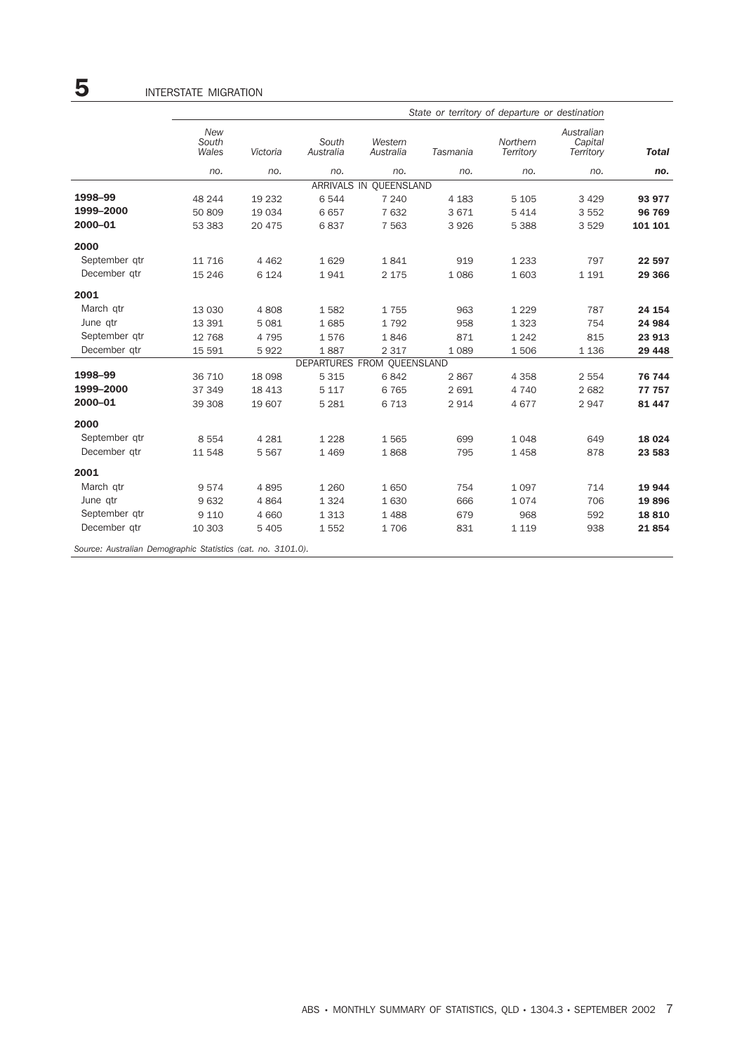|               |                       | State or territory of departure or destination |                            |                        |          |                       |                                    |              |  |  |  |
|---------------|-----------------------|------------------------------------------------|----------------------------|------------------------|----------|-----------------------|------------------------------------|--------------|--|--|--|
|               | New<br>South<br>Wales | Victoria                                       | South<br>Australia         | Western<br>Australia   | Tasmania | Northern<br>Territory | Australian<br>Capital<br>Territory | <b>Total</b> |  |  |  |
|               | no.                   | no.                                            | no.                        | no.                    | no.      | no.                   | no.                                | no.          |  |  |  |
|               |                       |                                                |                            | ARRIVALS IN QUEENSLAND |          |                       |                                    |              |  |  |  |
| 1998-99       | 48 244                | 19 232                                         | 6544                       | 7 2 4 0                | 4 1 8 3  | 5 1 0 5               | 3 4 2 9                            | 93 977       |  |  |  |
| 1999-2000     | 50 809                | 19 0 34                                        | 6657                       | 7632                   | 3671     | 5 4 1 4               | 3 5 5 2                            | 96 769       |  |  |  |
| 2000-01       | 53 383                | 20 475                                         | 6837                       | 7 5 6 3                | 3926     | 5 3 8 8               | 3529                               | 101 101      |  |  |  |
| 2000          |                       |                                                |                            |                        |          |                       |                                    |              |  |  |  |
| September qtr | 11 7 16               | 4 4 6 2                                        | 1629                       | 1841                   | 919      | 1 2 3 3               | 797                                | 22 597       |  |  |  |
| December qtr  | 15 24 6               | 6 1 2 4                                        | 1941                       | 2 1 7 5                | 1086     | 1 603                 | 1 1 9 1                            | 29 3 66      |  |  |  |
| 2001          |                       |                                                |                            |                        |          |                       |                                    |              |  |  |  |
| March qtr     | 13 0 30               | 4808                                           | 1582                       | 1755                   | 963      | 1 2 2 9               | 787                                | 24 154       |  |  |  |
| June qtr      | 13 391                | 5 0 8 1                                        | 1685                       | 1792                   | 958      | 1 3 2 3               | 754                                | 24 984       |  |  |  |
| September qtr | 12 768                | 4795                                           | 1576                       | 1846                   | 871      | 1 2 4 2               | 815                                | 23 913       |  |  |  |
| December qtr  | 15 591                | 5922                                           | 1887                       | 2 3 1 7                | 1 0 8 9  | 1506                  | 1 1 3 6                            | 29 4 48      |  |  |  |
|               |                       |                                                | DEPARTURES FROM QUEENSLAND |                        |          |                       |                                    |              |  |  |  |
| 1998-99       | 36 710                | 18 0 98                                        | 5 3 1 5                    | 6842                   | 2867     | 4 3 5 8               | 2 5 5 4                            | 76 744       |  |  |  |
| 1999-2000     | 37 349                | 18 4 13                                        | 5 1 1 7                    | 6 7 6 5                | 2691     | 4 7 4 0               | 2682                               | 77 757       |  |  |  |
| 2000-01       | 39 308                | 19 607                                         | 5 2 8 1                    | 6 7 1 3                | 2914     | 4677                  | 2947                               | 81 447       |  |  |  |
| 2000          |                       |                                                |                            |                        |          |                       |                                    |              |  |  |  |
| September gtr | 8 5 5 4               | 4 2 8 1                                        | 1 2 2 8                    | 1565                   | 699      | 1048                  | 649                                | 18 0 24      |  |  |  |
| December qtr  | 11 548                | 5 5 6 7                                        | 1 4 6 9                    | 1868                   | 795      | 1458                  | 878                                | 23 583       |  |  |  |
| 2001          |                       |                                                |                            |                        |          |                       |                                    |              |  |  |  |
| March qtr     | 9574                  | 4895                                           | 1 2 6 0                    | 1650                   | 754      | 1 0 9 7               | 714                                | 19 944       |  |  |  |
| June qtr      | 9632                  | 4 8 6 4                                        | 1 3 2 4                    | 1630                   | 666      | 1074                  | 706                                | 19896        |  |  |  |
| September qtr | 9 1 1 0               | 4 6 6 0                                        | 1 3 1 3                    | 1 4 8 8                | 679      | 968                   | 592                                | 18 8 10      |  |  |  |
| December qtr  | 10 303                | 5 4 0 5                                        | 1552                       | 1706                   | 831      | 1 1 1 9               | 938                                | 21854        |  |  |  |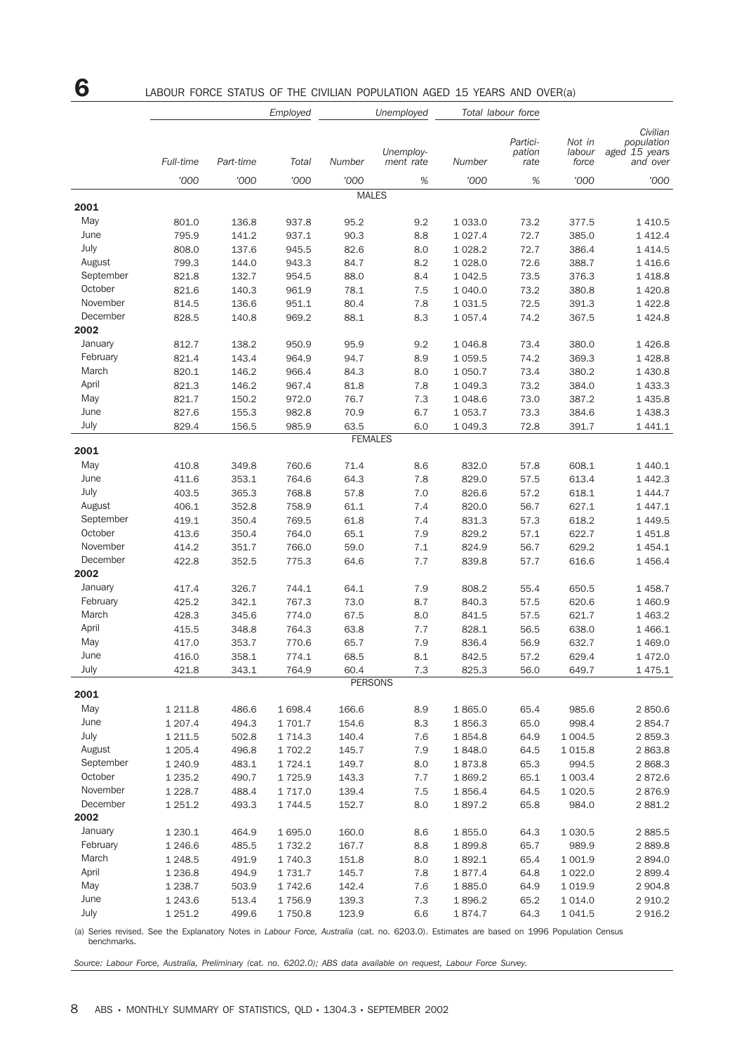## 6 LABOUR FORCE STATUS OF THE CIVILIAN POPULATION AGED 15 YEARS AND OVER(a)

|           |             |           | Employed |                | Unemployed             |             | Total labour force         |                           |                                                     |
|-----------|-------------|-----------|----------|----------------|------------------------|-------------|----------------------------|---------------------------|-----------------------------------------------------|
|           | Full-time   | Part-time | Total    | Number         | Unemploy-<br>ment rate | Number      | Partici-<br>pation<br>rate | Not in<br>labour<br>force | Civilian<br>population<br>aged 15 years<br>and over |
|           | '000        | '000      | '000     | '000           | %                      | '000        | %                          | '000                      | '000                                                |
|           |             |           |          | <b>MALES</b>   |                        |             |                            |                           |                                                     |
| 2001      |             |           |          |                |                        |             |                            |                           |                                                     |
| May       | 801.0       | 136.8     | 937.8    | 95.2           | 9.2                    | 1 033.0     | 73.2                       | 377.5                     | 1 4 1 0.5                                           |
| June      | 795.9       | 141.2     | 937.1    | 90.3           | 8.8                    | 1 0 2 7 . 4 | 72.7                       | 385.0                     | 1 4 1 2.4                                           |
| July      | 808.0       | 137.6     | 945.5    | 82.6           | 8.0                    | 1 0 28.2    | 72.7                       | 386.4                     | 1 4 1 4.5                                           |
| August    | 799.3       | 144.0     | 943.3    | 84.7           | 8.2                    | 1 0 28.0    | 72.6                       | 388.7                     | 1 4 1 6.6                                           |
| September | 821.8       | 132.7     | 954.5    | 88.0           | 8.4                    | 1 042.5     | 73.5                       | 376.3                     | 1 4 1 8.8                                           |
| October   | 821.6       | 140.3     | 961.9    | 78.1           | 7.5                    | 1 040.0     | 73.2                       | 380.8                     | 1420.8                                              |
| November  | 814.5       | 136.6     | 951.1    | 80.4           | 7.8                    | 1 0 3 1.5   | 72.5                       | 391.3                     | 1422.8                                              |
| December  | 828.5       | 140.8     | 969.2    | 88.1           | 8.3                    | 1 0 5 7 . 4 | 74.2                       | 367.5                     | 1 4 2 4 .8                                          |
| 2002      |             |           |          |                |                        |             |                            |                           |                                                     |
| January   | 812.7       | 138.2     | 950.9    | 95.9           | 9.2                    | 1 0 4 6.8   | 73.4                       | 380.0                     | 1426.8                                              |
| February  | 821.4       | 143.4     | 964.9    | 94.7           | 8.9                    | 1 0 5 9.5   | 74.2                       | 369.3                     | 1 4 28.8                                            |
| March     | 820.1       | 146.2     | 966.4    | 84.3           | 8.0                    | 1 0 5 0.7   | 73.4                       | 380.2                     | 1 4 3 0.8                                           |
| April     | 821.3       | 146.2     | 967.4    | 81.8           | 7.8                    | 1 0 4 9.3   | 73.2                       | 384.0                     | 1 4 3 3.3                                           |
| May       | 821.7       | 150.2     | 972.0    | 76.7           | 7.3                    | 1 0 48.6    | 73.0                       | 387.2                     | 1 4 3 5.8                                           |
| June      | 827.6       | 155.3     | 982.8    | 70.9           | 6.7                    | 1 0 5 3.7   | 73.3                       | 384.6                     | 1 4 38.3                                            |
| July      | 829.4       | 156.5     | 985.9    | 63.5           | 6.0                    | 1 0 4 9.3   | 72.8                       | 391.7                     | 1 4 4 1 . 1                                         |
| 2001      |             |           |          | <b>FEMALES</b> |                        |             |                            |                           |                                                     |
| May       | 410.8       | 349.8     | 760.6    | 71.4           | 8.6                    | 832.0       | 57.8                       | 608.1                     | 1 4 4 0.1                                           |
| June      | 411.6       | 353.1     | 764.6    | 64.3           | 7.8                    | 829.0       | 57.5                       | 613.4                     | 1 4 4 2.3                                           |
| July      | 403.5       | 365.3     | 768.8    | 57.8           | 7.0                    | 826.6       | 57.2                       | 618.1                     | 1 4 4 4.7                                           |
| August    | 406.1       | 352.8     | 758.9    | 61.1           | 7.4                    | 820.0       | 56.7                       | 627.1                     | 1 4 4 7 . 1                                         |
| September | 419.1       | 350.4     | 769.5    | 61.8           | 7.4                    | 831.3       | 57.3                       | 618.2                     | 1 4 4 9.5                                           |
| October   | 413.6       | 350.4     | 764.0    | 65.1           | 7.9                    | 829.2       | 57.1                       | 622.7                     | 1451.8                                              |
| November  | 414.2       | 351.7     | 766.0    | 59.0           | 7.1                    | 824.9       | 56.7                       | 629.2                     | 1 4 5 4.1                                           |
| December  | 422.8       | 352.5     | 775.3    | 64.6           | 7.7                    | 839.8       | 57.7                       | 616.6                     | 1 4 5 6.4                                           |
| 2002      |             |           |          |                |                        |             |                            |                           |                                                     |
| January   | 417.4       | 326.7     | 744.1    | 64.1           | 7.9                    | 808.2       | 55.4                       | 650.5                     | 1458.7                                              |
| February  | 425.2       | 342.1     | 767.3    | 73.0           | 8.7                    | 840.3       | 57.5                       | 620.6                     | 1 460.9                                             |
| March     | 428.3       | 345.6     | 774.0    | 67.5           | 8.0                    | 841.5       | 57.5                       | 621.7                     | 1 4 6 3.2                                           |
| April     | 415.5       | 348.8     | 764.3    | 63.8           | 7.7                    | 828.1       | 56.5                       | 638.0                     | 1 4 6 6.1                                           |
| May       | 417.0       | 353.7     | 770.6    | 65.7           | 7.9                    | 836.4       | 56.9                       | 632.7                     | 1 4 6 9.0                                           |
| June      | 416.0       | 358.1     | 774.1    | 68.5           | 8.1                    | 842.5       | 57.2                       | 629.4                     | 1 472.0                                             |
| July      | 421.8       | 343.1     | 764.9    | 60.4           | 7.3                    | 825.3       | 56.0                       | 649.7                     | 1475.1                                              |
|           |             |           |          | <b>PERSONS</b> |                        |             |                            |                           |                                                     |
| 2001      |             |           |          |                |                        |             |                            |                           |                                                     |
| May       | 1 2 1 1.8   | 486.6     | 1 698.4  | 166.6          | 8.9                    | 1865.0      | 65.4                       | 985.6                     | 2850.6                                              |
| June      | 1 207.4     | 494.3     | 1701.7   | 154.6          | 8.3                    | 1856.3      | 65.0                       | 998.4                     | 2854.7                                              |
| July      | 1 2 1 1.5   | 502.8     | 1714.3   | 140.4          | 7.6                    | 1854.8      | 64.9                       | 1 0 0 4.5                 | 2859.3                                              |
| August    | 1 205.4     | 496.8     | 1702.2   | 145.7          | 7.9                    | 1848.0      | 64.5                       | 1 0 1 5.8                 | 2863.8                                              |
| September | 1 2 4 0.9   | 483.1     | 1724.1   | 149.7          | 8.0                    | 1873.8      | 65.3                       | 994.5                     | 2868.3                                              |
| October   | 1 2 3 5.2   | 490.7     | 1725.9   | 143.3          | 7.7                    | 1869.2      | 65.1                       | 1 0 0 3.4                 | 2872.6                                              |
| November  | 1 2 2 8.7   | 488.4     | 1717.0   | 139.4          | 7.5                    | 1856.4      | 64.5                       | 1 0 20.5                  | 2876.9                                              |
| December  | 1 2 5 1 . 2 | 493.3     | 1744.5   | 152.7          | 8.0                    | 1897.2      | 65.8                       | 984.0                     | 2 8 8 1.2                                           |
| 2002      |             |           |          |                |                        |             |                            |                           |                                                     |
| January   | 1 2 3 0.1   | 464.9     | 1 695.0  | 160.0          | 8.6                    | 1855.0      | 64.3                       | 1 0 3 0.5                 | 2885.5                                              |
| February  | 1 2 4 6.6   | 485.5     | 1732.2   | 167.7          | 8.8                    | 1899.8      | 65.7                       | 989.9                     | 2889.8                                              |
| March     | 1 2 4 8.5   | 491.9     | 1 740.3  | 151.8          | 8.0                    | 1892.1      | 65.4                       | 1 001.9                   | 2894.0                                              |
| April     | 1 2 3 6.8   | 494.9     | 1731.7   | 145.7          | 7.8                    | 1877.4      | 64.8                       | 1 0 2 2.0                 | 2899.4                                              |
| May       | 1 2 3 8.7   | 503.9     | 1742.6   | 142.4          | 7.6                    | 1885.0      | 64.9                       | 1 0 1 9.9                 | 2 9 0 4.8                                           |
| June      | 1 2 4 3.6   | 513.4     | 1756.9   | 139.3          | 7.3                    | 1896.2      | 65.2                       | 1 0 1 4 .0                | 2910.2                                              |
| July      | 1 2 5 1 . 2 | 499.6     | 1750.8   | 123.9          | 6.6                    | 1874.7      | 64.3                       | 1 0 4 1.5                 | 2916.2                                              |

(a) Series revised. See the Explanatory Notes in *Labour Force, Australia* (cat. no. 6203.0). Estimates are based on 1996 Population Census benchmarks.

*Source: Labour Force, Australia, Preliminary (cat. no. 6202.0); ABS data available on request, Labour Force Survey.*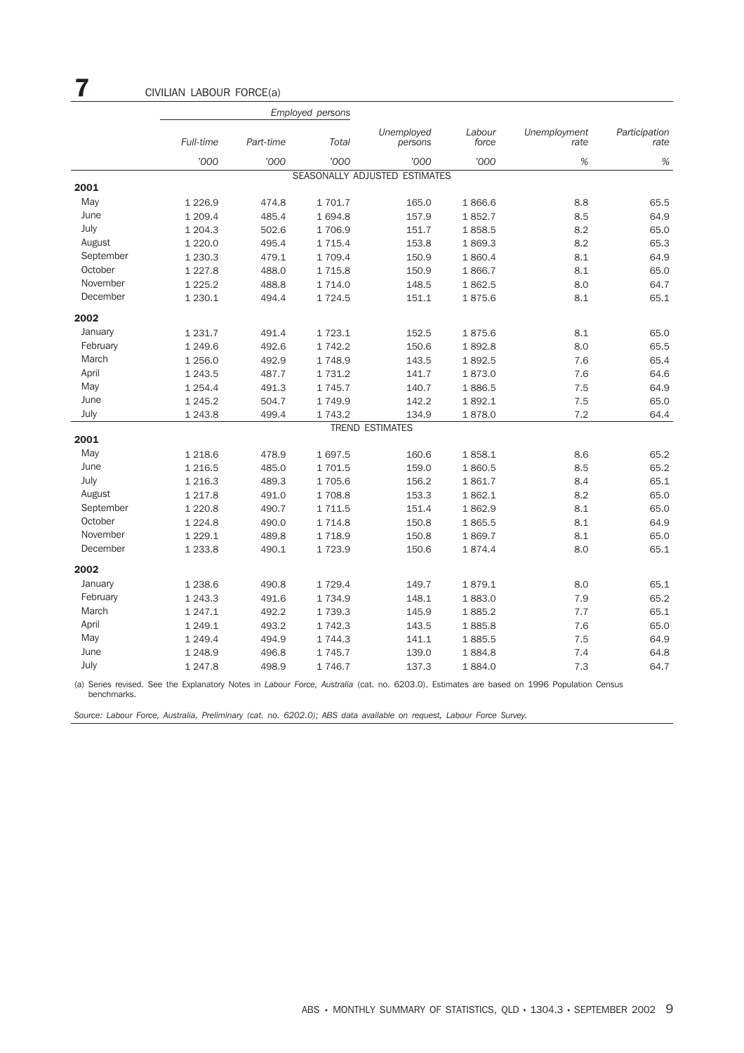7 CIVILIAN LABOUR FORCE(a)

|           |             |           | Employed persons |                               |                 |                      |                       |  |  |  |
|-----------|-------------|-----------|------------------|-------------------------------|-----------------|----------------------|-----------------------|--|--|--|
|           | Full-time   | Part-time | Total            | Unemployed<br>persons         | Labour<br>force | Unemployment<br>rate | Participation<br>rate |  |  |  |
|           | '000        | '000      | '000             | '000                          | '000            | %                    | %                     |  |  |  |
|           |             |           |                  | SEASONALLY ADJUSTED ESTIMATES |                 |                      |                       |  |  |  |
| 2001      |             |           |                  |                               |                 |                      |                       |  |  |  |
| May       | 1 2 2 6 . 9 | 474.8     | 1701.7           | 165.0                         | 1866.6          | 8.8                  | 65.5                  |  |  |  |
| June      | 1 209.4     | 485.4     | 1 694.8          | 157.9                         | 1852.7          | 8.5                  | 64.9                  |  |  |  |
| July      | 1 204.3     | 502.6     | 1706.9           | 151.7                         | 1858.5          | 8.2                  | 65.0                  |  |  |  |
| August    | 1 2 2 0.0   | 495.4     | 1 7 1 5.4        | 153.8                         | 1869.3          | 8.2                  | 65.3                  |  |  |  |
| September | 1 2 3 0.3   | 479.1     | 1 709.4          | 150.9                         | 1860.4          | 8.1                  | 64.9                  |  |  |  |
| October   | 1 2 2 7 . 8 | 488.0     | 1 7 1 5.8        | 150.9                         | 1866.7          | 8.1                  | 65.0                  |  |  |  |
| November  | 1 2 2 5 . 2 | 488.8     | 1714.0           | 148.5                         | 1862.5          | 8.0                  | 64.7                  |  |  |  |
| December  | 1 2 3 0.1   | 494.4     | 1724.5           | 151.1                         | 1875.6          | 8.1                  | 65.1                  |  |  |  |
| 2002      |             |           |                  |                               |                 |                      |                       |  |  |  |
| January   | 1 2 3 1.7   | 491.4     | 1 7 2 3 . 1      | 152.5                         | 1875.6          | 8.1                  | 65.0                  |  |  |  |
| February  | 1 249.6     | 492.6     | 1 742.2          | 150.6                         | 1892.8          | 8.0                  | 65.5                  |  |  |  |
| March     | 1 256.0     | 492.9     | 1748.9           | 143.5                         | 1892.5          | 7.6                  | 65.4                  |  |  |  |
| April     | 1 2 4 3 .5  | 487.7     | 1 7 3 1 . 2      | 141.7                         | 1873.0          | 7.6                  | 64.6                  |  |  |  |
| May       | 1 2 5 4 . 4 | 491.3     | 1 7 4 5 . 7      | 140.7                         | 1886.5          | 7.5                  | 64.9                  |  |  |  |
| June      | 1 2 4 5 . 2 | 504.7     | 1 749.9          | 142.2                         | 1892.1          | 7.5                  | 65.0                  |  |  |  |
| July      | 1 2 4 3.8   | 499.4     | 1 7 4 3.2        | 134.9                         | 1878.0          | 7.2                  | 64.4                  |  |  |  |
|           |             |           |                  | <b>TREND ESTIMATES</b>        |                 |                      |                       |  |  |  |
| 2001      |             |           |                  |                               |                 |                      |                       |  |  |  |
| May       | 1 2 1 8.6   | 478.9     | 1697.5           | 160.6                         | 1858.1          | 8.6                  | 65.2                  |  |  |  |
| June      | 1 2 1 6.5   | 485.0     | 1 701.5          | 159.0                         | 1860.5          | 8.5                  | 65.2                  |  |  |  |
| July      | 1 2 1 6 . 3 | 489.3     | 1705.6           | 156.2                         | 1861.7          | 8.4                  | 65.1                  |  |  |  |
| August    | 1 217.8     | 491.0     | 1708.8           | 153.3                         | 1862.1          | 8.2                  | 65.0                  |  |  |  |
| September | 1 2 2 0.8   | 490.7     | 1 7 1 1.5        | 151.4                         | 1862.9          | 8.1                  | 65.0                  |  |  |  |
| October   | 1 2 2 4.8   | 490.0     | 1 7 1 4.8        | 150.8                         | 1865.5          | 8.1                  | 64.9                  |  |  |  |
| November  | 1 2 2 9 . 1 | 489.8     | 1718.9           | 150.8                         | 1869.7          | 8.1                  | 65.0                  |  |  |  |
| December  | 1 2 3 3.8   | 490.1     | 1723.9           | 150.6                         | 1874.4          | 8.0                  | 65.1                  |  |  |  |
| 2002      |             |           |                  |                               |                 |                      |                       |  |  |  |
| January   | 1 2 3 8.6   | 490.8     | 1 7 2 9.4        | 149.7                         | 1879.1          | 8.0                  | 65.1                  |  |  |  |
| February  | 1 243.3     | 491.6     | 1 7 3 4 . 9      | 148.1                         | 1883.0          | 7.9                  | 65.2                  |  |  |  |
| March     | 1 247.1     | 492.2     | 1 7 3 9.3        | 145.9                         | 1885.2          | 7.7                  | 65.1                  |  |  |  |
| April     | 1 249.1     | 493.2     | 1 742.3          | 143.5                         | 1885.8          | 7.6                  | 65.0                  |  |  |  |
| May       | 1 249.4     | 494.9     | 1 744.3          | 141.1                         | 1885.5          | 7.5                  | 64.9                  |  |  |  |
| June      | 1 248.9     | 496.8     | 1 7 4 5 . 7      | 139.0                         | 1884.8          | 7.4                  | 64.8                  |  |  |  |
| July      | 1 247.8     | 498.9     | 1 746.7          | 137.3                         | 1884.0          | 7.3                  | 64.7                  |  |  |  |

(a) Series revised. See the Explanatory Notes in *Labour Force, Australia* (cat. no. 6203.0). Estimates are based on 1996 Population Census benchmarks.

*Source: Labour Force, Australia, Preliminary (cat. no. 6202.0); ABS data available on request, Labour Force Survey.*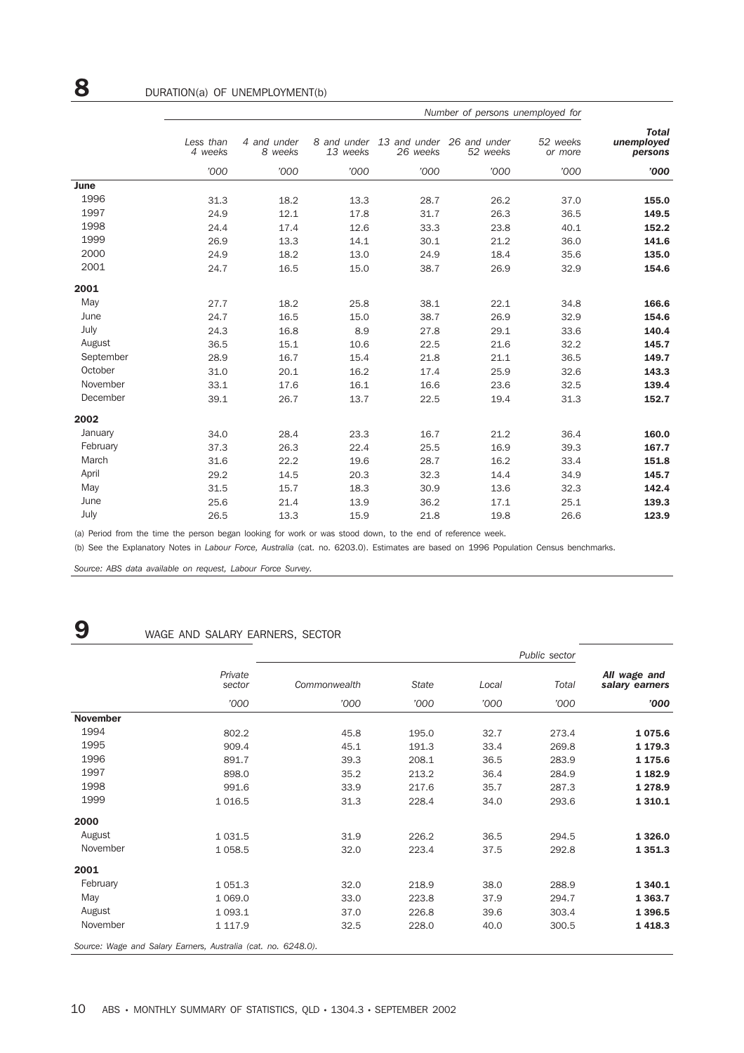| Less than<br>4 weeks | 4 and under<br>8 weeks | 13 weeks | 26 weeks | 52 weeks | 52 weeks<br>or more                   | <b>Total</b><br>unemployed<br>persons |
|----------------------|------------------------|----------|----------|----------|---------------------------------------|---------------------------------------|
| '000                 | '000                   | '000     | '000     | '000     | '000                                  | '000                                  |
|                      |                        |          |          |          |                                       |                                       |
| 31.3                 | 18.2                   | 13.3     | 28.7     | 26.2     | 37.0                                  | 155.0                                 |
| 24.9                 | 12.1                   | 17.8     | 31.7     | 26.3     | 36.5                                  | 149.5                                 |
| 24.4                 | 17.4                   | 12.6     | 33.3     | 23.8     | 40.1                                  | 152.2                                 |
| 26.9                 | 13.3                   | 14.1     | 30.1     | 21.2     | 36.0                                  | 141.6                                 |
| 24.9                 | 18.2                   | 13.0     | 24.9     | 18.4     | 35.6                                  | 135.0                                 |
| 24.7                 | 16.5                   | 15.0     | 38.7     | 26.9     | 32.9                                  | 154.6                                 |
|                      |                        |          |          |          |                                       |                                       |
| 27.7                 | 18.2                   | 25.8     | 38.1     | 22.1     | 34.8                                  | 166.6                                 |
| 24.7                 | 16.5                   | 15.0     | 38.7     | 26.9     | 32.9                                  | 154.6                                 |
| 24.3                 | 16.8                   | 8.9      | 27.8     | 29.1     | 33.6                                  | 140.4                                 |
| 36.5                 | 15.1                   | 10.6     | 22.5     | 21.6     | 32.2                                  | 145.7                                 |
| 28.9                 | 16.7                   | 15.4     | 21.8     | 21.1     | 36.5                                  | 149.7                                 |
| 31.0                 | 20.1                   | 16.2     | 17.4     | 25.9     | 32.6                                  | 143.3                                 |
| 33.1                 | 17.6                   | 16.1     | 16.6     | 23.6     | 32.5                                  | 139.4                                 |
| 39.1                 | 26.7                   | 13.7     | 22.5     | 19.4     | 31.3                                  | 152.7                                 |
|                      |                        |          |          |          |                                       |                                       |
| 34.0                 | 28.4                   | 23.3     | 16.7     | 21.2     | 36.4                                  | 160.0                                 |
| 37.3                 | 26.3                   | 22.4     | 25.5     | 16.9     | 39.3                                  | 167.7                                 |
| 31.6                 | 22.2                   | 19.6     | 28.7     | 16.2     | 33.4                                  | 151.8                                 |
| 29.2                 | 14.5                   | 20.3     | 32.3     | 14.4     | 34.9                                  | 145.7                                 |
| 31.5                 | 15.7                   | 18.3     | 30.9     | 13.6     | 32.3                                  | 142.4                                 |
| 25.6                 | 21.4                   | 13.9     | 36.2     | 17.1     | 25.1                                  | 139.3                                 |
| 26.5                 | 13.3                   | 15.9     | 21.8     | 19.8     | 26.6                                  | 123.9                                 |
|                      |                        |          |          |          | 8 and under 13 and under 26 and under | Number of persons unemployed for      |

(a) Period from the time the person began looking for work or was stood down, to the end of reference week.

(b) See the Explanatory Notes in *Labour Force, Australia* (cat. no. 6203.0). Estimates are based on 1996 Population Census benchmarks.

*Source: ABS data available on request, Labour Force Survey.*

## 9 WAGE AND SALARY EARNERS, SECTOR

|                 |                                                               |              |              |       | Public sector |                                |
|-----------------|---------------------------------------------------------------|--------------|--------------|-------|---------------|--------------------------------|
|                 | Private<br>sector                                             | Commonwealth | <b>State</b> | Local | Total         | All wage and<br>salary earners |
|                 | '000                                                          | '000         | '000         | '000  | '000          | '000                           |
| <b>November</b> |                                                               |              |              |       |               |                                |
| 1994            | 802.2                                                         | 45.8         | 195.0        | 32.7  | 273.4         | 1075.6                         |
| 1995            | 909.4                                                         | 45.1         | 191.3        | 33.4  | 269.8         | 1 179.3                        |
| 1996            | 891.7                                                         | 39.3         | 208.1        | 36.5  | 283.9         | 1 175.6                        |
| 1997            | 898.0                                                         | 35.2         | 213.2        | 36.4  | 284.9         | 1 182.9                        |
| 1998            | 991.6                                                         | 33.9         | 217.6        | 35.7  | 287.3         | 1 278.9                        |
| 1999            | 1 0 1 6.5                                                     | 31.3         | 228.4        | 34.0  | 293.6         | 1 3 1 0.1                      |
| 2000            |                                                               |              |              |       |               |                                |
| August          | 1 0 3 1.5                                                     | 31.9         | 226.2        | 36.5  | 294.5         | 1 3 2 6 . 0                    |
| November        | 1 0 58.5                                                      | 32.0         | 223.4        | 37.5  | 292.8         | 1 3 5 1 . 3                    |
| 2001            |                                                               |              |              |       |               |                                |
| February        | 1 0 5 1.3                                                     | 32.0         | 218.9        | 38.0  | 288.9         | 1 3 4 0.1                      |
| May             | 1 0 6 9.0                                                     | 33.0         | 223.8        | 37.9  | 294.7         | 1 3 6 3 . 7                    |
| August          | 1 0 9 3.1                                                     | 37.0         | 226.8        | 39.6  | 303.4         | 1 3 9 6.5                      |
| November        | 1 1 1 7 . 9                                                   | 32.5         | 228.0        | 40.0  | 300.5         | 1418.3                         |
|                 | Source: Wage and Salary Earners, Australia (cat. no. 6248.0). |              |              |       |               |                                |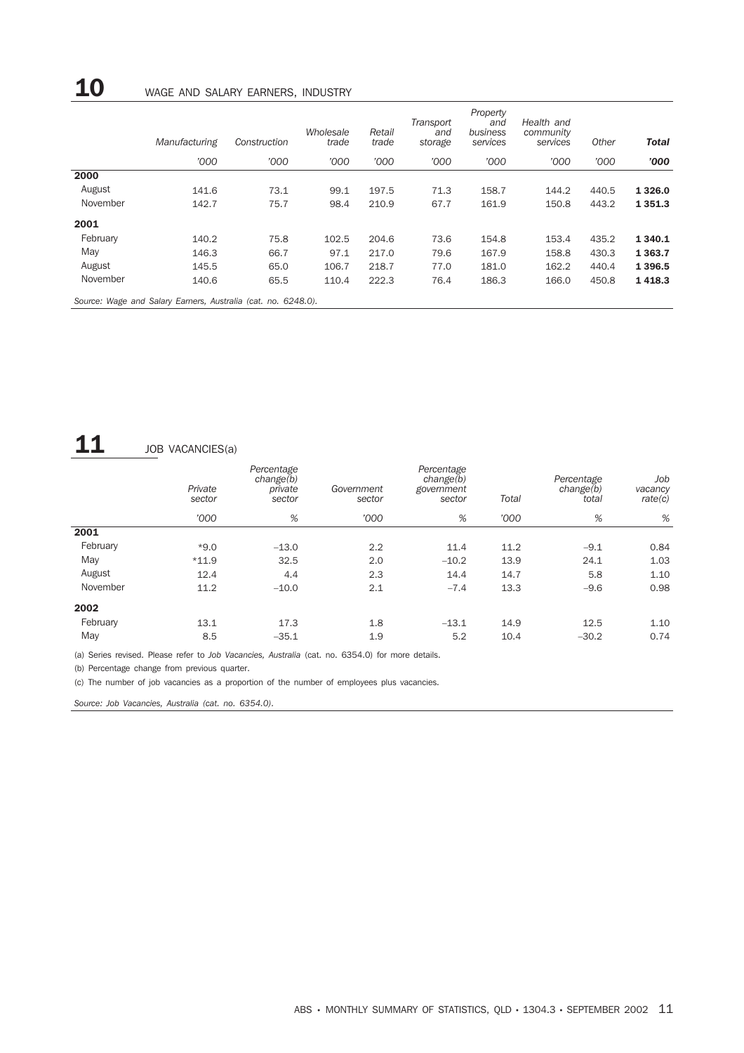## 10 WAGE AND SALARY EARNERS, INDUSTRY

|          | Manufacturing                                                 | Construction | Wholesale<br>trade | Retail<br>trade | Transport<br>and<br>storage | Property<br>and<br>business<br>services | Health and<br>community<br>services | Other | Total       |
|----------|---------------------------------------------------------------|--------------|--------------------|-----------------|-----------------------------|-----------------------------------------|-------------------------------------|-------|-------------|
|          | '000                                                          | '000         | '000               | '000            | '000                        | '000                                    | '000                                | '000  | '000        |
| 2000     |                                                               |              |                    |                 |                             |                                         |                                     |       |             |
| August   | 141.6                                                         | 73.1         | 99.1               | 197.5           | 71.3                        | 158.7                                   | 144.2                               | 440.5 | 1 3 2 6 .0  |
| November | 142.7                                                         | 75.7         | 98.4               | 210.9           | 67.7                        | 161.9                                   | 150.8                               | 443.2 | 1 3 5 1 . 3 |
| 2001     |                                                               |              |                    |                 |                             |                                         |                                     |       |             |
| February | 140.2                                                         | 75.8         | 102.5              | 204.6           | 73.6                        | 154.8                                   | 153.4                               | 435.2 | 1 3 4 0.1   |
| May      | 146.3                                                         | 66.7         | 97.1               | 217.0           | 79.6                        | 167.9                                   | 158.8                               | 430.3 | 1 3 6 3.7   |
| August   | 145.5                                                         | 65.0         | 106.7              | 218.7           | 77.0                        | 181.0                                   | 162.2                               | 440.4 | 1 3 9 6.5   |
| November | 140.6                                                         | 65.5         | 110.4              | 222.3           | 76.4                        | 186.3                                   | 166.0                               | 450.8 | 1418.3      |
|          | Source: Wage and Salary Earners, Australia (cat. no. 6248.0). |              |                    |                 |                             |                                         |                                     |       |             |

## $11$  JOB VACANCIES(a)

|          | Private<br>sector | Percentage<br>change(b)<br>private<br>sector | Government<br>sector | Percentage<br>change(b)<br>government<br>sector | Total | Percentage<br>change $(b)$<br>total | Job<br>vacancy<br>rate(c) |
|----------|-------------------|----------------------------------------------|----------------------|-------------------------------------------------|-------|-------------------------------------|---------------------------|
|          | '000              | %                                            | '000                 | %                                               | '000  | %                                   | %                         |
| 2001     |                   |                                              |                      |                                                 |       |                                     |                           |
| February | $*9.0$            | $-13.0$                                      | 2.2                  | 11.4                                            | 11.2  | $-9.1$                              | 0.84                      |
| May      | $*11.9$           | 32.5                                         | 2.0                  | $-10.2$                                         | 13.9  | 24.1                                | 1.03                      |
| August   | 12.4              | 4.4                                          | 2.3                  | 14.4                                            | 14.7  | 5.8                                 | 1.10                      |
| November | 11.2              | $-10.0$                                      | 2.1                  | $-7.4$                                          | 13.3  | $-9.6$                              | 0.98                      |
| 2002     |                   |                                              |                      |                                                 |       |                                     |                           |
| February | 13.1              | 17.3                                         | 1.8                  | $-13.1$                                         | 14.9  | 12.5                                | 1.10                      |
| May      | 8.5               | $-35.1$                                      | 1.9                  | 5.2                                             | 10.4  | $-30.2$                             | 0.74                      |
|          |                   |                                              |                      |                                                 |       |                                     |                           |

(a) Series revised. Please refer to *Job Vacancies, Australia* (cat. no. 6354.0) for more details.

(b) Percentage change from previous quarter.

(c) The number of job vacancies as a proportion of the number of employees plus vacancies.

*Source: Job Vacancies, Australia (cat. no. 6354.0).*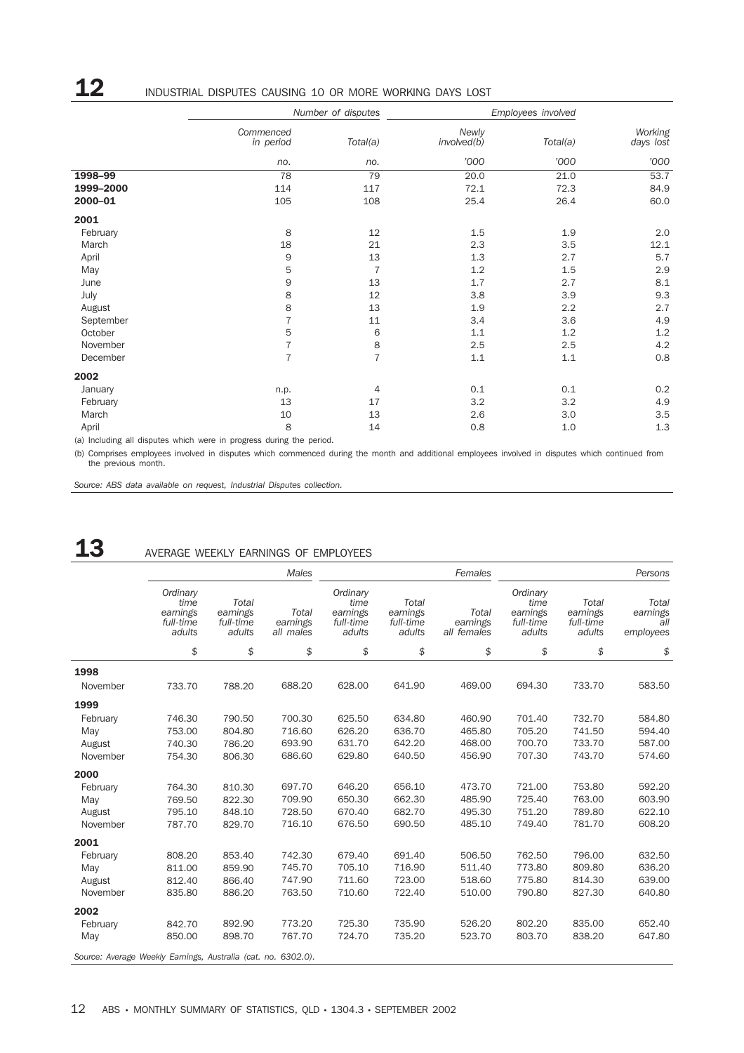| 12<br>INDUSTRIAL DISPUTES CAUSING 10 OR MORE WORKING DAYS LOST |  |
|----------------------------------------------------------------|--|
|----------------------------------------------------------------|--|

|           |                        | Number of disputes |                      | Employees involved |                      |  |
|-----------|------------------------|--------------------|----------------------|--------------------|----------------------|--|
|           | Commenced<br>in period | Total(a)           | Newly<br>involved(b) | Total(a)           | Working<br>days lost |  |
|           | no.                    | no.                | '000                 | '000               | '000                 |  |
| 1998-99   | 78                     | 79                 | 20.0                 | 21.0               | 53.7                 |  |
| 1999-2000 | 114                    | 117                | 72.1                 | 72.3               | 84.9                 |  |
| 2000-01   | 105                    | 108                | 25.4                 | 26.4               | 60.0                 |  |
| 2001      |                        |                    |                      |                    |                      |  |
| February  | 8                      | 12                 | 1.5                  | 1.9                | 2.0                  |  |
| March     | 18                     | 21                 | 2.3                  | 3.5                | 12.1                 |  |
| April     | 9                      | 13                 | 1.3                  | 2.7                | 5.7                  |  |
| May       | 5                      | $\overline{7}$     | 1.2                  | 1.5                | 2.9                  |  |
| June      | 9                      | 13                 | 1.7                  | 2.7                | 8.1                  |  |
| July      | 8                      | 12                 | 3.8                  | 3.9                | 9.3                  |  |
| August    | 8                      | 13                 | 1.9                  | 2.2                | 2.7                  |  |
| September | $\overline{7}$         | 11                 | 3.4                  | 3.6                | 4.9                  |  |
| October   | 5                      | 6                  | 1.1                  | 1.2                | 1.2                  |  |
| November  | $\overline{7}$         | $\,8\,$            | 2.5                  | 2.5                | 4.2                  |  |
| December  | $\overline{7}$         | $\overline{7}$     | 1.1                  | 1.1                | 0.8                  |  |
| 2002      |                        |                    |                      |                    |                      |  |
| January   | n.p.                   | 4                  | 0.1                  | 0.1                | 0.2                  |  |
| February  | 13                     | 17                 | 3.2                  | 3.2                | 4.9                  |  |
| March     | 10                     | 13                 | 2.6                  | 3.0                | 3.5                  |  |
| April     | 8                      | 14                 | 0.8                  | 1.0                | 1.3                  |  |
|           |                        |                    |                      |                    |                      |  |

(a) Including all disputes which were in progress during the period.

(b) Comprises employees involved in disputes which commenced during the month and additional employees involved in disputes which continued from the previous month.

*Source: ABS data available on request, Industrial Disputes collection.*

## 13 AVERAGE WEEKLY EARNINGS OF EMPLOYEES

|                                                               |                                                     |                                          | <b>Males</b>                   |                                                     |                                          | Females                          |                                                     |                                          | Persons                               |
|---------------------------------------------------------------|-----------------------------------------------------|------------------------------------------|--------------------------------|-----------------------------------------------------|------------------------------------------|----------------------------------|-----------------------------------------------------|------------------------------------------|---------------------------------------|
|                                                               | Ordinary<br>time<br>earnings<br>full-time<br>adults | Total<br>earnings<br>full-time<br>adults | Total<br>earnings<br>all males | Ordinary<br>time<br>earnings<br>full-time<br>adults | Total<br>earnings<br>full-time<br>adults | Total<br>earnings<br>all females | Ordinary<br>time<br>earnings<br>full-time<br>adults | Total<br>earnings<br>full-time<br>adults | Total<br>earnings<br>all<br>employees |
|                                                               | \$                                                  | \$                                       | \$                             | \$                                                  | \$                                       | \$                               | \$                                                  | \$                                       | \$                                    |
| 1998                                                          |                                                     |                                          |                                |                                                     |                                          |                                  |                                                     |                                          |                                       |
| November                                                      | 733.70                                              | 788.20                                   | 688.20                         | 628.00                                              | 641.90                                   | 469.00                           | 694.30                                              | 733.70                                   | 583.50                                |
| 1999                                                          |                                                     |                                          |                                |                                                     |                                          |                                  |                                                     |                                          |                                       |
| February                                                      | 746.30                                              | 790.50                                   | 700.30                         | 625.50                                              | 634.80                                   | 460.90                           | 701.40                                              | 732.70                                   | 584.80                                |
| May                                                           | 753.00                                              | 804.80                                   | 716.60                         | 626.20                                              | 636.70                                   | 465.80                           | 705.20                                              | 741.50                                   | 594.40                                |
| August                                                        | 740.30                                              | 786.20                                   | 693.90                         | 631.70                                              | 642.20                                   | 468.00                           | 700.70                                              | 733.70                                   | 587.00                                |
| November                                                      | 754.30                                              | 806.30                                   | 686.60                         | 629.80                                              | 640.50                                   | 456.90                           | 707.30                                              | 743.70                                   | 574.60                                |
| 2000                                                          |                                                     |                                          |                                |                                                     |                                          |                                  |                                                     |                                          |                                       |
| February                                                      | 764.30                                              | 810.30                                   | 697.70                         | 646.20                                              | 656.10                                   | 473.70                           | 721.00                                              | 753.80                                   | 592.20                                |
| May                                                           | 769.50                                              | 822.30                                   | 709.90                         | 650.30                                              | 662.30                                   | 485.90                           | 725.40                                              | 763.00                                   | 603.90                                |
| August                                                        | 795.10                                              | 848.10                                   | 728.50                         | 670.40                                              | 682.70                                   | 495.30                           | 751.20                                              | 789.80                                   | 622.10                                |
| November                                                      | 787.70                                              | 829.70                                   | 716.10                         | 676.50                                              | 690.50                                   | 485.10                           | 749.40                                              | 781.70                                   | 608.20                                |
| 2001                                                          |                                                     |                                          |                                |                                                     |                                          |                                  |                                                     |                                          |                                       |
| February                                                      | 808.20                                              | 853.40                                   | 742.30                         | 679.40                                              | 691.40                                   | 506.50                           | 762.50                                              | 796.00                                   | 632.50                                |
| May                                                           | 811.00                                              | 859.90                                   | 745.70                         | 705.10                                              | 716.90                                   | 511.40                           | 773.80                                              | 809.80                                   | 636.20                                |
| August                                                        | 812.40                                              | 866.40                                   | 747.90                         | 711.60                                              | 723.00                                   | 518.60                           | 775.80                                              | 814.30                                   | 639.00                                |
| November                                                      | 835.80                                              | 886.20                                   | 763.50                         | 710.60                                              | 722.40                                   | 510.00                           | 790.80                                              | 827.30                                   | 640.80                                |
| 2002                                                          |                                                     |                                          |                                |                                                     |                                          |                                  |                                                     |                                          |                                       |
| February                                                      | 842.70                                              | 892.90                                   | 773.20                         | 725.30                                              | 735.90                                   | 526.20                           | 802.20                                              | 835.00                                   | 652.40                                |
| May                                                           | 850.00                                              | 898.70                                   | 767.70                         | 724.70                                              | 735.20                                   | 523.70                           | 803.70                                              | 838.20                                   | 647.80                                |
| Source: Average Weekly Earnings, Australia (cat. no. 6302.0). |                                                     |                                          |                                |                                                     |                                          |                                  |                                                     |                                          |                                       |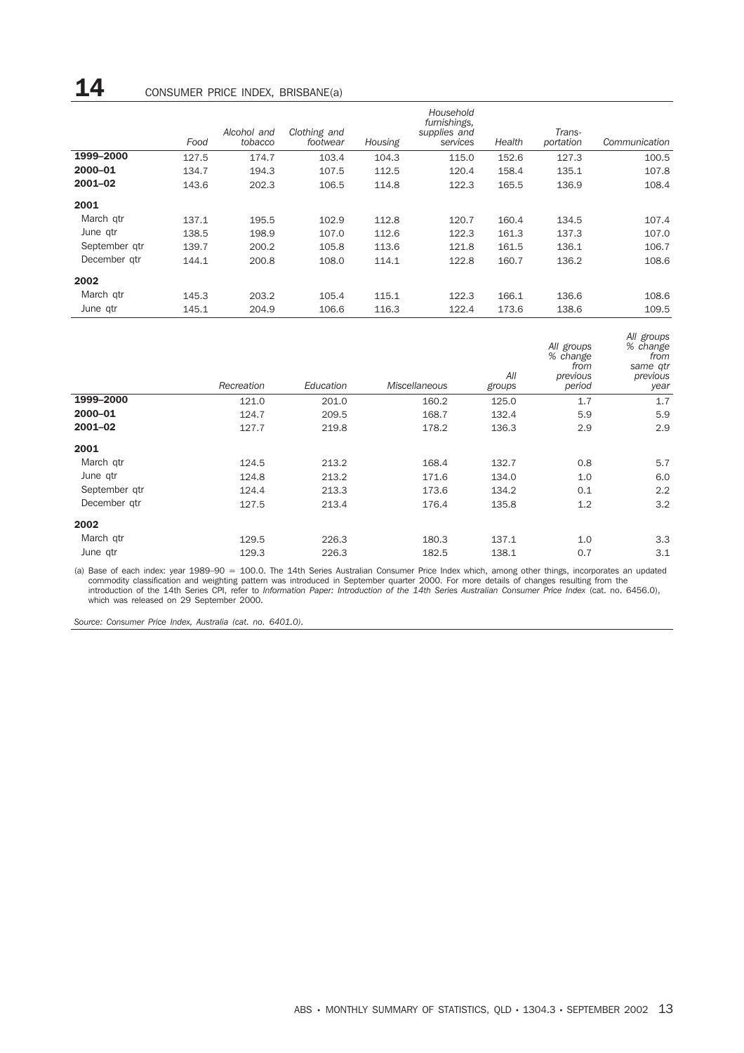# 14 CONSUMER PRICE INDEX, BRISBANE(a)

|               |       |                        |                          |         | Household<br>furnishings. |        |                     |               |
|---------------|-------|------------------------|--------------------------|---------|---------------------------|--------|---------------------|---------------|
|               | Food  | Alcohol and<br>tobacco | Clothing and<br>footwear | Housing | supplies and<br>services  | Health | Trans-<br>portation | Communication |
| 1999-2000     | 127.5 | 174.7                  | 103.4                    | 104.3   | 115.0                     | 152.6  | 127.3               | 100.5         |
| 2000-01       | 134.7 | 194.3                  | 107.5                    | 112.5   | 120.4                     | 158.4  | 135.1               | 107.8         |
| 2001-02       | 143.6 | 202.3                  | 106.5                    | 114.8   | 122.3                     | 165.5  | 136.9               | 108.4         |
| 2001          |       |                        |                          |         |                           |        |                     |               |
| March gtr     | 137.1 | 195.5                  | 102.9                    | 112.8   | 120.7                     | 160.4  | 134.5               | 107.4         |
| June gtr      | 138.5 | 198.9                  | 107.0                    | 112.6   | 122.3                     | 161.3  | 137.3               | 107.0         |
| September gtr | 139.7 | 200.2                  | 105.8                    | 113.6   | 121.8                     | 161.5  | 136.1               | 106.7         |
| December atr  | 144.1 | 200.8                  | 108.0                    | 114.1   | 122.8                     | 160.7  | 136.2               | 108.6         |
| 2002          |       |                        |                          |         |                           |        |                     |               |
| March gtr     | 145.3 | 203.2                  | 105.4                    | 115.1   | 122.3                     | 166.1  | 136.6               | 108.6         |
| June gtr      | 145.1 | 204.9                  | 106.6                    | 116.3   | 122.4                     | 173.6  | 138.6               | 109.5         |

|               | Recreation | Education | <b>Miscellaneous</b> | All<br>groups | All groups<br>% change<br>from<br>previous<br>period | All groups<br>% change<br>from<br>same qtr<br>previous<br>year |
|---------------|------------|-----------|----------------------|---------------|------------------------------------------------------|----------------------------------------------------------------|
| 1999-2000     | 121.0      | 201.0     | 160.2                | 125.0         | 1.7                                                  | 1.7                                                            |
| 2000-01       | 124.7      | 209.5     | 168.7                | 132.4         | 5.9                                                  | 5.9                                                            |
| 2001-02       | 127.7      | 219.8     | 178.2                | 136.3         | 2.9                                                  | 2.9                                                            |
| 2001          |            |           |                      |               |                                                      |                                                                |
| March qtr     | 124.5      | 213.2     | 168.4                | 132.7         | 0.8                                                  | 5.7                                                            |
| June qtr      | 124.8      | 213.2     | 171.6                | 134.0         | 1.0                                                  | 6.0                                                            |
| September gtr | 124.4      | 213.3     | 173.6                | 134.2         | 0.1                                                  | 2.2                                                            |
| December qtr  | 127.5      | 213.4     | 176.4                | 135.8         | 1.2                                                  | 3.2                                                            |
| 2002          |            |           |                      |               |                                                      |                                                                |
| March qtr     | 129.5      | 226.3     | 180.3                | 137.1         | 1.0                                                  | 3.3                                                            |
| June qtr      | 129.3      | 226.3     | 182.5                | 138.1         | 0.7                                                  | 3.1                                                            |

(a) Base of each index: year 1989–90 = 100.0. The 14th Series Australian Consumer Price Index which, among other things, incorporates an updated commodity classification and weighting pattern was introduced in September quarter 2000. For more details of changes resulting from the<br>introduction of the 14th Series CPI, refer to *Information Paper: Introduction of the* 

*Source: Consumer Price Index, Australia (cat. no. 6401.0).*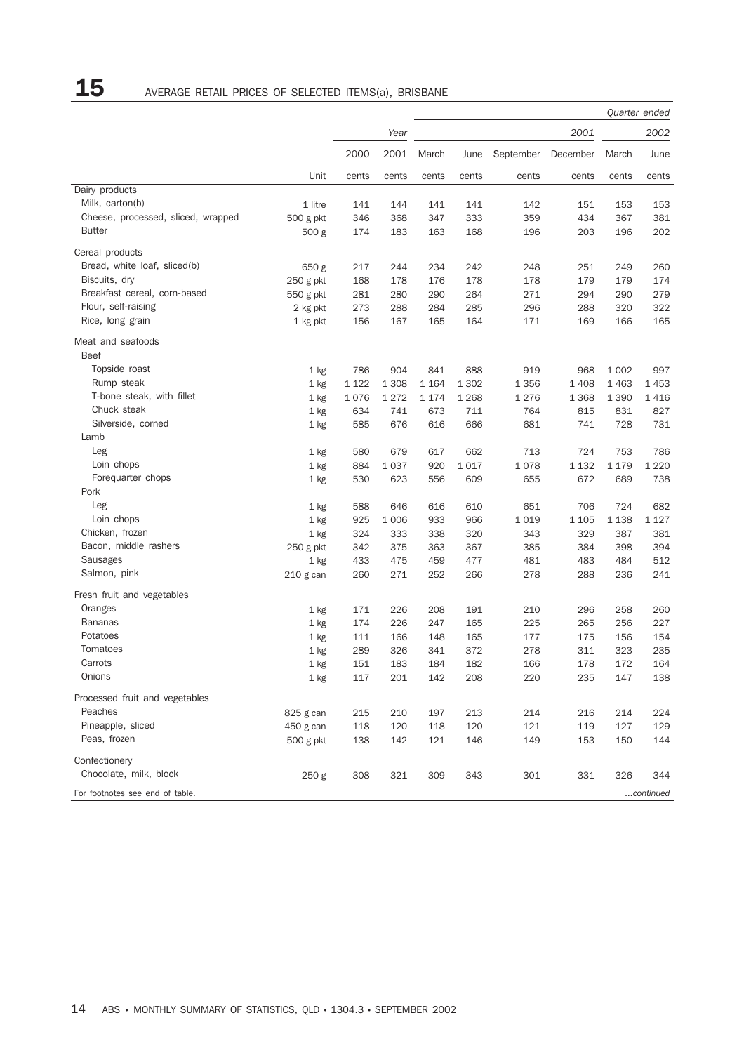|                                    |           |         |         |         |         |           |          |         | Quarter ended |
|------------------------------------|-----------|---------|---------|---------|---------|-----------|----------|---------|---------------|
|                                    |           |         | Year    |         |         |           | 2001     |         | 2002          |
|                                    |           | 2000    | 2001    | March   | June    | September | December | March   | June          |
|                                    | Unit      | cents   | cents   | cents   | cents   | cents     | cents    | cents   | cents         |
| Dairy products                     |           |         |         |         |         |           |          |         |               |
| Milk, carton(b)                    | 1 litre   | 141     | 144     | 141     | 141     | 142       | 151      | 153     | 153           |
| Cheese, processed, sliced, wrapped | 500 g pkt | 346     | 368     | 347     | 333     | 359       | 434      | 367     | 381           |
| <b>Butter</b>                      | 500 g     | 174     | 183     | 163     | 168     | 196       | 203      | 196     | 202           |
| Cereal products                    |           |         |         |         |         |           |          |         |               |
| Bread, white loaf, sliced(b)       | 650 g     | 217     | 244     | 234     | 242     | 248       | 251      | 249     | 260           |
| Biscuits, dry                      | 250 g pkt | 168     | 178     | 176     | 178     | 178       | 179      | 179     | 174           |
| Breakfast cereal, corn-based       | 550 g pkt | 281     | 280     | 290     | 264     | 271       | 294      | 290     | 279           |
| Flour, self-raising                | 2 kg pkt  | 273     | 288     | 284     | 285     | 296       | 288      | 320     | 322           |
| Rice, long grain                   | 1 kg pkt  | 156     | 167     | 165     | 164     | 171       | 169      | 166     | 165           |
| Meat and seafoods                  |           |         |         |         |         |           |          |         |               |
| <b>Beef</b>                        |           |         |         |         |         |           |          |         |               |
| Topside roast                      | 1 kg      | 786     | 904     | 841     | 888     | 919       | 968      | 1 0 0 2 | 997           |
| Rump steak                         | 1 kg      | 1 1 2 2 | 1 3 0 8 | 1 1 6 4 | 1 3 0 2 | 1356      | 1 4 0 8  | 1 4 6 3 | 1453          |
| T-bone steak, with fillet          | 1 kg      | 1076    | 1 2 7 2 | 1 1 7 4 | 1 2 6 8 | 1 2 7 6   | 1 3 6 8  | 1 3 9 0 | 1416          |
| Chuck steak                        | 1 kg      | 634     | 741     | 673     | 711     | 764       | 815      | 831     | 827           |
| Silverside, corned                 | 1 kg      | 585     | 676     | 616     | 666     | 681       | 741      | 728     | 731           |
| Lamb                               |           |         |         |         |         |           |          |         |               |
| Leg                                | 1 kg      | 580     | 679     | 617     | 662     | 713       | 724      | 753     | 786           |
| Loin chops                         | 1 kg      | 884     | 1 0 3 7 | 920     | 1 0 1 7 | 1078      | 1 1 3 2  | 1 1 7 9 | 1 2 2 0       |
| Forequarter chops                  | 1 kg      | 530     | 623     | 556     | 609     | 655       | 672      | 689     | 738           |
| Pork                               |           |         |         |         |         |           |          |         |               |
| Leg                                | 1 kg      | 588     | 646     | 616     | 610     | 651       | 706      | 724     | 682           |
| Loin chops                         | $1$ kg    | 925     | 1 0 0 6 | 933     | 966     | 1019      | 1 1 0 5  | 1 1 38  | 1 1 2 7       |
| Chicken, frozen                    | $1$ kg    | 324     | 333     | 338     | 320     | 343       | 329      | 387     | 381           |
| Bacon, middle rashers              | 250 g pkt | 342     | 375     | 363     | 367     | 385       | 384      | 398     | 394           |
| Sausages                           | 1 kg      | 433     | 475     | 459     | 477     | 481       | 483      | 484     | 512           |
| Salmon, pink                       | 210 g can | 260     | 271     | 252     | 266     | 278       | 288      | 236     | 241           |
| Fresh fruit and vegetables         |           |         |         |         |         |           |          |         |               |
| Oranges                            | 1 kg      | 171     | 226     | 208     | 191     | 210       | 296      | 258     | 260           |
| <b>Bananas</b>                     | 1 kg      | 174     | 226     | 247     | 165     | 225       | 265      | 256     | 227           |
| Potatoes                           | 1 kg      | 111     | 166     | 148     | 165     | 177       | 175      | 156     | 154           |
| Tomatoes                           | 1 kg      | 289     | 326     | 341     | 372     | 278       | 311      | 323     | 235           |
| Carrots                            | 1 kg      | 151     | 183     | 184     | 182     | 166       | 178      | 172     | 164           |
| Onions                             | 1 kg      | 117     | 201     | 142     | 208     | 220       | 235      | 147     | 138           |
| Processed fruit and vegetables     |           |         |         |         |         |           |          |         |               |
| Peaches                            | 825 g can | 215     | 210     | 197     | 213     | 214       | 216      | 214     | 224           |
| Pineapple, sliced                  | 450 g can | 118     | 120     | 118     | 120     | 121       | 119      | 127     | 129           |
| Peas, frozen                       | 500 g pkt | 138     | 142     | 121     | 146     | 149       | 153      | 150     | 144           |
| Confectionery                      |           |         |         |         |         |           |          |         |               |
| Chocolate, milk, block             | 250 g     | 308     | 321     | 309     | 343     | 301       | 331      | 326     | 344           |
| For footnotes see end of table.    |           |         |         |         |         |           |          |         | continued     |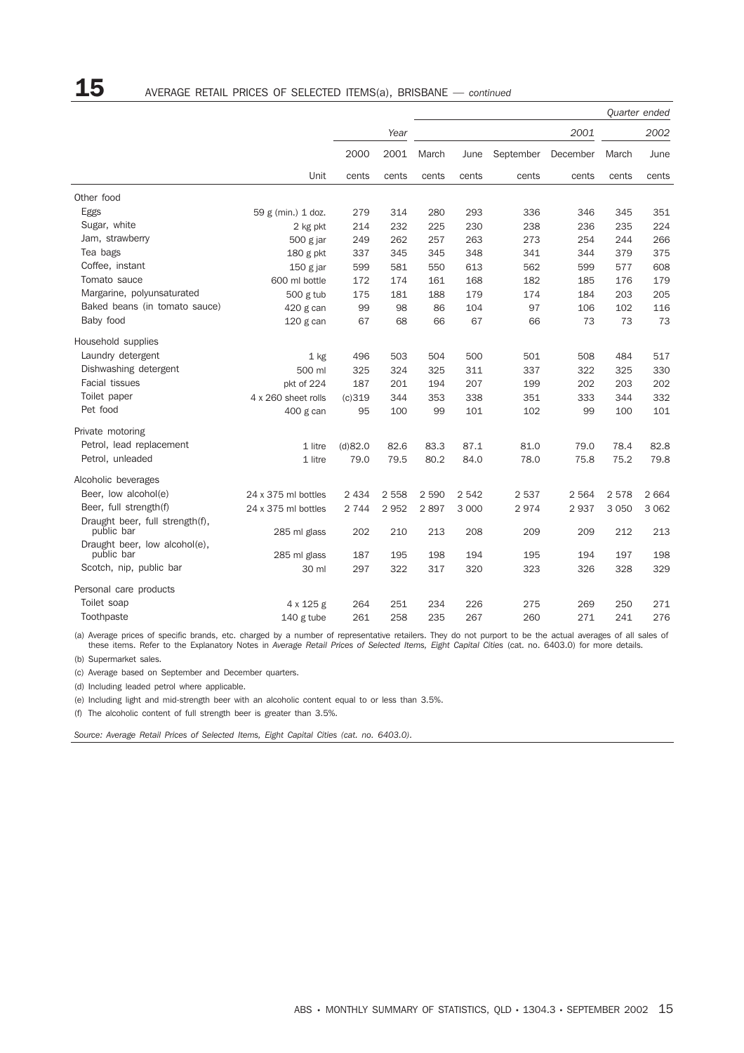## 15 AVERAGE RETAIL PRICES OF SELECTED ITEMS(a), BRISBANE — *continued*

|                                               |                     |         |         |         |         |           |          | Quarter ended |         |
|-----------------------------------------------|---------------------|---------|---------|---------|---------|-----------|----------|---------------|---------|
|                                               |                     |         | Year    |         |         |           | 2001     |               | 2002    |
|                                               |                     | 2000    | 2001    | March   | June    | September | December | March         | June    |
|                                               | Unit                | cents   | cents   | cents   | cents   | cents     | cents    | cents         | cents   |
| Other food                                    |                     |         |         |         |         |           |          |               |         |
| Eggs                                          | 59 g (min.) 1 doz.  | 279     | 314     | 280     | 293     | 336       | 346      | 345           | 351     |
| Sugar, white                                  | 2 kg pkt            | 214     | 232     | 225     | 230     | 238       | 236      | 235           | 224     |
| Jam, strawberry                               | 500 g jar           | 249     | 262     | 257     | 263     | 273       | 254      | 244           | 266     |
| Tea bags                                      | 180 g pkt           | 337     | 345     | 345     | 348     | 341       | 344      | 379           | 375     |
| Coffee, instant                               | 150 g jar           | 599     | 581     | 550     | 613     | 562       | 599      | 577           | 608     |
| Tomato sauce                                  | 600 ml bottle       | 172     | 174     | 161     | 168     | 182       | 185      | 176           | 179     |
| Margarine, polyunsaturated                    | 500 g tub           | 175     | 181     | 188     | 179     | 174       | 184      | 203           | 205     |
| Baked beans (in tomato sauce)                 | 420 g can           | 99      | 98      | 86      | 104     | 97        | 106      | 102           | 116     |
| Baby food                                     | $120$ g can         | 67      | 68      | 66      | 67      | 66        | 73       | 73            | 73      |
| Household supplies                            |                     |         |         |         |         |           |          |               |         |
| Laundry detergent                             | 1 kg                | 496     | 503     | 504     | 500     | 501       | 508      | 484           | 517     |
| Dishwashing detergent                         | 500 ml              | 325     | 324     | 325     | 311     | 337       | 322      | 325           | 330     |
| Facial tissues                                | pkt of 224          | 187     | 201     | 194     | 207     | 199       | 202      | 203           | 202     |
| Toilet paper                                  | 4 x 260 sheet rolls | (c)319  | 344     | 353     | 338     | 351       | 333      | 344           | 332     |
| Pet food                                      | 400 g can           | 95      | 100     | 99      | 101     | 102       | 99       | 100           | 101     |
| Private motoring                              |                     |         |         |         |         |           |          |               |         |
| Petrol, lead replacement                      | 1 litre             | (d)82.0 | 82.6    | 83.3    | 87.1    | 81.0      | 79.0     | 78.4          | 82.8    |
| Petrol, unleaded                              | 1 litre             | 79.0    | 79.5    | 80.2    | 84.0    | 78.0      | 75.8     | 75.2          | 79.8    |
| Alcoholic beverages                           |                     |         |         |         |         |           |          |               |         |
| Beer, low alcohol(e)                          | 24 x 375 ml bottles | 2 4 3 4 | 2 5 5 8 | 2 5 9 0 | 2 5 4 2 | 2537      | 2 5 6 4  | 2578          | 2 6 6 4 |
| Beer, full strength(f)                        | 24 x 375 ml bottles | 2 7 4 4 | 2952    | 2897    | 3 0 0 0 | 2974      | 2937     | 3 0 5 0       | 3 0 6 2 |
| Draught beer, full strength(f),<br>public bar | 285 ml glass        | 202     | 210     | 213     | 208     | 209       | 209      | 212           | 213     |
| Draught beer, low alcohol(e),<br>public bar   | 285 ml glass        | 187     | 195     | 198     | 194     | 195       | 194      | 197           | 198     |
| Scotch, nip, public bar                       | 30 ml               | 297     | 322     | 317     | 320     | 323       | 326      | 328           | 329     |
| Personal care products                        |                     |         |         |         |         |           |          |               |         |
| Toilet soap                                   | 4 x 125 g           | 264     | 251     | 234     | 226     | 275       | 269      | 250           | 271     |
| Toothpaste                                    | $140$ g tube        | 261     | 258     | 235     | 267     | 260       | 271      | 241           | 276     |
|                                               |                     |         |         |         |         |           |          |               |         |

(a) Average prices of specific brands, etc. charged by a number of representative retailers. They do not purport to be the actual averages of all sales of these items. Refer to the Explanatory Notes in *Average Retail Prices of Selected Items, Eight Capital Cities* (cat. no. 6403.0) for more details.

(b) Supermarket sales.

(c) Average based on September and December quarters.

(d) Including leaded petrol where applicable.

(e) Including light and mid-strength beer with an alcoholic content equal to or less than 3.5%.

(f) The alcoholic content of full strength beer is greater than 3.5%.

*Source: Average Retail Prices of Selected Items, Eight Capital Cities (cat. no. 6403.0).*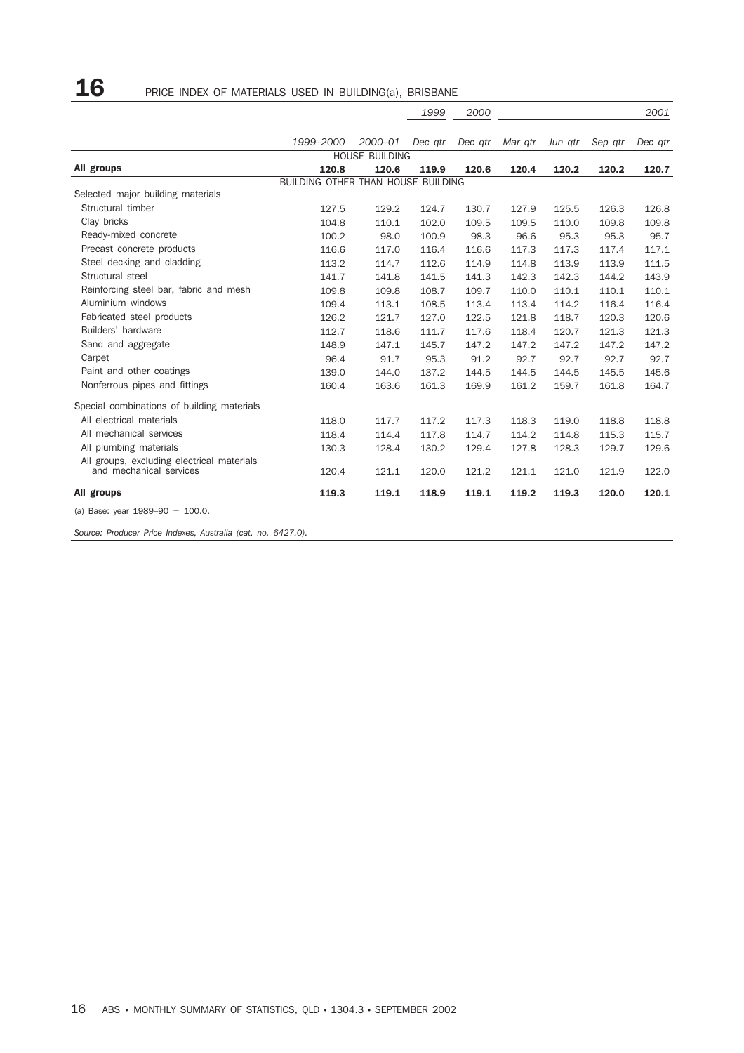## ${\bf 16}$  PRICE INDEX OF MATERIALS USED IN BUILDING(a), BRISBANE

|                                                                       |                                    |                       | 1999    | 2000    |         |         |         | 2001    |
|-----------------------------------------------------------------------|------------------------------------|-----------------------|---------|---------|---------|---------|---------|---------|
|                                                                       |                                    |                       |         |         |         |         |         |         |
|                                                                       | 1999-2000                          | 2000-01               | Dec atr | Dec gtr | Mar gtr | Jun qtr | Sep qtr | Dec atr |
|                                                                       |                                    | <b>HOUSE BUILDING</b> |         |         |         |         |         |         |
| All groups                                                            | 120.8                              | 120.6                 | 119.9   | 120.6   | 120.4   | 120.2   | 120.2   | 120.7   |
|                                                                       | BUILDING OTHER THAN HOUSE BUILDING |                       |         |         |         |         |         |         |
| Selected major building materials                                     |                                    |                       |         |         |         |         |         |         |
| Structural timber                                                     | 127.5                              | 129.2                 | 124.7   | 130.7   | 127.9   | 125.5   | 126.3   | 126.8   |
| Clay bricks                                                           | 104.8                              | 110.1                 | 102.0   | 109.5   | 109.5   | 110.0   | 109.8   | 109.8   |
| Ready-mixed concrete                                                  | 100.2                              | 98.0                  | 100.9   | 98.3    | 96.6    | 95.3    | 95.3    | 95.7    |
| Precast concrete products                                             | 116.6                              | 117.0                 | 116.4   | 116.6   | 117.3   | 117.3   | 117.4   | 117.1   |
| Steel decking and cladding                                            | 113.2                              | 114.7                 | 112.6   | 114.9   | 114.8   | 113.9   | 113.9   | 111.5   |
| Structural steel                                                      | 141.7                              | 141.8                 | 141.5   | 141.3   | 142.3   | 142.3   | 144.2   | 143.9   |
| Reinforcing steel bar, fabric and mesh                                | 109.8                              | 109.8                 | 108.7   | 109.7   | 110.0   | 110.1   | 110.1   | 110.1   |
| Aluminium windows                                                     | 109.4                              | 113.1                 | 108.5   | 113.4   | 113.4   | 114.2   | 116.4   | 116.4   |
| Fabricated steel products                                             | 126.2                              | 121.7                 | 127.0   | 122.5   | 121.8   | 118.7   | 120.3   | 120.6   |
| Builders' hardware                                                    | 112.7                              | 118.6                 | 111.7   | 117.6   | 118.4   | 120.7   | 121.3   | 121.3   |
| Sand and aggregate                                                    | 148.9                              | 147.1                 | 145.7   | 147.2   | 147.2   | 147.2   | 147.2   | 147.2   |
| Carpet                                                                | 96.4                               | 91.7                  | 95.3    | 91.2    | 92.7    | 92.7    | 92.7    | 92.7    |
| Paint and other coatings                                              | 139.0                              | 144.0                 | 137.2   | 144.5   | 144.5   | 144.5   | 145.5   | 145.6   |
| Nonferrous pipes and fittings                                         | 160.4                              | 163.6                 | 161.3   | 169.9   | 161.2   | 159.7   | 161.8   | 164.7   |
| Special combinations of building materials                            |                                    |                       |         |         |         |         |         |         |
| All electrical materials                                              | 118.0                              | 117.7                 | 117.2   | 117.3   | 118.3   | 119.0   | 118.8   | 118.8   |
| All mechanical services                                               | 118.4                              | 114.4                 | 117.8   | 114.7   | 114.2   | 114.8   | 115.3   | 115.7   |
| All plumbing materials                                                | 130.3                              | 128.4                 | 130.2   | 129.4   | 127.8   | 128.3   | 129.7   | 129.6   |
| All groups, excluding electrical materials<br>and mechanical services | 120.4                              | 121.1                 | 120.0   | 121.2   | 121.1   | 121.0   | 121.9   | 122.0   |
| All groups                                                            | 119.3                              | 119.1                 | 118.9   | 119.1   | 119.2   | 119.3   | 120.0   | 120.1   |
| (a) Base: year $1989-90 = 100.0$ .                                    |                                    |                       |         |         |         |         |         |         |
| Source: Producer Price Indexes, Australia (cat. no. 6427.0).          |                                    |                       |         |         |         |         |         |         |

16 ABS • MONTHLY SUMMARY OF STATISTICS, QLD • 1304.3 • SEPTEMBER 2002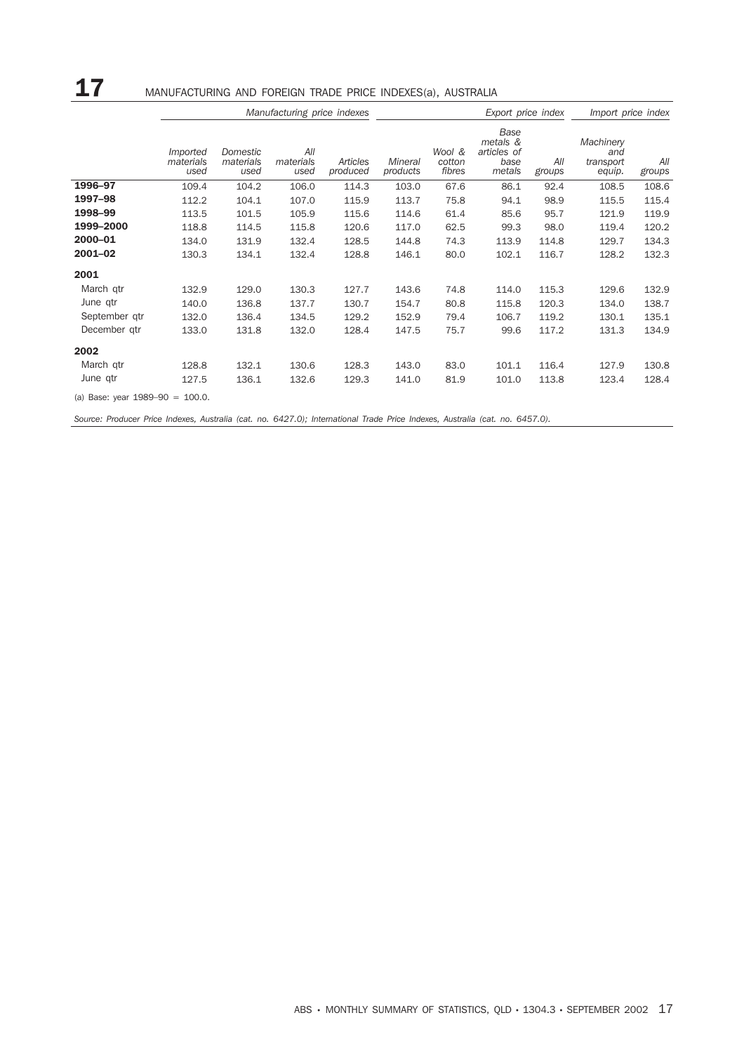## 17 MANUFACTURING AND FOREIGN TRADE PRICE INDEXES(a), AUSTRALIA

|                                    |                                      |                               | Manufacturing price indexes |                      | Export price index  |                            |                                                   |               | Import price index                      |               |
|------------------------------------|--------------------------------------|-------------------------------|-----------------------------|----------------------|---------------------|----------------------------|---------------------------------------------------|---------------|-----------------------------------------|---------------|
|                                    | <i>Imported</i><br>materials<br>used | Domestic<br>materials<br>used | All<br>materials<br>used    | Articles<br>produced | Mineral<br>products | Wool &<br>cotton<br>fibres | Base<br>metals &<br>articles of<br>base<br>metals | All<br>groups | Machinery<br>and<br>transport<br>equip. | All<br>groups |
| 1996-97                            | 109.4                                | 104.2                         | 106.0                       | 114.3                | 103.0               | 67.6                       | 86.1                                              | 92.4          | 108.5                                   | 108.6         |
| 1997-98                            | 112.2                                | 104.1                         | 107.0                       | 115.9                | 113.7               | 75.8                       | 94.1                                              | 98.9          | 115.5                                   | 115.4         |
| 1998-99                            | 113.5                                | 101.5                         | 105.9                       | 115.6                | 114.6               | 61.4                       | 85.6                                              | 95.7          | 121.9                                   | 119.9         |
| 1999-2000                          | 118.8                                | 114.5                         | 115.8                       | 120.6                | 117.0               | 62.5                       | 99.3                                              | 98.0          | 119.4                                   | 120.2         |
| 2000-01                            | 134.0                                | 131.9                         | 132.4                       | 128.5                | 144.8               | 74.3                       | 113.9                                             | 114.8         | 129.7                                   | 134.3         |
| 2001-02                            | 130.3                                | 134.1                         | 132.4                       | 128.8                | 146.1               | 80.0                       | 102.1                                             | 116.7         | 128.2                                   | 132.3         |
| 2001                               |                                      |                               |                             |                      |                     |                            |                                                   |               |                                         |               |
| March gtr                          | 132.9                                | 129.0                         | 130.3                       | 127.7                | 143.6               | 74.8                       | 114.0                                             | 115.3         | 129.6                                   | 132.9         |
| June qtr                           | 140.0                                | 136.8                         | 137.7                       | 130.7                | 154.7               | 80.8                       | 115.8                                             | 120.3         | 134.0                                   | 138.7         |
| September qtr                      | 132.0                                | 136.4                         | 134.5                       | 129.2                | 152.9               | 79.4                       | 106.7                                             | 119.2         | 130.1                                   | 135.1         |
| December gtr                       | 133.0                                | 131.8                         | 132.0                       | 128.4                | 147.5               | 75.7                       | 99.6                                              | 117.2         | 131.3                                   | 134.9         |
| 2002                               |                                      |                               |                             |                      |                     |                            |                                                   |               |                                         |               |
| March qtr                          | 128.8                                | 132.1                         | 130.6                       | 128.3                | 143.0               | 83.0                       | 101.1                                             | 116.4         | 127.9                                   | 130.8         |
| June qtr                           | 127.5                                | 136.1                         | 132.6                       | 129.3                | 141.0               | 81.9                       | 101.0                                             | 113.8         | 123.4                                   | 128.4         |
| (a) Base: year $1989-90 = 100.0$ . |                                      |                               |                             |                      |                     |                            |                                                   |               |                                         |               |

*Source: Producer Price Indexes, Australia (cat. no. 6427.0); International Trade Price Indexes, Australia (cat. no. 6457.0).*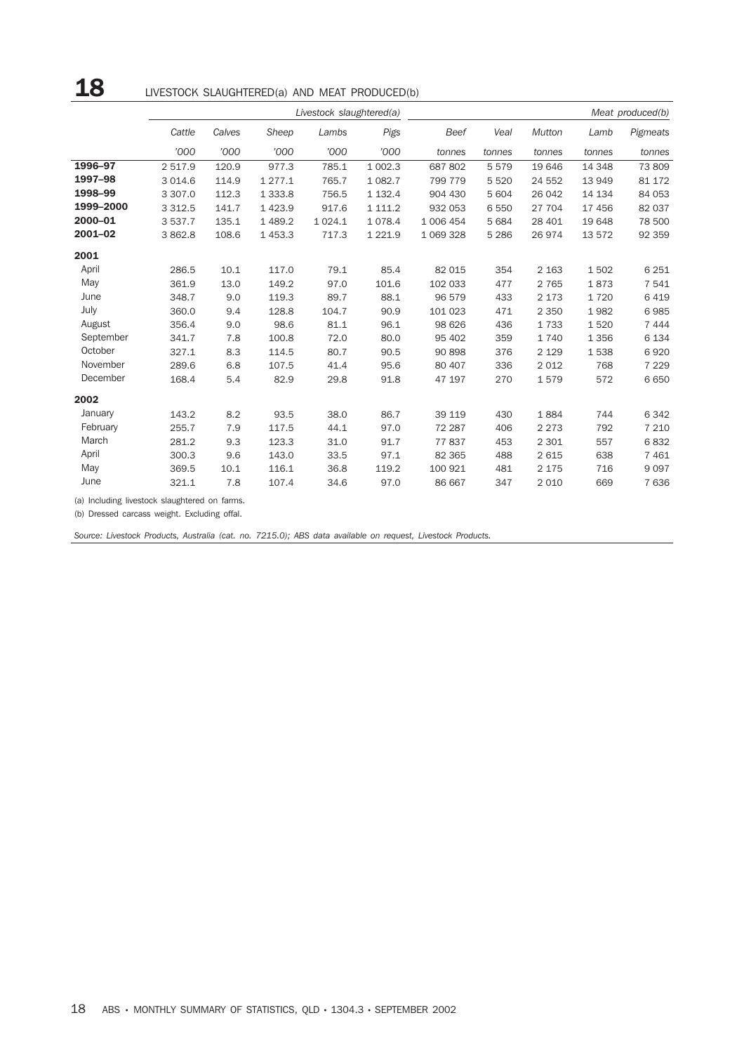|           |             | Livestock slaughtered(a) |             |          |             |             | Meat produced(b) |         |         |          |
|-----------|-------------|--------------------------|-------------|----------|-------------|-------------|------------------|---------|---------|----------|
|           | Cattle      | Calves                   | Sheep       | Lambs    | Pigs        | Beef        | Veal             | Mutton  | Lamb    | Pigmeats |
|           | '000        | '000                     | '000        | '000     | '000        | tonnes      | tonnes           | tonnes  | tonnes  | tonnes   |
| 1996-97   | 2 517.9     | 120.9                    | 977.3       | 785.1    | 1 002.3     | 687 802     | 5579             | 19 646  | 14 348  | 73 809   |
| 1997-98   | 3 0 1 4.6   | 114.9                    | 1 2 7 7 . 1 | 765.7    | 1 0 8 2.7   | 799 779     | 5 5 20           | 24 552  | 13 949  | 81 172   |
| 1998-99   | 3 307.0     | 112.3                    | 1 3 3 3 . 8 | 756.5    | 1 1 3 2 . 4 | 904 430     | 5 604            | 26 042  | 14 134  | 84 053   |
| 1999-2000 | 3 3 1 2.5   | 141.7                    | 1 4 2 3.9   | 917.6    | 1 111.2     | 932 053     | 6 5 5 0          | 27 704  | 17 456  | 82 037   |
| 2000-01   | 3 5 3 7 . 7 | 135.1                    | 1 4 8 9.2   | 1 0 24.1 | 1 0 78.4    | 1 006 454   | 5 6 8 4          | 28 401  | 19 648  | 78 500   |
| 2001-02   | 3 862.8     | 108.6                    | 1 4 5 3.3   | 717.3    | 1 2 2 1.9   | 1 0 69 3 28 | 5 2 8 6          | 26974   | 13 572  | 92 359   |
| 2001      |             |                          |             |          |             |             |                  |         |         |          |
| April     | 286.5       | 10.1                     | 117.0       | 79.1     | 85.4        | 82 015      | 354              | 2 1 6 3 | 1502    | 6 2 5 1  |
| May       | 361.9       | 13.0                     | 149.2       | 97.0     | 101.6       | 102 033     | 477              | 2 7 6 5 | 1873    | 7 541    |
| June      | 348.7       | 9.0                      | 119.3       | 89.7     | 88.1        | 96 579      | 433              | 2 1 7 3 | 1720    | 6419     |
| July      | 360.0       | 9.4                      | 128.8       | 104.7    | 90.9        | 101 023     | 471              | 2 3 5 0 | 1982    | 6985     |
| August    | 356.4       | 9.0                      | 98.6        | 81.1     | 96.1        | 98 626      | 436              | 1733    | 1520    | 7 4 4 4  |
| September | 341.7       | 7.8                      | 100.8       | 72.0     | 80.0        | 95 402      | 359              | 1740    | 1 3 5 6 | 6 1 3 4  |
| October   | 327.1       | 8.3                      | 114.5       | 80.7     | 90.5        | 90 898      | 376              | 2 1 2 9 | 1538    | 6920     |
| November  | 289.6       | 6.8                      | 107.5       | 41.4     | 95.6        | 80 40 7     | 336              | 2012    | 768     | 7 2 2 9  |
| December  | 168.4       | 5.4                      | 82.9        | 29.8     | 91.8        | 47 197      | 270              | 1579    | 572     | 6650     |
| 2002      |             |                          |             |          |             |             |                  |         |         |          |
| January   | 143.2       | 8.2                      | 93.5        | 38.0     | 86.7        | 39 119      | 430              | 1884    | 744     | 6 3 4 2  |
| February  | 255.7       | 7.9                      | 117.5       | 44.1     | 97.0        | 72 287      | 406              | 2 2 7 3 | 792     | 7 2 1 0  |
| March     | 281.2       | 9.3                      | 123.3       | 31.0     | 91.7        | 77837       | 453              | 2 3 0 1 | 557     | 6832     |
| April     | 300.3       | 9.6                      | 143.0       | 33.5     | 97.1        | 82 365      | 488              | 2615    | 638     | 7 4 6 1  |
| May       | 369.5       | 10.1                     | 116.1       | 36.8     | 119.2       | 100 921     | 481              | 2 1 7 5 | 716     | 9097     |
| June      | 321.1       | 7.8                      | 107.4       | 34.6     | 97.0        | 86 667      | 347              | 2010    | 669     | 7 636    |

(a) Including livestock slaughtered on farms.

(b) Dressed carcass weight. Excluding offal.

*Source: Livestock Products, Australia (cat. no. 7215.0); ABS data available on request, Livestock Products.*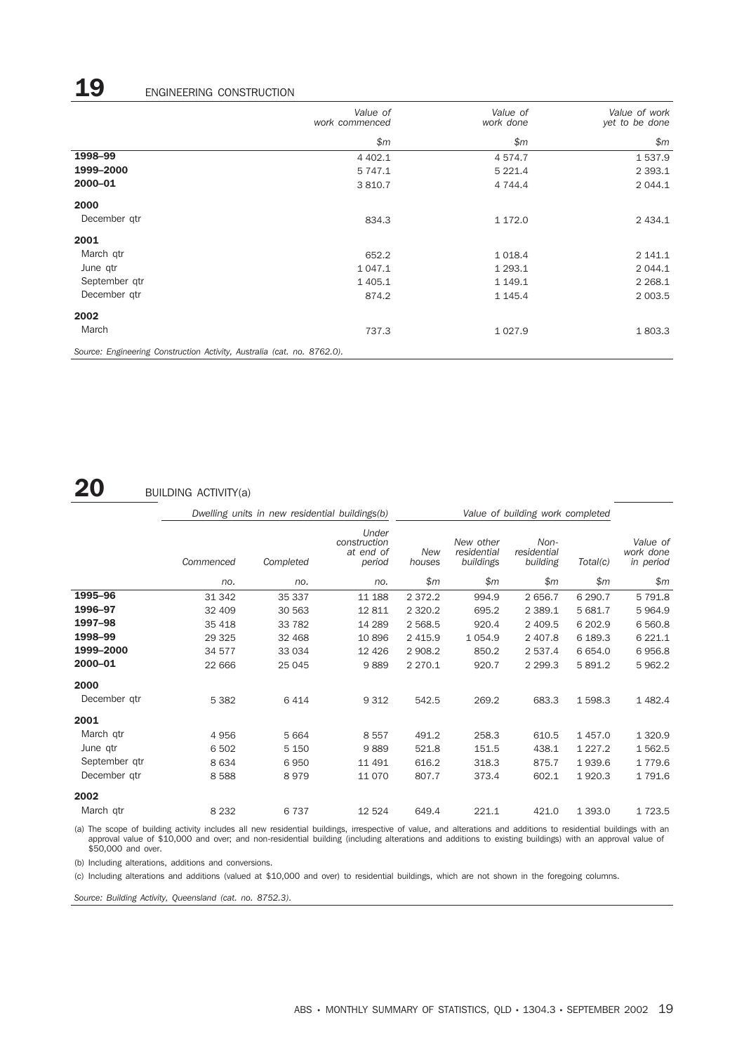# 19 ENGINEERING CONSTRUCTION

|                                                                         | Value of<br>work commenced | Value of<br>work done | Value of work<br>yet to be done |
|-------------------------------------------------------------------------|----------------------------|-----------------------|---------------------------------|
|                                                                         | \$m\$                      | \$m\$                 | \$m\$                           |
| 1998-99                                                                 | 4 4 0 2.1                  | 4 5 7 4 . 7           | 1 537.9                         |
| 1999-2000                                                               | 5 747.1                    | 5 2 2 1.4             | 2 3 9 3.1                       |
| 2000-01                                                                 | 3 8 1 0.7                  | 4 744.4               | 2 044.1                         |
| 2000                                                                    |                            |                       |                                 |
| December qtr                                                            | 834.3                      | 1 172.0               | 2 4 3 4 . 1                     |
| 2001                                                                    |                            |                       |                                 |
| March qtr                                                               | 652.2                      | 1 0 18.4              | 2 141.1                         |
| June qtr                                                                | 1 0 4 7 . 1                | 1 2 9 3 . 1           | 2 0 4 4.1                       |
| September qtr                                                           | 1 4 0 5.1                  | 1 149.1               | 2 2 68.1                        |
| December qtr                                                            | 874.2                      | 1 145.4               | 2 0 0 3.5                       |
| 2002                                                                    |                            |                       |                                 |
| March                                                                   | 737.3                      | 1 0 2 7 .9            | 1803.3                          |
| Source: Engineering Construction Activity, Australia (cat. no. 8762.0). |                            |                       |                                 |

## 20 BUILDING ACTIVITY(a)

|               |           | Dwelling units in new residential buildings(b) |                                              |                      |                                       | Value of building work completed |             |                                    |  |  |
|---------------|-----------|------------------------------------------------|----------------------------------------------|----------------------|---------------------------------------|----------------------------------|-------------|------------------------------------|--|--|
|               | Commenced | Completed                                      | Under<br>construction<br>at end of<br>period | <b>New</b><br>houses | New other<br>residential<br>buildings | Non-<br>residential<br>building  | Total(c)    | Value of<br>work done<br>in period |  |  |
|               | no.       | no.                                            | no.                                          | \$m\$                | \$m\$                                 | \$m\$                            | \$m\$       | \$m\$                              |  |  |
| 1995-96       | 31 342    | 35 337                                         | 11 188                                       | 2 3 7 2 . 2          | 994.9                                 | 2 656.7                          | 6 290.7     | 5 7 9 1.8                          |  |  |
| 1996-97       | 32 409    | 30 563                                         | 12 811                                       | 2 3 2 0.2            | 695.2                                 | 2 3 8 9.1                        | 5 681.7     | 5964.9                             |  |  |
| 1997-98       | 35 418    | 33 782                                         | 14 289                                       | 2 5 68.5             | 920.4                                 | 2 409.5                          | 6 202.9     | 6 5 6 0.8                          |  |  |
| 1998-99       | 29 3 25   | 32 468                                         | 10 896                                       | 2 4 1 5.9            | 1 0 5 4 .9                            | 2 407.8                          | 6 189.3     | 6 2 2 1.1                          |  |  |
| 1999-2000     | 34 577    | 33 034                                         | 12 4 26                                      | 2 908.2              | 850.2                                 | 2 537.4                          | 6 6 5 4.0   | 6956.8                             |  |  |
| 2000-01       | 22 666    | 25 045                                         | 9889                                         | 2 2 7 0.1            | 920.7                                 | 2 2 9 9.3                        | 5 891.2     | 5 962.2                            |  |  |
| 2000          |           |                                                |                                              |                      |                                       |                                  |             |                                    |  |  |
| December qtr  | 5 3 8 2   | 6 4 1 4                                        | 9 3 1 2                                      | 542.5                | 269.2                                 | 683.3                            | 1 598.3     | 1 4 8 2.4                          |  |  |
| 2001          |           |                                                |                                              |                      |                                       |                                  |             |                                    |  |  |
| March qtr     | 4956      | 5 6 6 4                                        | 8557                                         | 491.2                | 258.3                                 | 610.5                            | 1457.0      | 1 3 2 0.9                          |  |  |
| June qtr      | 6502      | 5 1 5 0                                        | 9889                                         | 521.8                | 151.5                                 | 438.1                            | 1 2 2 7 . 2 | 1562.5                             |  |  |
| September qtr | 8634      | 6950                                           | 11 491                                       | 616.2                | 318.3                                 | 875.7                            | 1939.6      | 1779.6                             |  |  |
| December qtr  | 8588      | 8979                                           | 11 070                                       | 807.7                | 373.4                                 | 602.1                            | 1920.3      | 1791.6                             |  |  |
| 2002          |           |                                                |                                              |                      |                                       |                                  |             |                                    |  |  |
| March qtr     | 8 2 3 2   | 6737                                           | 12 5 24                                      | 649.4                | 221.1                                 | 421.0                            | 1 393.0     | 1723.5                             |  |  |

(a) The scope of building activity includes all new residential buildings, irrespective of value, and alterations and additions to residential buildings with an<br>approval value of \$10,000 and over; and non-residential build \$50,000 and over.

(b) Including alterations, additions and conversions.

(c) Including alterations and additions (valued at \$10,000 and over) to residential buildings, which are not shown in the foregoing columns.

*Source: Building Activity, Queensland (cat. no. 8752.3).*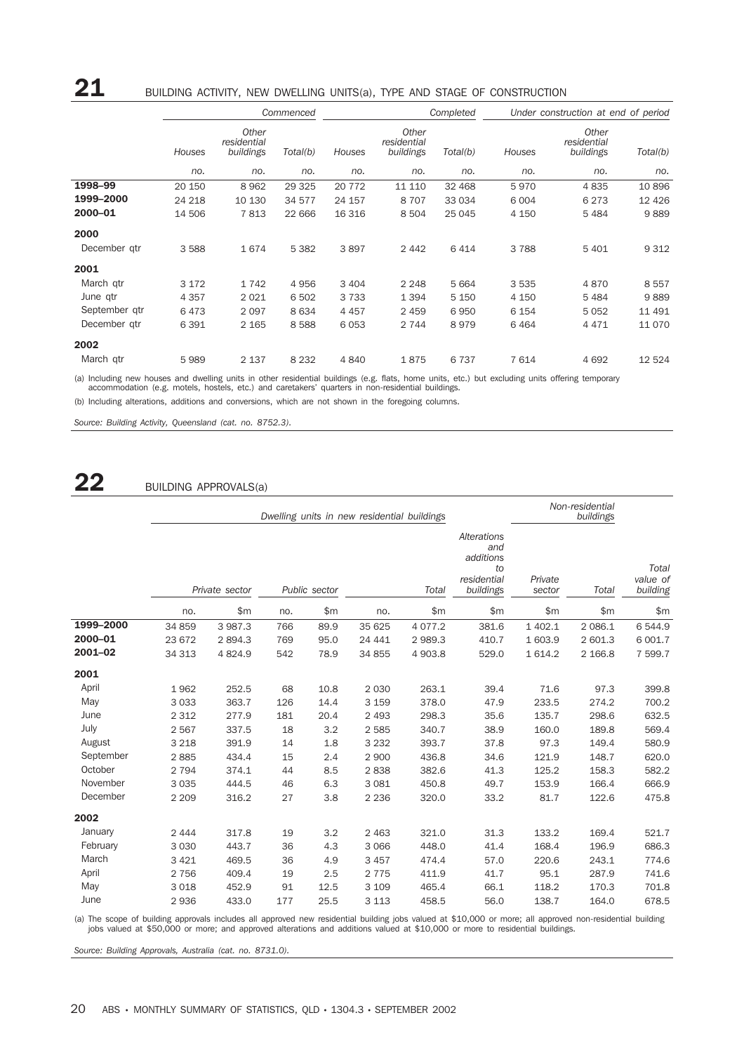## 21 BUILDING ACTIVITY, NEW DWELLING UNITS(a), TYPE AND STAGE OF CONSTRUCTION

|               |         |                                               | Commenced | Completed |                                   |          | Under construction at end of period |                                   |          |
|---------------|---------|-----------------------------------------------|-----------|-----------|-----------------------------------|----------|-------------------------------------|-----------------------------------|----------|
|               | Houses  | Other<br>residential<br>buildings<br>Total(b) |           | Houses    | Other<br>residential<br>buildings | Total(b) | Houses                              | Other<br>residential<br>buildings | Total(b) |
|               | no.     | no.                                           | no.       | no.       | no.                               | no.      | no.                                 | no.                               | no.      |
| 1998-99       | 20 150  | 8 9 6 2                                       | 29 3 25   | 20 772    | 11 110                            | 32 4 68  | 5970                                | 4835                              | 10896    |
| 1999-2000     | 24 218  | 10 130                                        | 34 577    | 24 157    | 8707                              | 33 0 34  | 6 0 0 4                             | 6 2 7 3                           | 12 4 26  |
| 2000-01       | 14 506  | 7813                                          | 22 666    | 16 316    | 8 5 0 4                           | 25 045   | 4 150                               | 5484                              | 9889     |
| 2000          |         |                                               |           |           |                                   |          |                                     |                                   |          |
| December gtr  | 3 5 8 8 | 1674                                          | 5 3 8 2   | 3897      | 2 4 4 2                           | 6414     | 3788                                | 5 4 0 1                           | 9 3 1 2  |
| 2001          |         |                                               |           |           |                                   |          |                                     |                                   |          |
| March gtr     | 3 1 7 2 | 1742                                          | 4956      | 3 4 0 4   | 2 2 4 8                           | 5 6 6 4  | 3 5 3 5                             | 4870                              | 8557     |
| June gtr      | 4 3 5 7 | 2 0 2 1                                       | 6 5 0 2   | 3 7 3 3   | 1 3 9 4                           | 5 1 5 0  | 4 150                               | 5484                              | 9889     |
| September qtr | 6473    | 2 0 9 7                                       | 8 6 3 4   | 4 4 5 7   | 2 4 5 9                           | 6950     | 6 1 5 4                             | 5052                              | 11 491   |
| December gtr  | 6 3 9 1 | 2 1 6 5                                       | 8588      | 6 0 5 3   | 2 7 4 4                           | 8979     | 6464                                | 4 4 7 1                           | 11 0 70  |
| 2002          |         |                                               |           |           |                                   |          |                                     |                                   |          |
| March gtr     | 5989    | 2 1 3 7                                       | 8 2 3 2   | 4840      | 1875                              | 6 7 3 7  | 7614                                | 4692                              | 12 5 24  |

(a) Including new houses and dwelling units in other residential buildings (e.g. flats, home units, etc.) but excluding units offering temporary accommodation (e.g. motels, hostels, etc.) and caretakers' quarters in non-residential buildings.

(b) Including alterations, additions and conversions, which are not shown in the foregoing columns.

*Source: Building Activity, Queensland (cat. no. 8752.3).*

## 22 BUILDING APPROVALS(a)

|           |         |                |     |                        | Dwelling units in new residential buildings |                                                                          |                   | Non-residential<br>buildings |                               |         |
|-----------|---------|----------------|-----|------------------------|---------------------------------------------|--------------------------------------------------------------------------|-------------------|------------------------------|-------------------------------|---------|
|           |         | Private sector |     | Public sector<br>Total |                                             | <b>Alterations</b><br>and<br>additions<br>to<br>residential<br>buildings | Private<br>sector | Total                        | Total<br>value of<br>building |         |
|           | no.     | \$m            | no. | \$m\$                  | no.                                         | \$m                                                                      | \$m               | \$m                          | \$m\$                         | \$m     |
| 1999-2000 | 34 859  | 3 987.3        | 766 | 89.9                   | 35 625                                      | 4 0 7 7 .2                                                               | 381.6             | 1 402.1                      | 2 0 8 6.1                     | 6 544.9 |
| 2000-01   | 23 672  | 2 894.3        | 769 | 95.0                   | 24 441                                      | 2 989.3                                                                  | 410.7             | 1 603.9                      | 2 601.3                       | 6 001.7 |
| 2001-02   | 34 313  | 4 8 24.9       | 542 | 78.9                   | 34 855                                      | 4 903.8                                                                  | 529.0             | 1 6 1 4.2                    | 2 166.8                       | 7 599.7 |
| 2001      |         |                |     |                        |                                             |                                                                          |                   |                              |                               |         |
| April     | 1962    | 252.5          | 68  | 10.8                   | 2 0 3 0                                     | 263.1                                                                    | 39.4              | 71.6                         | 97.3                          | 399.8   |
| May       | 3 0 3 3 | 363.7          | 126 | 14.4                   | 3 1 5 9                                     | 378.0                                                                    | 47.9              | 233.5                        | 274.2                         | 700.2   |
| June      | 2 3 1 2 | 277.9          | 181 | 20.4                   | 2 4 9 3                                     | 298.3                                                                    | 35.6              | 135.7                        | 298.6                         | 632.5   |
| July      | 2 5 6 7 | 337.5          | 18  | 3.2                    | 2 5 8 5                                     | 340.7                                                                    | 38.9              | 160.0                        | 189.8                         | 569.4   |
| August    | 3 2 1 8 | 391.9          | 14  | 1.8                    | 3 2 3 2                                     | 393.7                                                                    | 37.8              | 97.3                         | 149.4                         | 580.9   |
| September | 2885    | 434.4          | 15  | 2.4                    | 2 900                                       | 436.8                                                                    | 34.6              | 121.9                        | 148.7                         | 620.0   |
| October   | 2 7 9 4 | 374.1          | 44  | 8.5                    | 2838                                        | 382.6                                                                    | 41.3              | 125.2                        | 158.3                         | 582.2   |
| November  | 3 0 3 5 | 444.5          | 46  | 6.3                    | 3 0 8 1                                     | 450.8                                                                    | 49.7              | 153.9                        | 166.4                         | 666.9   |
| December  | 2 2 0 9 | 316.2          | 27  | 3.8                    | 2 2 3 6                                     | 320.0                                                                    | 33.2              | 81.7                         | 122.6                         | 475.8   |
| 2002      |         |                |     |                        |                                             |                                                                          |                   |                              |                               |         |
| January   | 2 4 4 4 | 317.8          | 19  | 3.2                    | 2 4 6 3                                     | 321.0                                                                    | 31.3              | 133.2                        | 169.4                         | 521.7   |
| February  | 3 0 3 0 | 443.7          | 36  | 4.3                    | 3 0 6 6                                     | 448.0                                                                    | 41.4              | 168.4                        | 196.9                         | 686.3   |
| March     | 3 4 2 1 | 469.5          | 36  | 4.9                    | 3 4 5 7                                     | 474.4                                                                    | 57.0              | 220.6                        | 243.1                         | 774.6   |
| April     | 2 7 5 6 | 409.4          | 19  | 2.5                    | 2 7 7 5                                     | 411.9                                                                    | 41.7              | 95.1                         | 287.9                         | 741.6   |
| May       | 3 0 18  | 452.9          | 91  | 12.5                   | 3 1 0 9                                     | 465.4                                                                    | 66.1              | 118.2                        | 170.3                         | 701.8   |
| June      | 2936    | 433.0          | 177 | 25.5                   | 3 1 1 3                                     | 458.5                                                                    | 56.0              | 138.7                        | 164.0                         | 678.5   |

(a) The scope of building approvals includes all approved new residential building jobs valued at \$10,000 or more; all approved non-residential building jobs valued at \$50,000 or more; and approved alterations and additions valued at \$10,000 or more to residential buildings.

*Source: Building Approvals, Australia (cat. no. 8731.0).*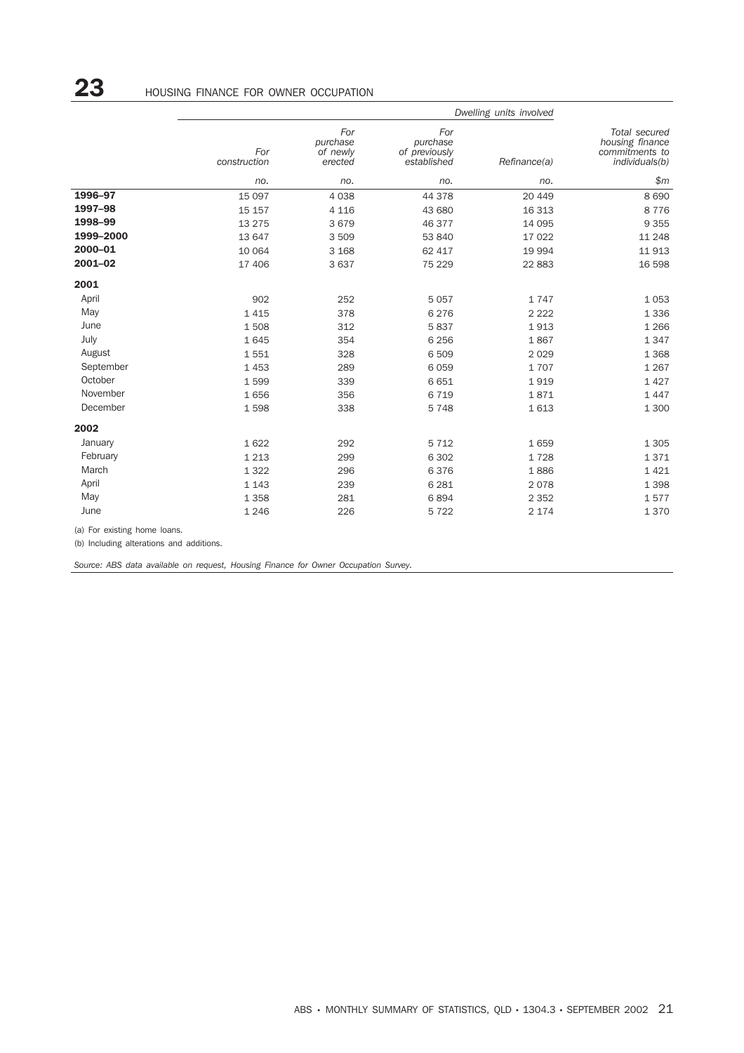|           | Dwelling units involved |                                        |                                                 |              |                                                                      |  |  |  |  |
|-----------|-------------------------|----------------------------------------|-------------------------------------------------|--------------|----------------------------------------------------------------------|--|--|--|--|
|           | For<br>construction     | For<br>purchase<br>of newly<br>erected | For<br>purchase<br>of previously<br>established | Refinance(a) | Total secured<br>housing finance<br>commitments to<br>individuals(b) |  |  |  |  |
|           | no.                     | no.                                    | no.                                             | no.          | \$m                                                                  |  |  |  |  |
| 1996-97   | 15 0 97                 | 4038                                   | 44 378                                          | 20 449       | 8690                                                                 |  |  |  |  |
| 1997-98   | 15 157                  | 4 1 1 6                                | 43 680                                          | 16 313       | 8776                                                                 |  |  |  |  |
| 1998-99   | 13 275                  | 3679                                   | 46 377                                          | 14 095       | 9 3 5 5                                                              |  |  |  |  |
| 1999-2000 | 13 647                  | 3509                                   | 53 840                                          | 17 022       | 11 248                                                               |  |  |  |  |
| 2000-01   | 10 064                  | 3 1 6 8                                | 62 417                                          | 19 994       | 11913                                                                |  |  |  |  |
| 2001-02   | 17 406                  | 3637                                   | 75 229                                          | 22 883       | 16 598                                                               |  |  |  |  |
| 2001      |                         |                                        |                                                 |              |                                                                      |  |  |  |  |
| April     | 902                     | 252                                    | 5 0 5 7                                         | 1747         | 1 0 5 3                                                              |  |  |  |  |
| May       | 1 4 1 5                 | 378                                    | 6 2 7 6                                         | 2 2 2 2      | 1 3 3 6                                                              |  |  |  |  |
| June      | 1508                    | 312                                    | 5837                                            | 1913         | 1 2 6 6                                                              |  |  |  |  |
| July      | 1645                    | 354                                    | 6 2 5 6                                         | 1867         | 1 3 4 7                                                              |  |  |  |  |
| August    | 1551                    | 328                                    | 6 509                                           | 2029         | 1 3 6 8                                                              |  |  |  |  |
| September | 1 4 5 3                 | 289                                    | 6 0 5 9                                         | 1707         | 1 2 6 7                                                              |  |  |  |  |
| October   | 1599                    | 339                                    | 6 6 5 1                                         | 1919         | 1 4 2 7                                                              |  |  |  |  |
| November  | 1656                    | 356                                    | 6719                                            | 1871         | 1447                                                                 |  |  |  |  |
| December  | 1598                    | 338                                    | 5748                                            | 1613         | 1 300                                                                |  |  |  |  |
| 2002      |                         |                                        |                                                 |              |                                                                      |  |  |  |  |
| January   | 1622                    | 292                                    | 5 7 1 2                                         | 1659         | 1 3 0 5                                                              |  |  |  |  |
| February  | 1 2 1 3                 | 299                                    | 6 3 0 2                                         | 1728         | 1371                                                                 |  |  |  |  |
| March     | 1 3 2 2                 | 296                                    | 6376                                            | 1886         | 1 4 2 1                                                              |  |  |  |  |
| April     | 1 1 4 3                 | 239                                    | 6 2 8 1                                         | 2078         | 1 3 9 8                                                              |  |  |  |  |
| May       | 1 3 5 8                 | 281                                    | 6894                                            | 2 3 5 2      | 1577                                                                 |  |  |  |  |
| June      | 1 2 4 6                 | 226                                    | 5722                                            | 2 1 7 4      | 1370                                                                 |  |  |  |  |

(a) For existing home loans.

(b) Including alterations and additions.

*Source: ABS data available on request, Housing Finance for Owner Occupation Survey.*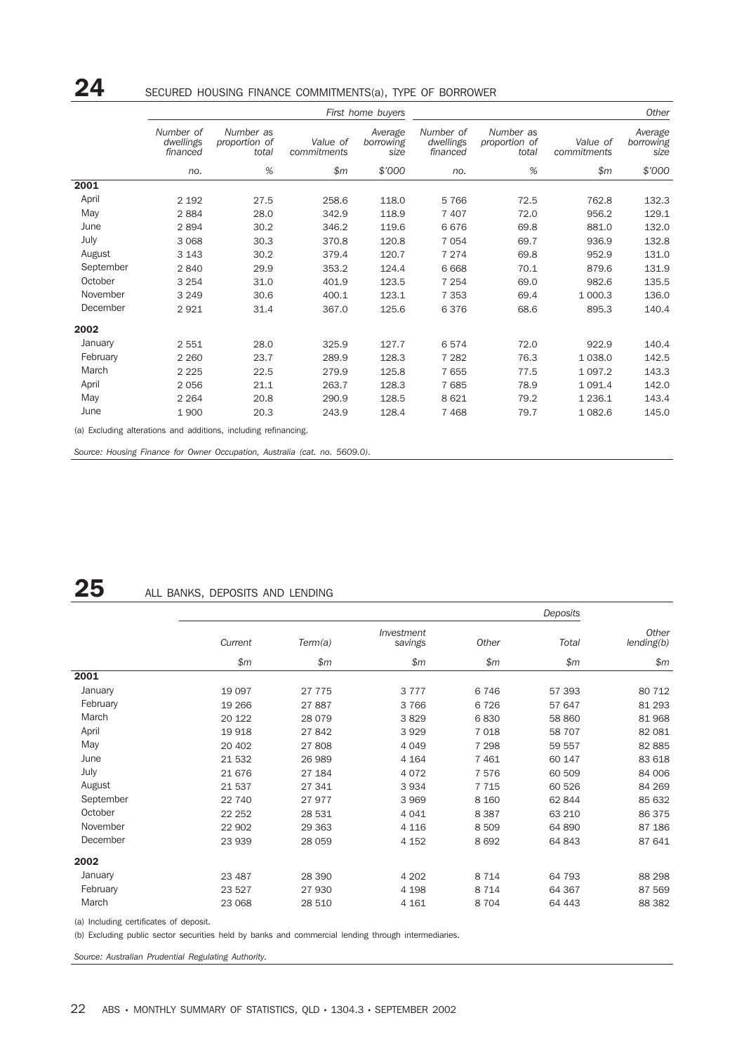### 24 SECURED HOUSING FINANCE COMMITMENTS(a), TYPE OF BORROWER

|           |                                    |                                                                 |                         | First home buyers            |                                    |                                     |                         | Other                        |
|-----------|------------------------------------|-----------------------------------------------------------------|-------------------------|------------------------------|------------------------------------|-------------------------------------|-------------------------|------------------------------|
|           | Number of<br>dwellings<br>financed | Number as<br>proportion of<br>total                             | Value of<br>commitments | Average<br>borrowing<br>size | Number of<br>dwellings<br>financed | Number as<br>proportion of<br>total | Value of<br>commitments | Average<br>borrowing<br>size |
|           | no.                                | $\%$                                                            | \$m\$                   | \$'000                       | no.                                | $\%$                                | \$m\$                   | \$'000                       |
| 2001      |                                    |                                                                 |                         |                              |                                    |                                     |                         |                              |
| April     | 2 1 9 2                            | 27.5                                                            | 258.6                   | 118.0                        | 5766                               | 72.5                                | 762.8                   | 132.3                        |
| May       | 2884                               | 28.0                                                            | 342.9                   | 118.9                        | 7 4 0 7                            | 72.0                                | 956.2                   | 129.1                        |
| June      | 2894                               | 30.2                                                            | 346.2                   | 119.6                        | 6676                               | 69.8                                | 881.0                   | 132.0                        |
| July      | 3 0 6 8                            | 30.3                                                            | 370.8                   | 120.8                        | 7 0 5 4                            | 69.7                                | 936.9                   | 132.8                        |
| August    | 3 1 4 3                            | 30.2                                                            | 379.4                   | 120.7                        | 7 2 7 4                            | 69.8                                | 952.9                   | 131.0                        |
| September | 2840                               | 29.9                                                            | 353.2                   | 124.4                        | 6 6 6 8                            | 70.1                                | 879.6                   | 131.9                        |
| October   | 3 2 5 4                            | 31.0                                                            | 401.9                   | 123.5                        | 7 2 5 4                            | 69.0                                | 982.6                   | 135.5                        |
| November  | 3 2 4 9                            | 30.6                                                            | 400.1                   | 123.1                        | 7 3 5 3                            | 69.4                                | 1 000.3                 | 136.0                        |
| December  | 2921                               | 31.4                                                            | 367.0                   | 125.6                        | 6376                               | 68.6                                | 895.3                   | 140.4                        |
| 2002      |                                    |                                                                 |                         |                              |                                    |                                     |                         |                              |
| January   | 2 5 5 1                            | 28.0                                                            | 325.9                   | 127.7                        | 6574                               | 72.0                                | 922.9                   | 140.4                        |
| February  | 2 2 6 0                            | 23.7                                                            | 289.9                   | 128.3                        | 7 2 8 2                            | 76.3                                | 1 0 38.0                | 142.5                        |
| March     | 2 2 2 5                            | 22.5                                                            | 279.9                   | 125.8                        | 7655                               | 77.5                                | 1 0 9 7 . 2             | 143.3                        |
| April     | 2056                               | 21.1                                                            | 263.7                   | 128.3                        | 7685                               | 78.9                                | 1 0 9 1.4               | 142.0                        |
| May       | 2 2 6 4                            | 20.8                                                            | 290.9                   | 128.5                        | 8 6 2 1                            | 79.2                                | 1 2 3 6.1               | 143.4                        |
| June      | 1900                               | 20.3                                                            | 243.9                   | 128.4                        | 7 4 6 8                            | 79.7                                | 1 0 8 2.6               | 145.0                        |
|           |                                    | (a) Excluding alterations and additions, including refinancing. |                         |                              |                                    |                                     |                         |                              |

*Source: Housing Finance for Owner Occupation, Australia (cat. no. 5609.0).*

## 25 ALL BANKS, DEPOSITS AND LENDING

|           |         | Deposits |                       |         |        |                     |
|-----------|---------|----------|-----------------------|---------|--------|---------------------|
|           | Current | Term(a)  | Investment<br>savings | Other   | Total  | Other<br>lending(b) |
|           | \$m\$   | \$m\$    | \$m\$                 | \$m\$   | \$m\$  | \$m\$               |
| 2001      |         |          |                       |         |        |                     |
| January   | 19 0 97 | 27 7 7 5 | 3777                  | 6746    | 57 393 | 80 712              |
| February  | 19 26 6 | 27887    | 3 7 6 6               | 6726    | 57 647 | 81 293              |
| March     | 20 122  | 28 0 79  | 3829                  | 6830    | 58 860 | 81 968              |
| April     | 19 918  | 27842    | 3 9 2 9               | 7 0 18  | 58 707 | 82 081              |
| May       | 20 402  | 27808    | 4 0 4 9               | 7 2 9 8 | 59 557 | 82 885              |
| June      | 21 532  | 26 989   | 4 1 6 4               | 7 4 6 1 | 60 147 | 83 618              |
| July      | 21 676  | 27 184   | 4 0 7 2               | 7576    | 60 509 | 84 006              |
| August    | 21 537  | 27 341   | 3 9 3 4               | 7 7 1 5 | 60 526 | 84 269              |
| September | 22 740  | 27 977   | 3 9 6 9               | 8 1 6 0 | 62 844 | 85 632              |
| October   | 22 25 2 | 28 531   | 4 0 4 1               | 8 3 8 7 | 63 210 | 86 375              |
| November  | 22 902  | 29 363   | 4 1 1 6               | 8509    | 64 890 | 87 186              |
| December  | 23 939  | 28 059   | 4 1 5 2               | 8692    | 64 843 | 87 641              |
| 2002      |         |          |                       |         |        |                     |
| January   | 23 487  | 28 390   | 4 2 0 2               | 8 7 1 4 | 64 793 | 88 298              |
| February  | 23 5 27 | 27 930   | 4 1 9 8               | 8 7 1 4 | 64 367 | 87 569              |
| March     | 23 068  | 28 510   | 4 1 6 1               | 8 7 0 4 | 64 443 | 88 382              |

(a) Including certificates of deposit.

(b) Excluding public sector securities held by banks and commercial lending through intermediaries.

*Source: Australian Prudential Regulating Authority.*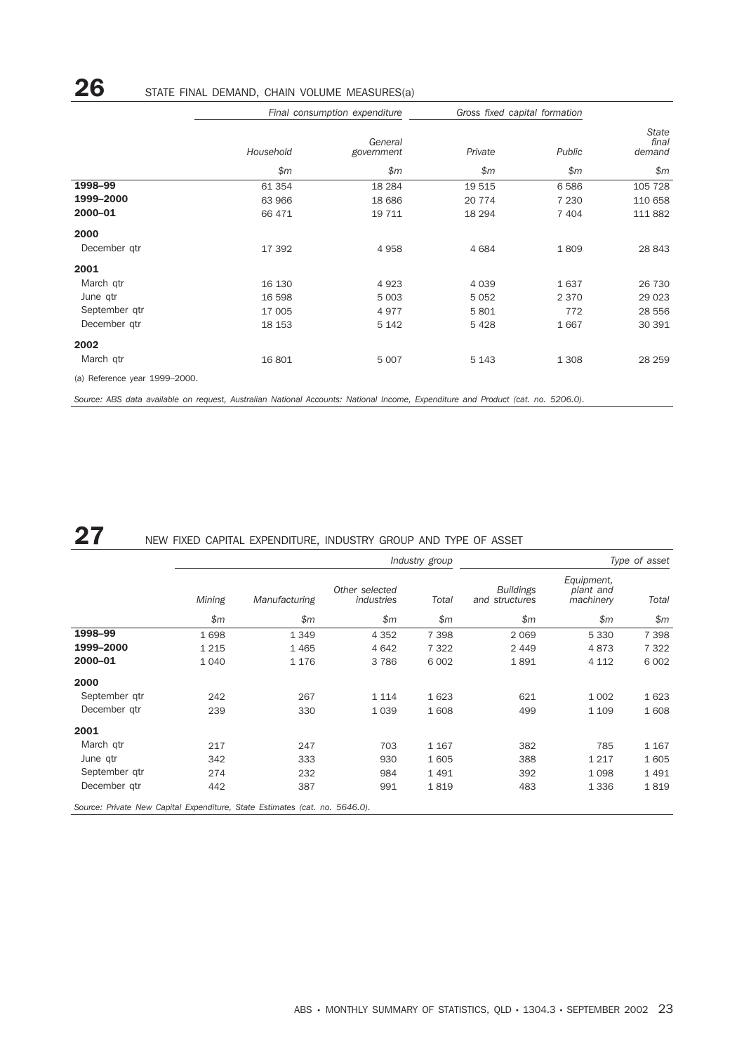|                               |                                                                                                                                  | Final consumption expenditure |         | Gross fixed capital formation |                          |  |
|-------------------------------|----------------------------------------------------------------------------------------------------------------------------------|-------------------------------|---------|-------------------------------|--------------------------|--|
|                               | Household                                                                                                                        | General<br>government         | Private | Public                        | State<br>final<br>demand |  |
|                               | \$m\$                                                                                                                            | \$m\$                         | \$m\$   | \$m\$                         | \$m\$                    |  |
| 1998-99                       | 61 354                                                                                                                           | 18 2 84                       | 19 515  | 6586                          | 105 728                  |  |
| 1999-2000                     | 63 966                                                                                                                           | 18 686                        | 20 774  | 7 2 3 0                       | 110 658                  |  |
| 2000-01                       | 66 471                                                                                                                           | 19 711                        | 18 294  | 7 4 0 4                       | 111 882                  |  |
| 2000                          |                                                                                                                                  |                               |         |                               |                          |  |
| December qtr                  | 17 392                                                                                                                           | 4958                          | 4 6 8 4 | 1809                          | 28 843                   |  |
| 2001                          |                                                                                                                                  |                               |         |                               |                          |  |
| March qtr                     | 16 130                                                                                                                           | 4923                          | 4 0 3 9 | 1637                          | 26 730                   |  |
| June qtr                      | 16 598                                                                                                                           | 5 0 0 3                       | 5 0 5 2 | 2 3 7 0                       | 29 0 23                  |  |
| September qtr                 | 17 005                                                                                                                           | 4977                          | 5801    | 772                           | 28 556                   |  |
| December qtr                  | 18 153                                                                                                                           | 5 1 4 2                       | 5428    | 1667                          | 30 391                   |  |
| 2002                          |                                                                                                                                  |                               |         |                               |                          |  |
| March qtr                     | 16 801                                                                                                                           | 5 0 0 7                       | 5 1 4 3 | 1 3 0 8                       | 28 259                   |  |
| (a) Reference year 1999-2000. |                                                                                                                                  |                               |         |                               |                          |  |
|                               | Source: ABS data available on request, Australian National Accounts: National Income, Expenditure and Product (cat. no. 5206.0). |                               |         |                               |                          |  |

## 27 NEW FIXED CAPITAL EXPENDITURE, INDUSTRY GROUP AND TYPE OF ASSET

|                                                                             |         |               |                              | Industry group | Type of asset                      |                                      |         |  |
|-----------------------------------------------------------------------------|---------|---------------|------------------------------|----------------|------------------------------------|--------------------------------------|---------|--|
|                                                                             | Mining  | Manufacturing | Other selected<br>industries | Total          | <b>Buildings</b><br>and structures | Equipment,<br>plant and<br>machinery | Total   |  |
|                                                                             | \$m\$   | \$m\$         | \$m\$                        | \$m\$          | \$m\$                              | \$m\$                                | \$m\$   |  |
| 1998-99                                                                     | 1698    | 1 3 4 9       | 4 3 5 2                      | 7 3 9 8        | 2 0 6 9                            | 5 3 3 0                              | 7 3 9 8 |  |
| 1999-2000                                                                   | 1 2 1 5 | 1 4 6 5       | 4 6 4 2                      | 7 3 2 2        | 2 4 4 9                            | 4873                                 | 7 3 2 2 |  |
| 2000-01                                                                     | 1 0 4 0 | 1 1 7 6       | 3786                         | 6 0 0 2        | 1891                               | 4 1 1 2                              | 6 0 0 2 |  |
| 2000                                                                        |         |               |                              |                |                                    |                                      |         |  |
| September gtr                                                               | 242     | 267           | 1 1 1 4                      | 1623           | 621                                | 1 0 0 2                              | 1623    |  |
| December gtr                                                                | 239     | 330           | 1 0 3 9                      | 1608           | 499                                | 1 1 0 9                              | 1608    |  |
| 2001                                                                        |         |               |                              |                |                                    |                                      |         |  |
| March gtr                                                                   | 217     | 247           | 703                          | 1 1 6 7        | 382                                | 785                                  | 1 1 6 7 |  |
| June qtr                                                                    | 342     | 333           | 930                          | 1605           | 388                                | 1 2 1 7                              | 1605    |  |
| September qtr                                                               | 274     | 232           | 984                          | 1491           | 392                                | 1 0 9 8                              | 1491    |  |
| December gtr                                                                | 442     | 387           | 991                          | 1819           | 483                                | 1 3 3 6                              | 1819    |  |
| Source: Private New Capital Expenditure, State Estimates (cat. no. 5646.0). |         |               |                              |                |                                    |                                      |         |  |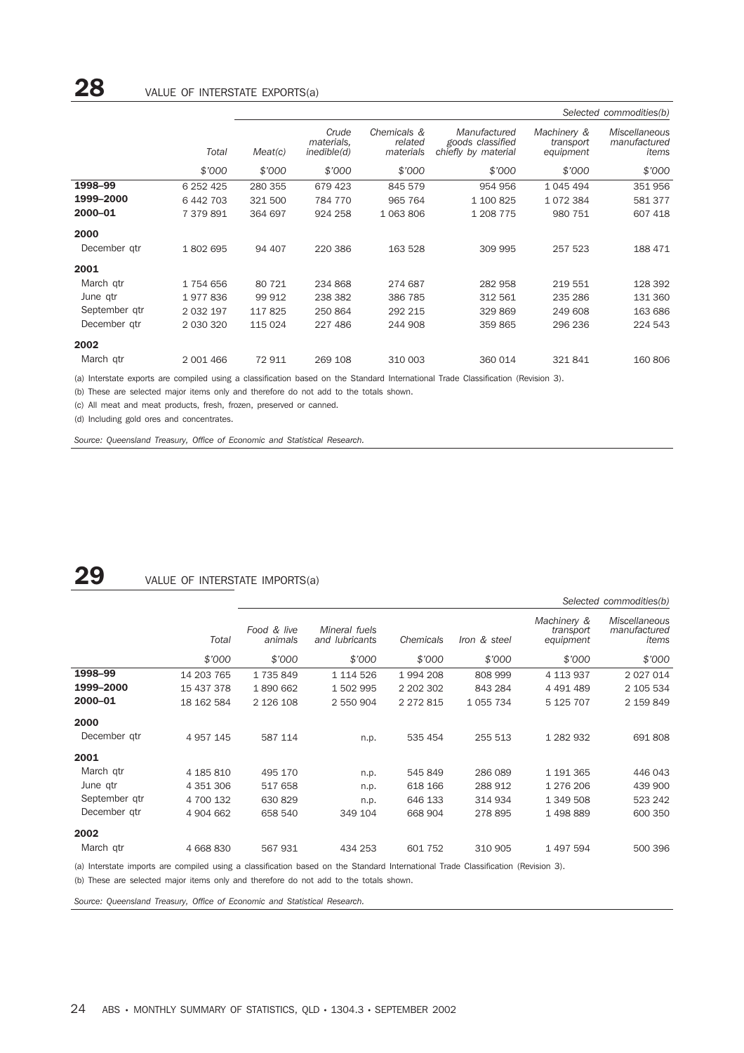|               |           |         |                                    |                                     |                                                         |                                       | Selected commodities(b)                       |
|---------------|-----------|---------|------------------------------------|-------------------------------------|---------------------------------------------------------|---------------------------------------|-----------------------------------------------|
|               | Total     | Meat(c) | Crude<br>materials.<br>inedible(d) | Chemicals &<br>related<br>materials | Manufactured<br>goods classified<br>chiefly by material | Machinery &<br>transport<br>equipment | <b>Miscellaneous</b><br>manufactured<br>items |
|               | \$'000    | \$7000  | \$'000                             | \$7000                              | \$'000                                                  | \$'000                                | \$'000                                        |
| 1998-99       | 6 252 425 | 280 355 | 679 423                            | 845 579                             | 954 956                                                 | 1 045 494                             | 351 956                                       |
| 1999-2000     | 6 442 703 | 321 500 | 784 770                            | 965 764                             | 1 100 825                                               | 1072384                               | 581 377                                       |
| 2000-01       | 7 379 891 | 364 697 | 924 258                            | 1 063 806                           | 1 208 775                                               | 980 751                               | 607 418                                       |
| 2000          |           |         |                                    |                                     |                                                         |                                       |                                               |
| December gtr  | 1802695   | 94 407  | 220 386                            | 163 528                             | 309 995                                                 | 257 523                               | 188 471                                       |
| 2001          |           |         |                                    |                                     |                                                         |                                       |                                               |
| March gtr     | 1754656   | 80 721  | 234 868                            | 274 687                             | 282 958                                                 | 219 551                               | 128 392                                       |
| June gtr      | 1977836   | 99 912  | 238 382                            | 386 785                             | 312 561                                                 | 235 286                               | 131 360                                       |
| September gtr | 2 032 197 | 117825  | 250 864                            | 292 215                             | 329 869                                                 | 249 608                               | 163 686                                       |
| December gtr  | 2 030 320 | 115 024 | 227 486                            | 244 908                             | 359 865                                                 | 296 236                               | 224 543                                       |
| 2002          |           |         |                                    |                                     |                                                         |                                       |                                               |
| March gtr     | 2 001 466 | 72 911  | 269 108                            | 310 003                             | 360 014                                                 | 321841                                | 160 806                                       |

(a) Interstate exports are compiled using a classification based on the Standard International Trade Classification (Revision 3).

(b) These are selected major items only and therefore do not add to the totals shown.

(c) All meat and meat products, fresh, frozen, preserved or canned.

(d) Including gold ores and concentrates.

*Source: Queensland Treasury, Office of Economic and Statistical Research.*

#### $29$  value of interstate imports(a)

|               |            |                        |                                        |               |               |                                       | Selected commodities(b)                       |
|---------------|------------|------------------------|----------------------------------------|---------------|---------------|---------------------------------------|-----------------------------------------------|
|               | Total      | Food & live<br>animals | Mineral fuels<br>and <i>lubricants</i> | Chemicals     | Iron & steel  | Machinery &<br>transport<br>equipment | <b>Miscellaneous</b><br>manufactured<br>items |
|               | \$'000     | \$'000                 | \$'000                                 | \$'000        | \$'000        | \$'000                                | \$'000                                        |
| 1998-99       | 14 203 765 | 1735849                | 1 114 526                              | 1994208       | 808 999       | 4 113 937                             | 2 0 2 7 0 1 4                                 |
| 1999-2000     | 15 437 378 | 1890662                | 1 502 995                              | 2 202 302     | 843 284       | 4 491 489                             | 2 105 534                                     |
| 2000-01       | 18 162 584 | 2 126 108              | 2 550 904                              | 2 2 7 2 8 1 5 | 1 0 5 7 7 3 4 | 5 125 707                             | 2 159 849                                     |
| 2000          |            |                        |                                        |               |               |                                       |                                               |
| December gtr  | 4 957 145  | 587 114                | n.p.                                   | 535 454       | 255 513       | 1 282 932                             | 691 808                                       |
| 2001          |            |                        |                                        |               |               |                                       |                                               |
| March gtr     | 4 185 810  | 495 170                | n.p.                                   | 545 849       | 286 089       | 1 191 365                             | 446 043                                       |
| June gtr      | 4 351 306  | 517 658                | n.p.                                   | 618 166       | 288 912       | 1 276 206                             | 439 900                                       |
| September gtr | 4 700 132  | 630 829                | n.p.                                   | 646 133       | 314 934       | 1 349 508                             | 523 242                                       |
| December gtr  | 4 904 662  | 658 540                | 349 104                                | 668 904       | 278 895       | 1498889                               | 600 350                                       |
| 2002          |            |                        |                                        |               |               |                                       |                                               |
| March gtr     | 4 668 830  | 567 931                | 434 253                                | 601 752       | 310 905       | 1 497 594                             | 500 396                                       |

(a) Interstate imports are compiled using a classification based on the Standard International Trade Classification (Revision 3).

(b) These are selected major items only and therefore do not add to the totals shown.

*Source: Queensland Treasury, Office of Economic and Statistical Research.*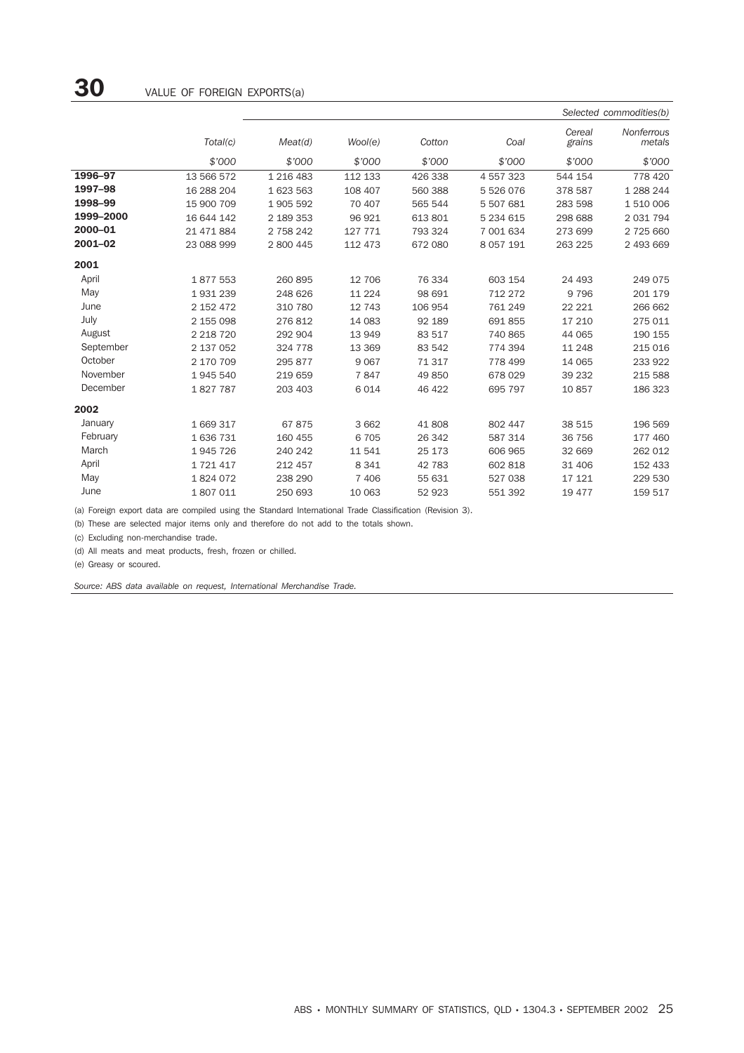|           |             |           |          |         |               |                  | Selected commodities(b) |
|-----------|-------------|-----------|----------|---------|---------------|------------------|-------------------------|
|           | Total(c)    | Meat(d)   | Wool(e)  | Cotton  | Coal          | Cereal<br>grains | Nonferrous<br>metals    |
|           | \$'000      | \$'000    | \$'000   | \$'000  | \$'000        | \$'000           | \$'000                  |
| 1996-97   | 13 566 572  | 1 216 483 | 112 133  | 426 338 | 4 557 323     | 544 154          | 778 420                 |
| 1997-98   | 16 288 204  | 1 623 563 | 108 407  | 560 388 | 5 526 076     | 378 587          | 1 288 244               |
| 1998-99   | 15 900 709  | 1905 592  | 70 407   | 565 544 | 5 507 681     | 283 598          | 1510006                 |
| 1999-2000 | 16 644 142  | 2 189 353 | 96 921   | 613 801 | 5 234 615     | 298 688          | 2 031 794               |
| 2000-01   | 21 471 884  | 2 758 242 | 127 771  | 793 324 | 7 001 634     | 273 699          | 2 725 660               |
| 2001-02   | 23 088 999  | 2 800 445 | 112 473  | 672 080 | 8 0 5 7 1 9 1 | 263 225          | 2 493 669               |
| 2001      |             |           |          |         |               |                  |                         |
| April     | 1877553     | 260 895   | 12 706   | 76 334  | 603 154       | 24 493           | 249 075                 |
| May       | 1931239     | 248 626   | 11 2 2 4 | 98 691  | 712 272       | 9796             | 201 179                 |
| June      | 2 152 472   | 310 780   | 12 743   | 106 954 | 761 249       | 22 221           | 266 662                 |
| July      | 2 155 098   | 276812    | 14 083   | 92 189  | 691 855       | 17 210           | 275 011                 |
| August    | 2 2 18 7 20 | 292 904   | 13 949   | 83 517  | 740 865       | 44 065           | 190 155                 |
| September | 2 137 052   | 324 778   | 13 3 69  | 83 542  | 774 394       | 11 248           | 215 016                 |
| October   | 2 170 709   | 295 877   | 9067     | 71 317  | 778 499       | 14 065           | 233 922                 |
| November  | 1945 540    | 219 659   | 7847     | 49 850  | 678 029       | 39 232           | 215 588                 |
| December  | 1827787     | 203 403   | 6014     | 46 422  | 695 797       | 10 857           | 186 323                 |
| 2002      |             |           |          |         |               |                  |                         |
| January   | 1 669 317   | 67875     | 3 6 6 2  | 41808   | 802 447       | 38 515           | 196 569                 |
| February  | 1636731     | 160 455   | 6705     | 26 342  | 587 314       | 36 756           | 177 460                 |
| March     | 1945 726    | 240 242   | 11541    | 25 173  | 606 965       | 32 669           | 262 012                 |
| April     | 1 721 417   | 212 457   | 8 3 4 1  | 42 783  | 602 818       | 31 40 6          | 152 433                 |
| May       | 1824072     | 238 290   | 7 4 0 6  | 55 631  | 527 038       | 17 121           | 229 530                 |
| June      | 1807011     | 250 693   | 10 063   | 52 923  | 551 392       | 19 477           | 159 517                 |

(a) Foreign export data are compiled using the Standard International Trade Classification (Revision 3).

(b) These are selected major items only and therefore do not add to the totals shown.

(c) Excluding non-merchandise trade.

(d) All meats and meat products, fresh, frozen or chilled.

(e) Greasy or scoured.

*Source: ABS data available on request, International Merchandise Trade.*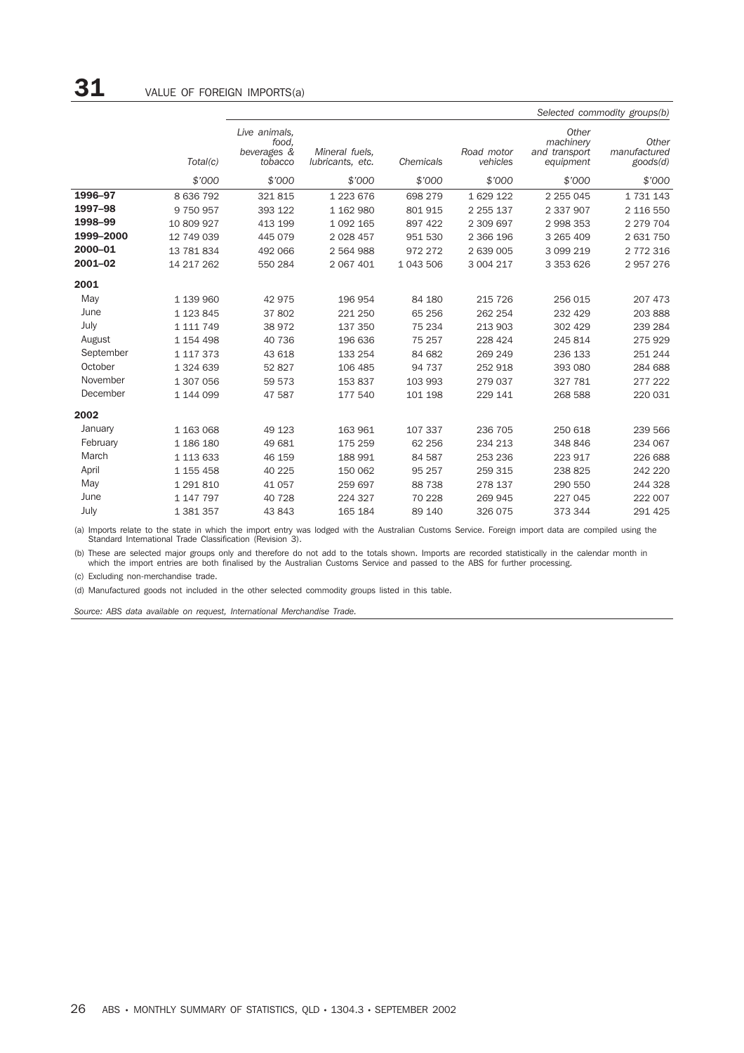|           |            |                                                  |                                    |           |                        |                                                  | Selected commodity groups(b)      |
|-----------|------------|--------------------------------------------------|------------------------------------|-----------|------------------------|--------------------------------------------------|-----------------------------------|
|           | Total(c)   | Live animals,<br>food,<br>beverages &<br>tobacco | Mineral fuels.<br>lubricants, etc. | Chemicals | Road motor<br>vehicles | Other<br>machinery<br>and transport<br>equipment | Other<br>manufactured<br>goods(d) |
|           | \$'000     | \$'000                                           | \$'000                             | \$'000    | \$'000                 | \$'000                                           | \$'000                            |
| 1996-97   | 8 636 792  | 321815                                           | 1 223 676                          | 698 279   | 1 629 122              | 2 2 5 0 4 5                                      | 1 731 143                         |
| 1997-98   | 9 750 957  | 393 122                                          | 1 162 980                          | 801 915   | 2 2 5 1 1 3 7          | 2 3 3 7 9 0 7                                    | 2 116 550                         |
| 1998-99   | 10 809 927 | 413 199                                          | 1 0 9 2 1 6 5                      | 897 422   | 2 309 697              | 2 998 353                                        | 2 279 704                         |
| 1999-2000 | 12 749 039 | 445 079                                          | 2 0 28 4 5 7                       | 951 530   | 2 366 196              | 3 265 409                                        | 2 631 750                         |
| 2000-01   | 13 781 834 | 492 066                                          | 2 564 988                          | 972 272   | 2 639 005              | 3 099 219                                        | 2 772 316                         |
| 2001-02   | 14 217 262 | 550 284                                          | 2 067 401                          | 1 043 506 | 3 004 217              | 3 353 626                                        | 2 957 276                         |
| 2001      |            |                                                  |                                    |           |                        |                                                  |                                   |
| May       | 1 139 960  | 42 975                                           | 196 954                            | 84 180    | 215 726                | 256 015                                          | 207 473                           |
| June      | 1 123 845  | 37 802                                           | 221 250                            | 65 25 6   | 262 254                | 232 429                                          | 203 888                           |
| July      | 1 111 749  | 38 972                                           | 137 350                            | 75 234    | 213 903                | 302 429                                          | 239 284                           |
| August    | 1 154 498  | 40 736                                           | 196 636                            | 75 257    | 228 424                | 245 814                                          | 275 929                           |
| September | 1 117 373  | 43 618                                           | 133 254                            | 84 682    | 269 249                | 236 133                                          | 251 244                           |
| October   | 1 324 639  | 52 827                                           | 106 485                            | 94 737    | 252 918                | 393 080                                          | 284 688                           |
| November  | 1 307 056  | 59 573                                           | 153 837                            | 103 993   | 279 037                | 327 781                                          | 277 222                           |
| December  | 1 144 099  | 47 587                                           | 177 540                            | 101 198   | 229 141                | 268 588                                          | 220 031                           |
| 2002      |            |                                                  |                                    |           |                        |                                                  |                                   |
| January   | 1 163 068  | 49 123                                           | 163 961                            | 107 337   | 236 705                | 250 618                                          | 239 566                           |
| February  | 1 186 180  | 49 681                                           | 175 259                            | 62 256    | 234 213                | 348 846                                          | 234 067                           |
| March     | 1 113 633  | 46 159                                           | 188 991                            | 84 587    | 253 236                | 223 917                                          | 226 688                           |
| April     | 1 155 458  | 40 225                                           | 150 062                            | 95 257    | 259 315                | 238 825                                          | 242 220                           |
| May       | 1 291 810  | 41 057                                           | 259 697                            | 88 738    | 278 137                | 290 550                                          | 244 328                           |
| June      | 1 147 797  | 40 728                                           | 224 327                            | 70 228    | 269 945                | 227 045                                          | 222 007                           |
| July      | 1 381 357  | 43 843                                           | 165 184                            | 89 140    | 326 075                | 373 344                                          | 291 425                           |

(a) Imports relate to the state in which the import entry was lodged with the Australian Customs Service. Foreign import data are compiled using the Standard International Trade Classification (Revision 3).

(b) These are selected major groups only and therefore do not add to the totals shown. Imports are recorded statistically in the calendar month in which the import entries are both finalised by the Australian Customs Service and passed to the ABS for further processing.

(c) Excluding non-merchandise trade.

(d) Manufactured goods not included in the other selected commodity groups listed in this table.

*Source: ABS data available on request, International Merchandise Trade.*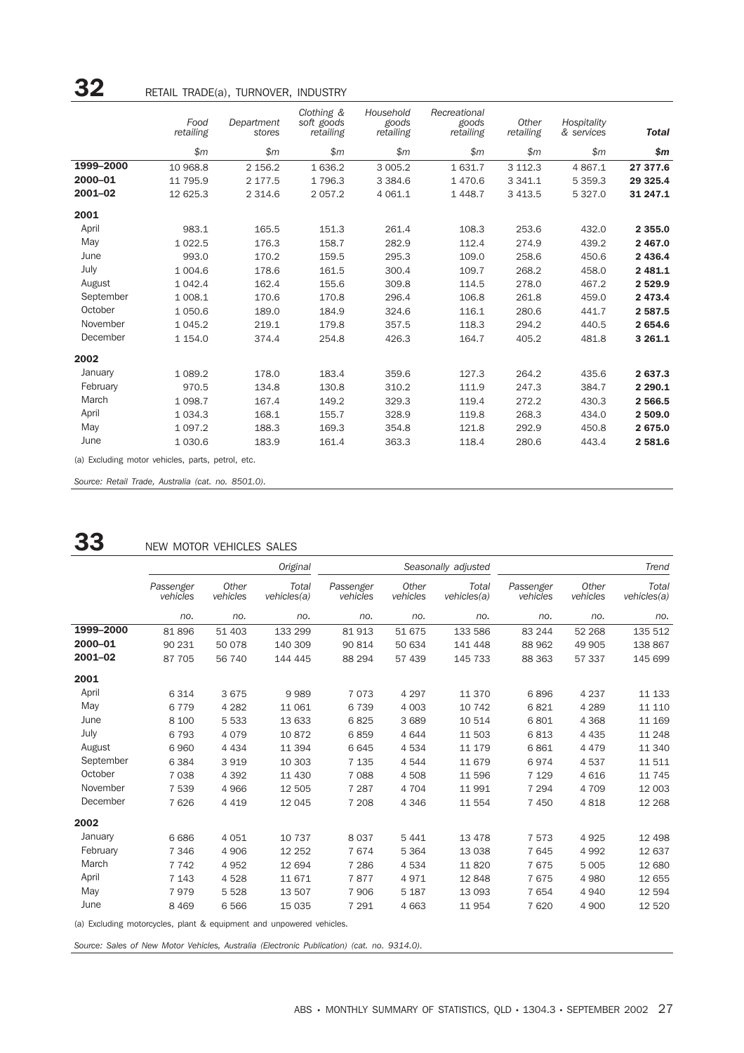|                                                   | Food<br>retailing | Department<br>stores | Clothing &<br>soft goods<br>retailing | Household<br>goods<br>retailing | Recreational<br>goods<br>retailing | Other<br>retailing | Hospitality<br>& services | Total       |
|---------------------------------------------------|-------------------|----------------------|---------------------------------------|---------------------------------|------------------------------------|--------------------|---------------------------|-------------|
|                                                   | \$m               | \$m\$                | \$m\$                                 | $\mathsf{m}$                    | \$m\$                              | $\mathsf{m}$       | \$m\$                     | \$m\$       |
| 1999-2000                                         | 10 968.8          | 2 156.2              | 1636.2                                | 3 0 0 5.2                       | 1631.7                             | 3 112.3            | 4 8 6 7.1                 | 27 377.6    |
| 2000-01                                           | 11 795.9          | 2 177.5              | 1796.3                                | 3 3 8 4 . 6                     | 1 470.6                            | 3 3 4 1.1          | 5 3 5 9.3                 | 29 325.4    |
| 2001-02                                           | 12 625.3          | 2 3 1 4 .6           | 2 0 5 7.2                             | 4 0 6 1.1                       | 1 4 4 8.7                          | 3 4 1 3.5          | 5 3 2 7 .0                | 31 247.1    |
| 2001                                              |                   |                      |                                       |                                 |                                    |                    |                           |             |
| April                                             | 983.1             | 165.5                | 151.3                                 | 261.4                           | 108.3                              | 253.6              | 432.0                     | 2 3 5 5 . 0 |
| May                                               | 1 0 2 2.5         | 176.3                | 158.7                                 | 282.9                           | 112.4                              | 274.9              | 439.2                     | 2 467.0     |
| June                                              | 993.0             | 170.2                | 159.5                                 | 295.3                           | 109.0                              | 258.6              | 450.6                     | 2 4 3 6.4   |
| July                                              | 1 0 0 4.6         | 178.6                | 161.5                                 | 300.4                           | 109.7                              | 268.2              | 458.0                     | 2 481.1     |
| August                                            | 1 0 4 2.4         | 162.4                | 155.6                                 | 309.8                           | 114.5                              | 278.0              | 467.2                     | 2 5 2 9.9   |
| September                                         | 1 008.1           | 170.6                | 170.8                                 | 296.4                           | 106.8                              | 261.8              | 459.0                     | 2 4 7 3 . 4 |
| October                                           | 1 0 5 0.6         | 189.0                | 184.9                                 | 324.6                           | 116.1                              | 280.6              | 441.7                     | 2 5 8 7 . 5 |
| November                                          | 1 0 4 5.2         | 219.1                | 179.8                                 | 357.5                           | 118.3                              | 294.2              | 440.5                     | 2 654.6     |
| December                                          | 1 1 5 4 . 0       | 374.4                | 254.8                                 | 426.3                           | 164.7                              | 405.2              | 481.8                     | 3 261.1     |
| 2002                                              |                   |                      |                                       |                                 |                                    |                    |                           |             |
| January                                           | 1 0 8 9.2         | 178.0                | 183.4                                 | 359.6                           | 127.3                              | 264.2              | 435.6                     | 2 637.3     |
| February                                          | 970.5             | 134.8                | 130.8                                 | 310.2                           | 111.9                              | 247.3              | 384.7                     | 2 2 9 0.1   |
| March                                             | 1 0 98.7          | 167.4                | 149.2                                 | 329.3                           | 119.4                              | 272.2              | 430.3                     | 2 566.5     |
| April                                             | 1 0 3 4 . 3       | 168.1                | 155.7                                 | 328.9                           | 119.8                              | 268.3              | 434.0                     | 2 509.0     |
| May                                               | 1 0 9 7 . 2       | 188.3                | 169.3                                 | 354.8                           | 121.8                              | 292.9              | 450.8                     | 2675.0      |
| June                                              | 1 0 3 0.6         | 183.9                | 161.4                                 | 363.3                           | 118.4                              | 280.6              | 443.4                     | 2 581.6     |
| (a) Excluding motor vehicles, parts, petrol, etc. |                   |                      |                                       |                                 |                                    |                    |                           |             |

*Source: Retail Trade, Australia (cat. no. 8501.0).*

## **33** NEW MOTOR VEHICLES SALES

|           | Original                                                                               |                   |                      |                       |                   | Seasonally adjusted  | Trend                 |                   |                      |
|-----------|----------------------------------------------------------------------------------------|-------------------|----------------------|-----------------------|-------------------|----------------------|-----------------------|-------------------|----------------------|
|           | Passenger<br>vehicles                                                                  | Other<br>vehicles | Total<br>vehicles(a) | Passenger<br>vehicles | Other<br>vehicles | Total<br>vehicles(a) | Passenger<br>vehicles | Other<br>vehicles | Total<br>vehicles(a) |
|           | no.                                                                                    | no.               | no.                  | no.                   | no.               | no.                  | no.                   | no.               | no.                  |
| 1999-2000 | 81896                                                                                  | 51 403            | 133 299              | 81913                 | 51 675            | 133 586              | 83 244                | 52 268            | 135 512              |
| 2000-01   | 90 231                                                                                 | 50 078            | 140 309              | 90 814                | 50 634            | 141 448              | 88 962                | 49 905            | 138 867              |
| 2001-02   | 87 705                                                                                 | 56 740            | 144 445              | 88 294                | 57 439            | 145 733              | 88 363                | 57 337            | 145 699              |
| 2001      |                                                                                        |                   |                      |                       |                   |                      |                       |                   |                      |
| April     | 6 3 1 4                                                                                | 3675              | 9989                 | 7073                  | 4 2 9 7           | 11 370               | 6896                  | 4 2 3 7           | 11 133               |
| May       | 6 7 7 9                                                                                | 4 2 8 2           | 11 061               | 6739                  | 4 0 0 3           | 10 742               | 6821                  | 4 2 8 9           | 11 110               |
| June      | 8 100                                                                                  | 5 5 3 3           | 13 633               | 6825                  | 3689              | 10 514               | 6801                  | 4 3 6 8           | 11 169               |
| July      | 6 7 9 3                                                                                | 4079              | 10872                | 6859                  | 4644              | 11 503               | 6813                  | 4 4 3 5           | 11 248               |
| August    | 6960                                                                                   | 4 4 3 4           | 11 394               | 6645                  | 4534              | 11 179               | 6861                  | 4 4 7 9           | 11 340               |
| September | 6 3 8 4                                                                                | 3919              | 10 303               | 7 1 3 5               | 4544              | 11 679               | 6974                  | 4537              | 11 511               |
| October   | 7 0 3 8                                                                                | 4 3 9 2           | 11 430               | 7 0 8 8               | 4508              | 11 596               | 7 1 2 9               | 4 6 1 6           | 11 745               |
| November  | 7 5 3 9                                                                                | 4 9 6 6           | 12 505               | 7 2 8 7               | 4 7 0 4           | 11991                | 7 2 9 4               | 4 709             | 12 003               |
| December  | 7626                                                                                   | 4 4 1 9           | 12 045               | 7 2 0 8               | 4 3 4 6           | 11 554               | 7 4 5 0               | 4818              | 12 2 68              |
| 2002      |                                                                                        |                   |                      |                       |                   |                      |                       |                   |                      |
| January   | 6686                                                                                   | 4 0 5 1           | 10 737               | 8 0 3 7               | 5 4 4 1           | 13 4 78              | 7573                  | 4 9 25            | 12 4 98              |
| February  | 7 3 4 6                                                                                | 4 9 0 6           | 12 25 2              | 7674                  | 5 3 6 4           | 13 0 38              | 7645                  | 4 9 9 2           | 12 637               |
| March     | 7 7 4 2                                                                                | 4952              | 12 694               | 7 2 8 6               | 4534              | 11820                | 7675                  | 5 0 0 5           | 12 680               |
| April     | 7 1 4 3                                                                                | 4528              | 11 671               | 7877                  | 4971              | 12848                | 7675                  | 4 9 8 0           | 12 655               |
| May       | 7979                                                                                   | 5 5 28            | 13 507               | 7 9 0 6               | 5 1 8 7           | 13 093               | 7654                  | 4 9 4 0           | 12 594               |
| June      | 8 4 6 9                                                                                | 6 5 6 6           | 15 035               | 7 2 9 1               | 4 6 63            | 11 954               | 7 6 20                | 4 9 0 0           | 12 5 20              |
|           | 72) Footballe a conference of a company of the context and concerned to a distribution |                   |                      |                       |                   |                      |                       |                   |                      |

(a) Excluding motorcycles, plant & equipment and unpowered vehicles.

*Source: Sales of New Motor Vehicles, Australia (Electronic Publication) (cat. no. 9314.0).*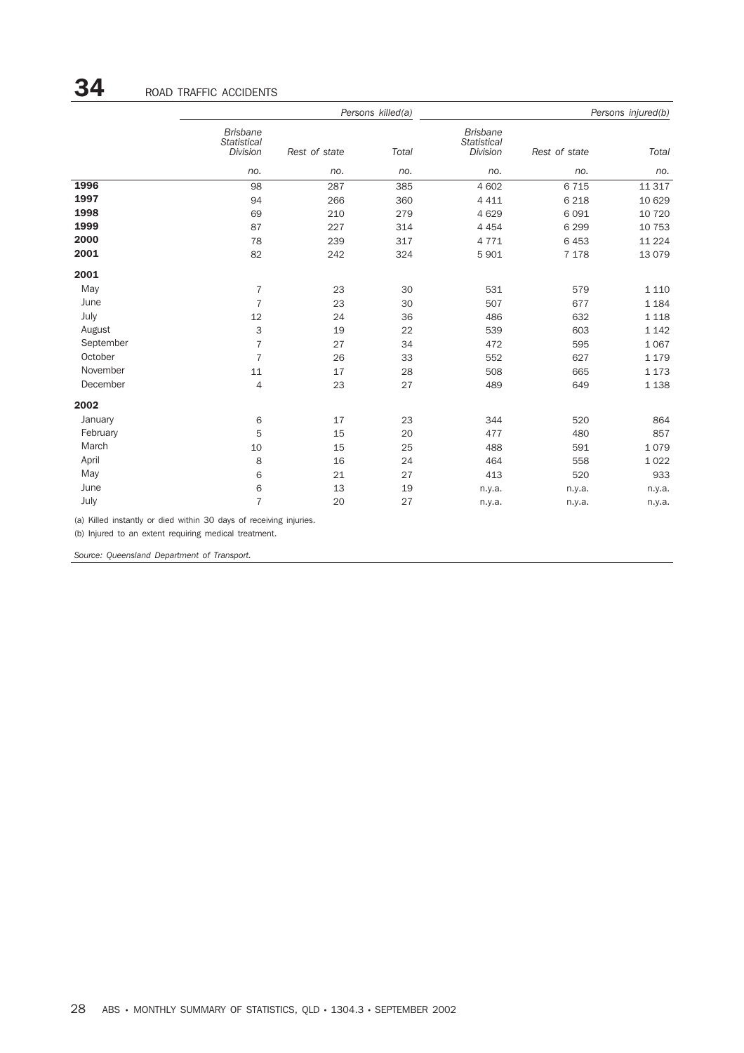|                                                                    |                                                   |               | Persons killed(a) |                                            |               | Persons injured(b) |
|--------------------------------------------------------------------|---------------------------------------------------|---------------|-------------------|--------------------------------------------|---------------|--------------------|
|                                                                    | <b>Brisbane</b><br><b>Statistical</b><br>Division | Rest of state | Total             | <b>Brisbane</b><br>Statistical<br>Division | Rest of state | <b>Total</b>       |
|                                                                    | no.                                               | no.           | no.               | no.                                        | no.           | no.                |
| 1996                                                               | 98                                                | 287           | 385               | 4 602                                      | 6 7 1 5       | 11 317             |
| 1997                                                               | 94                                                | 266           | 360               | 4 4 1 1                                    | 6 2 18        | 10 629             |
| 1998                                                               | 69                                                | 210           | 279               | 4 6 2 9                                    | 6 0 9 1       | 10 7 20            |
| 1999                                                               | 87                                                | 227           | 314               | 4 4 5 4                                    | 6 2 9 9       | 10 753             |
| 2000                                                               | 78                                                | 239           | 317               | 4 7 7 1                                    | 6 4 5 3       | 11 2 2 4           |
| 2001                                                               | 82                                                | 242           | 324               | 5 9 0 1                                    | 7 1 7 8       | 13 0 79            |
| 2001                                                               |                                                   |               |                   |                                            |               |                    |
| May                                                                | $\overline{7}$                                    | 23            | 30                | 531                                        | 579           | 1 1 1 0            |
| June                                                               | $\overline{7}$                                    | 23            | 30                | 507                                        | 677           | 1 1 8 4            |
| July                                                               | 12                                                | 24            | 36                | 486                                        | 632           | 1 1 1 8            |
| August                                                             | 3                                                 | 19            | 22                | 539                                        | 603           | 1 1 4 2            |
| September                                                          | $\overline{7}$                                    | 27            | 34                | 472                                        | 595           | 1 0 6 7            |
| October                                                            | $\overline{7}$                                    | 26            | 33                | 552                                        | 627           | 1 1 7 9            |
| November                                                           | 11                                                | 17            | 28                | 508                                        | 665           | 1 1 7 3            |
| December                                                           | 4                                                 | 23            | 27                | 489                                        | 649           | 1 1 3 8            |
| 2002                                                               |                                                   |               |                   |                                            |               |                    |
| January                                                            | 6                                                 | 17            | 23                | 344                                        | 520           | 864                |
| February                                                           | 5                                                 | 15            | 20                | 477                                        | 480           | 857                |
| March                                                              | 10                                                | 15            | 25                | 488                                        | 591           | 1079               |
| April                                                              | 8                                                 | 16            | 24                | 464                                        | 558           | 1 0 2 2            |
| May                                                                | 6                                                 | 21            | 27                | 413                                        | 520           | 933                |
| June                                                               | 6                                                 | 13            | 19                | n.y.a.                                     | n.y.a.        | n.y.a.             |
| July                                                               | $\overline{7}$                                    | 20            | 27                | n.y.a.                                     | n.y.a.        | n.y.a.             |
| (a) Killed instantly or died within 30 days of receiving injuries. |                                                   |               |                   |                                            |               |                    |

(b) Injured to an extent requiring medical treatment.

*Source: Queensland Department of Transport.*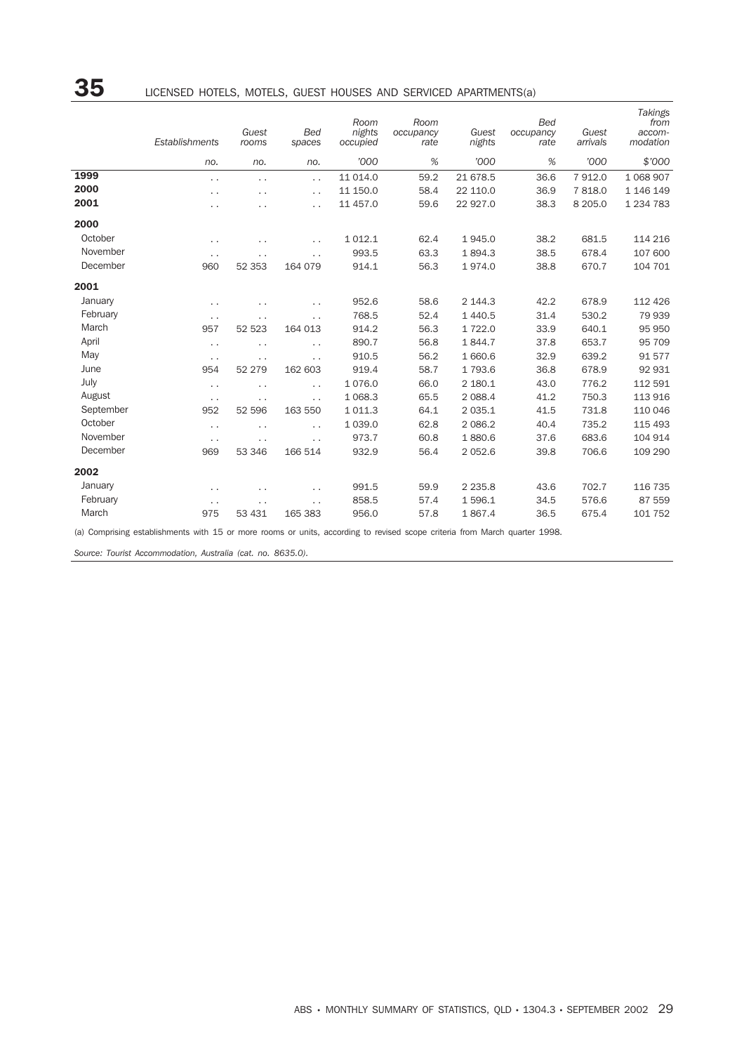|           | Establishments                                                                                                           | Guest<br>rooms       | <b>Bed</b><br>spaces | Room<br>nights<br>occupied | Room<br>occupancy<br>rate | Guest<br>nights | <b>Bed</b><br>occupancy<br>rate | Guest<br>arrivals | <b>Takings</b><br>from<br>accom-<br>modation |
|-----------|--------------------------------------------------------------------------------------------------------------------------|----------------------|----------------------|----------------------------|---------------------------|-----------------|---------------------------------|-------------------|----------------------------------------------|
|           | no.                                                                                                                      | no.                  | no.                  | '000                       | %                         | '000            | %                               | '000              | \$'000                                       |
| 1999      | $\ddot{\phantom{0}}$                                                                                                     | $\ddot{\phantom{0}}$ | $\ddotsc$            | 11 014.0                   | 59.2                      | 21 678.5        | 36.6                            | 7912.0            | 1 0 68 9 0 7                                 |
| 2000      | $\ddot{\phantom{0}}$                                                                                                     | $\ddot{\phantom{0}}$ | $\ddotsc$            | 11 150.0                   | 58.4                      | 22 110.0        | 36.9                            | 7818.0            | 1 146 149                                    |
| 2001      | $\cdot$ .                                                                                                                | $\ddot{\phantom{0}}$ | $\ddotsc$            | 11 457.0                   | 59.6                      | 22 927.0        | 38.3                            | 8 2 0 5.0         | 1 2 3 4 7 8 3                                |
| 2000      |                                                                                                                          |                      |                      |                            |                           |                 |                                 |                   |                                              |
| October   | $\cdot$ .                                                                                                                | $\cdot$ .            | $\ddot{\phantom{0}}$ | 1 0 1 2.1                  | 62.4                      | 1945.0          | 38.2                            | 681.5             | 114 216                                      |
| November  | $\ddot{\phantom{0}}$                                                                                                     | $\ddot{\phantom{0}}$ | $\ddotsc$            | 993.5                      | 63.3                      | 1894.3          | 38.5                            | 678.4             | 107 600                                      |
| December  | 960                                                                                                                      | 52 353               | 164 079              | 914.1                      | 56.3                      | 1974.0          | 38.8                            | 670.7             | 104 701                                      |
| 2001      |                                                                                                                          |                      |                      |                            |                           |                 |                                 |                   |                                              |
| January   | $\ddot{\phantom{0}}$                                                                                                     | $\ddot{\phantom{0}}$ | $\ddot{\phantom{0}}$ | 952.6                      | 58.6                      | 2 144.3         | 42.2                            | 678.9             | 112 426                                      |
| February  | $\cdot$ .                                                                                                                | . .                  | $\ddotsc$            | 768.5                      | 52.4                      | 1 4 4 0.5       | 31.4                            | 530.2             | 79 939                                       |
| March     | 957                                                                                                                      | 52 523               | 164 013              | 914.2                      | 56.3                      | 1 7 2 2.0       | 33.9                            | 640.1             | 95 950                                       |
| April     | $\cdot$ .                                                                                                                | $\ddot{\phantom{0}}$ | $\ddot{\phantom{0}}$ | 890.7                      | 56.8                      | 1844.7          | 37.8                            | 653.7             | 95 709                                       |
| May       | $\ddot{\phantom{0}}$                                                                                                     | $\ddot{\phantom{0}}$ | $\ddotsc$            | 910.5                      | 56.2                      | 1 660.6         | 32.9                            | 639.2             | 91 577                                       |
| June      | 954                                                                                                                      | 52 279               | 162 603              | 919.4                      | 58.7                      | 1 793.6         | 36.8                            | 678.9             | 92 931                                       |
| July      | $\ddot{\phantom{0}}$                                                                                                     | $\ddot{\phantom{0}}$ | $\ddotsc$            | 1 0 7 6 .0                 | 66.0                      | 2 180.1         | 43.0                            | 776.2             | 112 591                                      |
| August    | $\ddot{\phantom{0}}$                                                                                                     | $\ddotsc$            | $\ddotsc$            | 1 0 68.3                   | 65.5                      | 2 0 8 8.4       | 41.2                            | 750.3             | 113 916                                      |
| September | 952                                                                                                                      | 52 596               | 163 550              | 1 0 1 1.3                  | 64.1                      | 2 0 3 5.1       | 41.5                            | 731.8             | 110 046                                      |
| October   | $\cdot$ $\cdot$                                                                                                          | $\ddot{\phantom{0}}$ | $\ddotsc$            | 1 0 3 9.0                  | 62.8                      | 2 0 8 6.2       | 40.4                            | 735.2             | 115 493                                      |
| November  | $\ddots$                                                                                                                 | $\ddot{\phantom{0}}$ | $\ddotsc$            | 973.7                      | 60.8                      | 1880.6          | 37.6                            | 683.6             | 104 914                                      |
| December  | 969                                                                                                                      | 53 346               | 166 514              | 932.9                      | 56.4                      | 2 0 5 2.6       | 39.8                            | 706.6             | 109 290                                      |
| 2002      |                                                                                                                          |                      |                      |                            |                           |                 |                                 |                   |                                              |
| January   | . .                                                                                                                      |                      |                      | 991.5                      | 59.9                      | 2 2 3 5.8       | 43.6                            | 702.7             | 116 735                                      |
| February  | $\ddot{\phantom{0}}$                                                                                                     | $\ddot{\phantom{0}}$ | $\ddotsc$            | 858.5                      | 57.4                      | 1596.1          | 34.5                            | 576.6             | 87 559                                       |
| March     | 975                                                                                                                      | 53 431               | 165 383              | 956.0                      | 57.8                      | 1867.4          | 36.5                            | 675.4             | 101 752                                      |
|           | (a) Computator establishmente with 15 as neare reame as waite, according to serious conce estade from March swarter 1000 |                      |                      |                            |                           |                 |                                 |                   |                                              |

(a) Comprising establishments with 15 or more rooms or units, according to revised scope criteria from March quarter 1998.

*Source: Tourist Accommodation, Australia (cat. no. 8635.0).*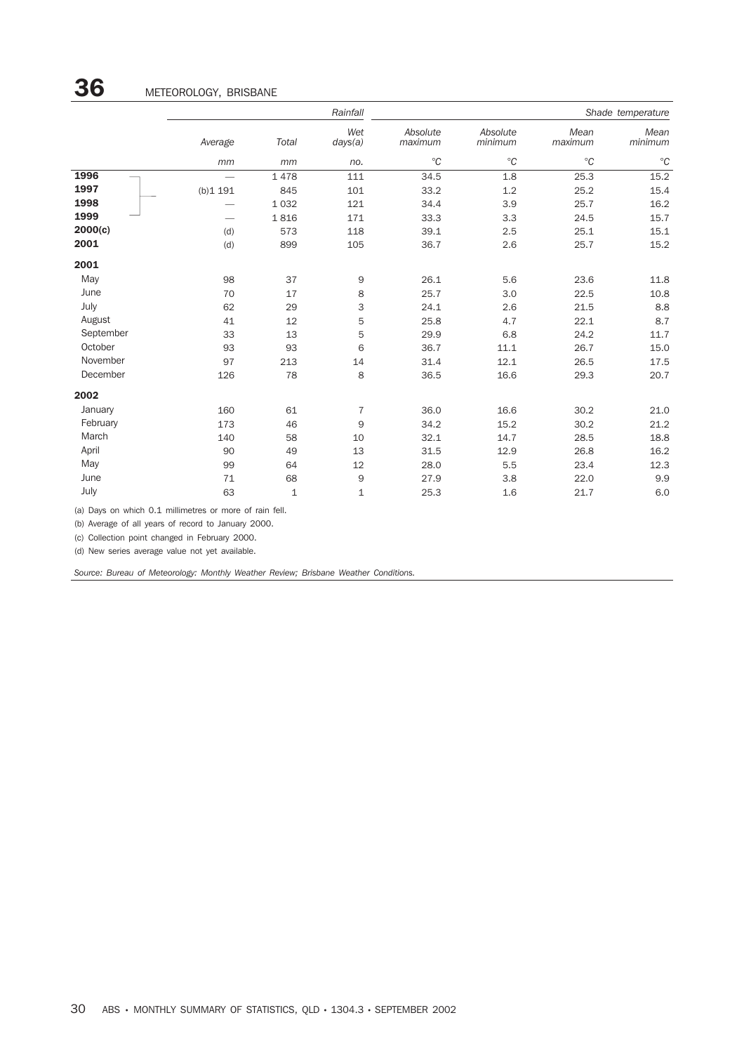|           |         |              | Rainfall       | Shade temperature   |                     |                 |                 |
|-----------|---------|--------------|----------------|---------------------|---------------------|-----------------|-----------------|
|           | Average | <b>Total</b> | Wet<br>days(a) | Absolute<br>maximum | Absolute<br>minimum | Mean<br>maximum | Mean<br>minimum |
|           | mm      | mm           | no.            | $^{\circ}C$         | $^{\circ}C$         | $^{\circ}C$     | $^{\circ}C$     |
| 1996      |         | 1478         | 111            | 34.5                | 1.8                 | 25.3            | 15.2            |
| 1997      | (b)1191 | 845          | 101            | 33.2                | 1.2                 | 25.2            | 15.4            |
| 1998      |         | 1 0 3 2      | 121            | 34.4                | 3.9                 | 25.7            | 16.2            |
| 1999      |         | 1816         | 171            | 33.3                | 3.3                 | 24.5            | 15.7            |
| 2000(c)   | (d)     | 573          | 118            | 39.1                | 2.5                 | 25.1            | 15.1            |
| 2001      | (d)     | 899          | 105            | 36.7                | 2.6                 | 25.7            | 15.2            |
| 2001      |         |              |                |                     |                     |                 |                 |
| May       | 98      | 37           | 9              | 26.1                | 5.6                 | 23.6            | 11.8            |
| June      | 70      | 17           | 8              | 25.7                | 3.0                 | 22.5            | 10.8            |
| July      | 62      | 29           | 3              | 24.1                | 2.6                 | 21.5            | 8.8             |
| August    | 41      | 12           | 5              | 25.8                | 4.7                 | 22.1            | 8.7             |
| September | 33      | 13           | 5              | 29.9                | 6.8                 | 24.2            | 11.7            |
| October   | 93      | 93           | 6              | 36.7                | 11.1                | 26.7            | 15.0            |
| November  | 97      | 213          | 14             | 31.4                | 12.1                | 26.5            | 17.5            |
| December  | 126     | 78           | 8              | 36.5                | 16.6                | 29.3            | 20.7            |
| 2002      |         |              |                |                     |                     |                 |                 |
| January   | 160     | 61           | 7              | 36.0                | 16.6                | 30.2            | 21.0            |
| February  | 173     | 46           | 9              | 34.2                | 15.2                | 30.2            | 21.2            |
| March     | 140     | 58           | 10             | 32.1                | 14.7                | 28.5            | 18.8            |
| April     | 90      | 49           | 13             | 31.5                | 12.9                | 26.8            | 16.2            |
| May       | 99      | 64           | 12             | 28.0                | 5.5                 | 23.4            | 12.3            |
| June      | 71      | 68           | 9              | 27.9                | 3.8                 | 22.0            | 9.9             |
| July      | 63      | $\mathbf 1$  | $\mathbf 1$    | 25.3                | 1.6                 | 21.7            | 6.0             |

(a) Days on which 0.1 millimetres or more of rain fell.

(b) Average of all years of record to January 2000.

(c) Collection point changed in February 2000.

(d) New series average value not yet available.

*Source: Bureau of Meteorology: Monthly Weather Review; Brisbane Weather Conditions.*